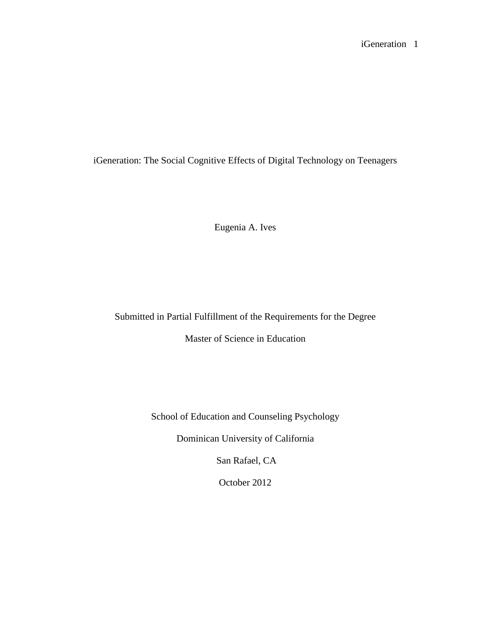iGeneration: The Social Cognitive Effects of Digital Technology on Teenagers

Eugenia A. Ives

Submitted in Partial Fulfillment of the Requirements for the Degree

Master of Science in Education

School of Education and Counseling Psychology

Dominican University of California

San Rafael, CA

October 2012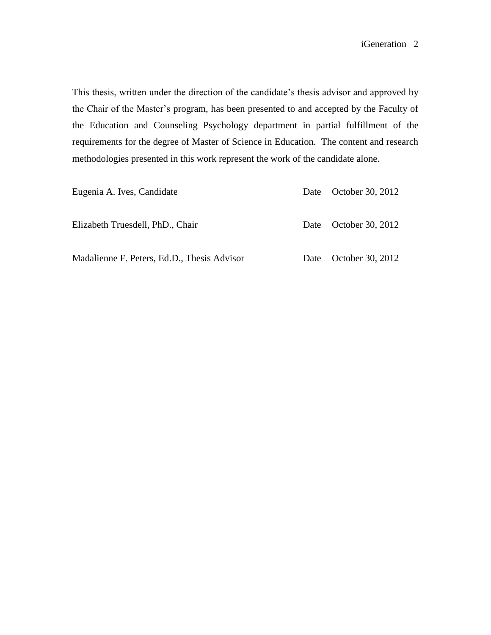This thesis, written under the direction of the candidate's thesis advisor and approved by the Chair of the Master's program, has been presented to and accepted by the Faculty of the Education and Counseling Psychology department in partial fulfillment of the requirements for the degree of Master of Science in Education. The content and research methodologies presented in this work represent the work of the candidate alone.

| Eugenia A. Ives, Candidate                  |      | Date October 30, 2012 |
|---------------------------------------------|------|-----------------------|
| Elizabeth Truesdell, PhD., Chair            |      | Date October 30, 2012 |
| Madalienne F. Peters, Ed.D., Thesis Advisor | Date | October 30, 2012      |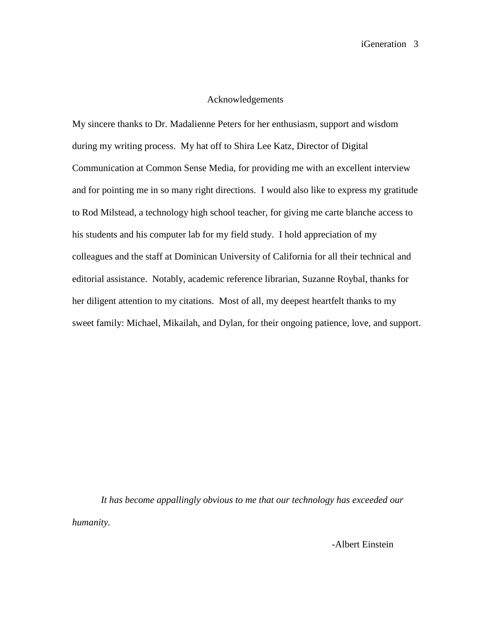### Acknowledgements

My sincere thanks to Dr. Madalienne Peters for her enthusiasm, support and wisdom during my writing process. My hat off to Shira Lee Katz, Director of Digital Communication at Common Sense Media, for providing me with an excellent interview and for pointing me in so many right directions. I would also like to express my gratitude to Rod Milstead, a technology high school teacher, for giving me carte blanche access to his students and his computer lab for my field study. I hold appreciation of my colleagues and the staff at Dominican University of California for all their technical and editorial assistance. Notably, academic reference librarian, Suzanne Roybal, thanks for her diligent attention to my citations. Most of all, my deepest heartfelt thanks to my sweet family: Michael, Mikailah, and Dylan, for their ongoing patience, love, and support.

*It has become appallingly obvious to me that our technology has exceeded our humanity.*

-Albert Einstein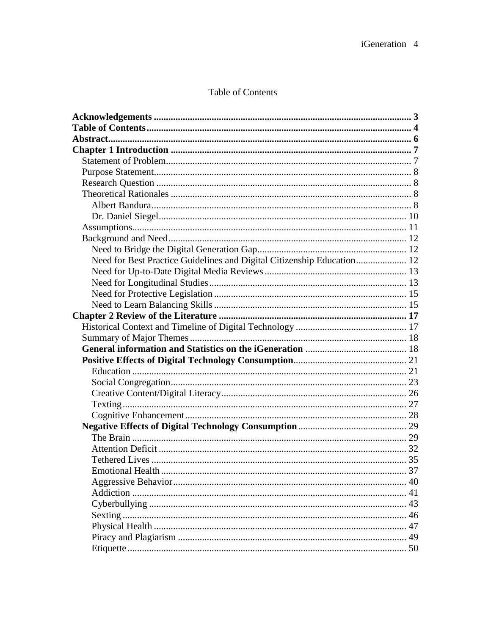# Table of Contents

| Need for Best Practice Guidelines and Digital Citizenship Education 12 |    |
|------------------------------------------------------------------------|----|
|                                                                        |    |
|                                                                        |    |
|                                                                        |    |
|                                                                        |    |
|                                                                        |    |
|                                                                        |    |
|                                                                        |    |
|                                                                        |    |
|                                                                        |    |
|                                                                        |    |
|                                                                        |    |
|                                                                        |    |
|                                                                        |    |
|                                                                        |    |
|                                                                        |    |
|                                                                        |    |
|                                                                        |    |
|                                                                        |    |
| Emotional Health                                                       |    |
|                                                                        |    |
|                                                                        |    |
|                                                                        |    |
|                                                                        |    |
|                                                                        |    |
|                                                                        | 49 |
|                                                                        |    |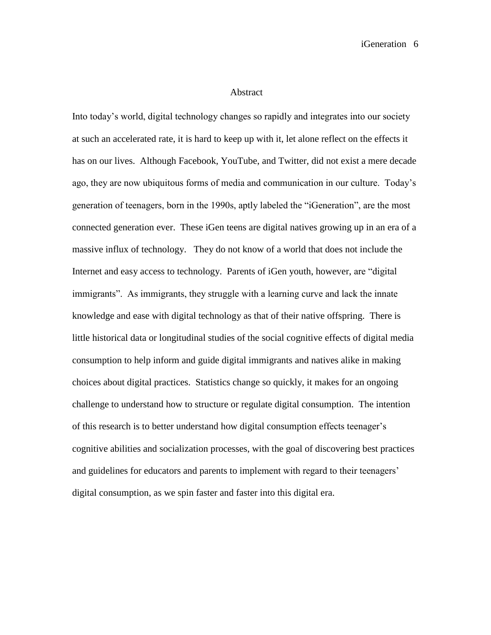#### Abstract

Into today's world, digital technology changes so rapidly and integrates into our society at such an accelerated rate, it is hard to keep up with it, let alone reflect on the effects it has on our lives. Although Facebook, YouTube, and Twitter, did not exist a mere decade ago, they are now ubiquitous forms of media and communication in our culture. Today's generation of teenagers, born in the 1990s, aptly labeled the "iGeneration", are the most connected generation ever. These iGen teens are digital natives growing up in an era of a massive influx of technology. They do not know of a world that does not include the Internet and easy access to technology. Parents of iGen youth, however, are "digital immigrants". As immigrants, they struggle with a learning curve and lack the innate knowledge and ease with digital technology as that of their native offspring. There is little historical data or longitudinal studies of the social cognitive effects of digital media consumption to help inform and guide digital immigrants and natives alike in making choices about digital practices. Statistics change so quickly, it makes for an ongoing challenge to understand how to structure or regulate digital consumption. The intention of this research is to better understand how digital consumption effects teenager's cognitive abilities and socialization processes, with the goal of discovering best practices and guidelines for educators and parents to implement with regard to their teenagers' digital consumption, as we spin faster and faster into this digital era.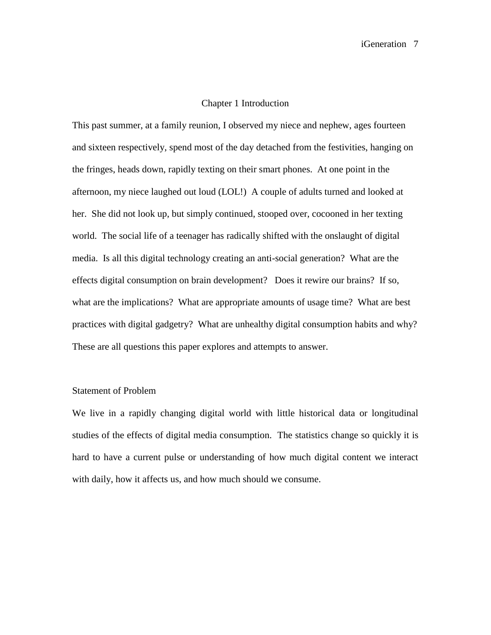## Chapter 1 Introduction

This past summer, at a family reunion, I observed my niece and nephew, ages fourteen and sixteen respectively, spend most of the day detached from the festivities, hanging on the fringes, heads down, rapidly texting on their smart phones. At one point in the afternoon, my niece laughed out loud (LOL!) A couple of adults turned and looked at her. She did not look up, but simply continued, stooped over, cocooned in her texting world. The social life of a teenager has radically shifted with the onslaught of digital media. Is all this digital technology creating an anti-social generation? What are the effects digital consumption on brain development? Does it rewire our brains? If so, what are the implications? What are appropriate amounts of usage time? What are best practices with digital gadgetry? What are unhealthy digital consumption habits and why? These are all questions this paper explores and attempts to answer.

### Statement of Problem

We live in a rapidly changing digital world with little historical data or longitudinal studies of the effects of digital media consumption. The statistics change so quickly it is hard to have a current pulse or understanding of how much digital content we interact with daily, how it affects us, and how much should we consume.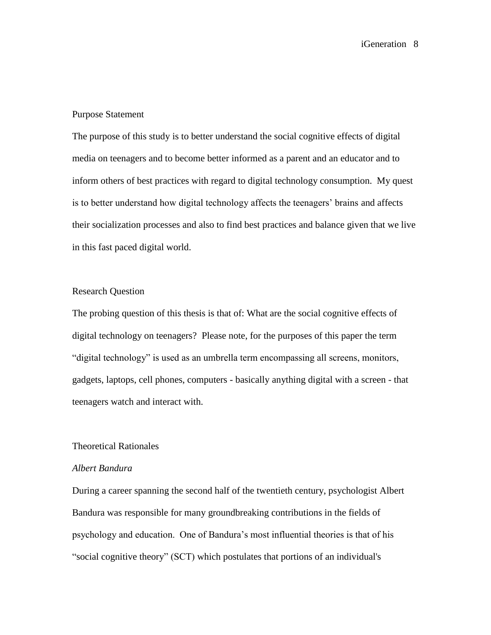### Purpose Statement

The purpose of this study is to better understand the social cognitive effects of digital media on teenagers and to become better informed as a parent and an educator and to inform others of best practices with regard to digital technology consumption. My quest is to better understand how digital technology affects the teenagers' brains and affects their socialization processes and also to find best practices and balance given that we live in this fast paced digital world.

# Research Question

The probing question of this thesis is that of: What are the social cognitive effects of digital technology on teenagers? Please note, for the purposes of this paper the term "digital technology" is used as an umbrella term encompassing all screens, monitors, gadgets, laptops, cell phones, computers - basically anything digital with a screen - that teenagers watch and interact with.

# Theoretical Rationales

### *Albert Bandura*

During a career spanning the second half of the twentieth century, psychologist [Albert](http://en.wikipedia.org/wiki/Albert_Bandura)  [Bandura](http://en.wikipedia.org/wiki/Albert_Bandura) was responsible for many groundbreaking contributions in the fields of psychology and education. One of Bandura's most influential theories is that of his ["social cognitive theory"](http://en.wikipedia.org/wiki/Social_cognitive_theory) (SCT) which postulates that portions of an individual's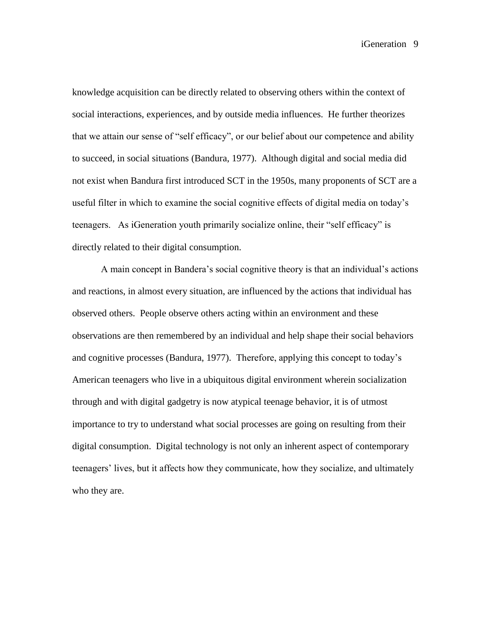knowledge acquisition can be directly related to [observing](http://en.wikipedia.org/wiki/Observing) others within the context of social interactions, experiences, and by outside media influences. He further theorizes that we attain our sense of "self efficacy", or our belief about our competence and ability to succeed, in social situations (Bandura, 1977). Although digital and social media did not exist when Bandura first introduced SCT in the 1950s, many proponents of SCT are a useful filter in which to examine the social cognitive effects of digital media on today's teenagers. As iGeneration youth primarily socialize online, their "self efficacy" is directly related to their digital consumption.

A main concept in Bandera's social cognitive theory is that an individual's actions and reactions, in almost every situation, are influenced by the actions that individual has observed others. People observe others acting within an environment and these observations are then remembered by an individual and help shape their social behaviors and cognitive processes (Bandura, 1977). Therefore, applying this concept to today's American teenagers who live in a ubiquitous digital environment wherein socialization through and with digital gadgetry is now atypical teenage behavior, it is of utmost importance to try to understand what social processes are going on resulting from their digital consumption. Digital technology is not only an inherent aspect of contemporary teenagers' lives, but it affects how they communicate, how they socialize, and ultimately who they are.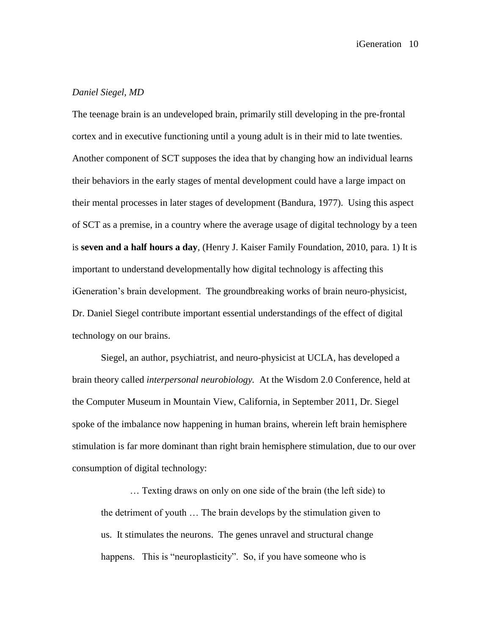## *Daniel Siegel, MD*

The teenage brain is an undeveloped brain, primarily still developing in the pre-frontal cortex and in executive functioning until a young adult is in their mid to late twenties. Another component of SCT supposes the idea that by changing how an individual learns their behaviors in the early stages of mental development could have a large impact on their mental processes in later stages of development (Bandura, 1977). Using this aspect of SCT as a premise, in a country where the average usage of digital technology by a teen is **seven and a half hours a day**, (Henry J. Kaiser Family Foundation, 2010, para. 1) It is important to understand developmentally how digital technology is affecting this iGeneration's brain development. The groundbreaking works of brain neuro-physicist, Dr. Daniel Siegel contribute important essential understandings of the effect of digital technology on our brains.

Siegel, an author, psychiatrist, and neuro-physicist at UCLA, has developed a brain theory called *interpersonal neurobiology.* At the Wisdom 2.0 Conference, held at the Computer Museum in Mountain View, California, in September 2011, Dr. Siegel spoke of the imbalance now happening in human brains, wherein left brain hemisphere stimulation is far more dominant than right brain hemisphere stimulation, due to our over consumption of digital technology:

… Texting draws on only on one side of the brain (the left side) to the detriment of youth … The brain develops by the stimulation given to us. It stimulates the neurons. The genes unravel and structural change happens. This is "neuroplasticity". So, if you have someone who is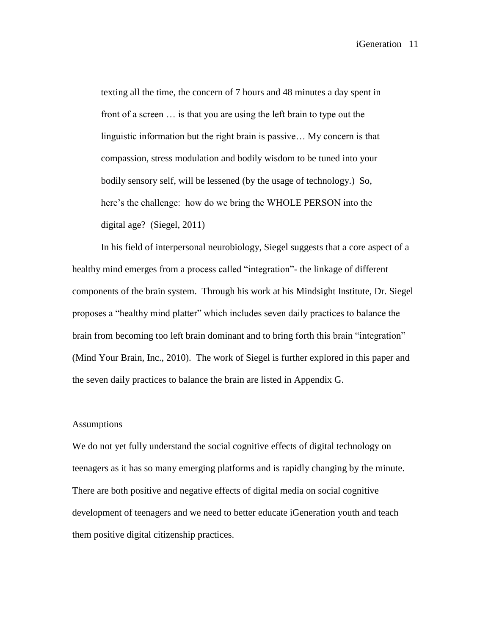texting all the time, the concern of 7 hours and 48 minutes a day spent in front of a screen … is that you are using the left brain to type out the linguistic information but the right brain is passive… My concern is that compassion, stress modulation and bodily wisdom to be tuned into your bodily sensory self, will be lessened (by the usage of technology.) So, here's the challenge: how do we bring the WHOLE PERSON into the digital age? (Siegel, 2011)

In his field of interpersonal neurobiology, Siegel suggests that a core aspect of a healthy mind emerges from a process called "integration"- the linkage of different components of the brain system. Through his work at his Mindsight Institute, Dr. Siegel proposes a "healthy mind platter" which includes seven daily practices to balance the brain from becoming too left brain dominant and to bring forth this brain "integration" (Mind Your Brain, Inc., 2010). The work of Siegel is further explored in this paper and the seven daily practices to balance the brain are listed in Appendix G.

### Assumptions

We do not yet fully understand the social cognitive effects of digital technology on teenagers as it has so many emerging platforms and is rapidly changing by the minute. There are both positive and negative effects of digital media on social cognitive development of teenagers and we need to better educate iGeneration youth and teach them positive digital citizenship practices.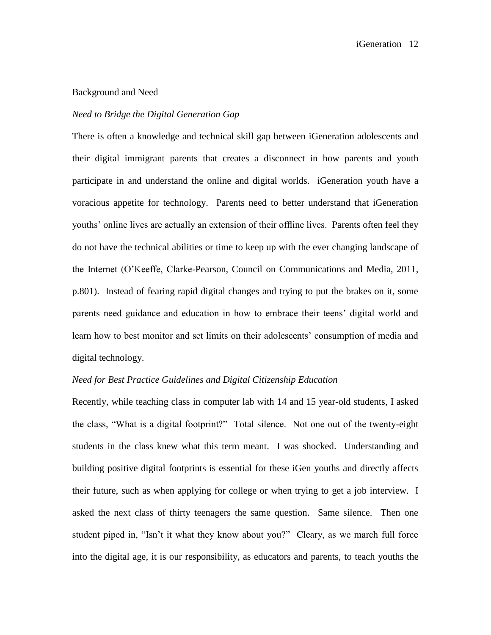### Background and Need

## *Need to Bridge the Digital Generation Gap*

There is often a knowledge and technical skill gap between iGeneration adolescents and their digital immigrant parents that creates a disconnect in how parents and youth participate in and understand the online and digital worlds. iGeneration youth have a voracious appetite for technology. Parents need to better understand that iGeneration youths' online lives are actually an extension of their offline lives. Parents often feel they do not have the technical abilities or time to keep up with the ever changing landscape of the Internet (O'Keeffe, Clarke-Pearson, Council on Communications and Media, 2011, p.801). Instead of fearing rapid digital changes and trying to put the brakes on it, some parents need guidance and education in how to embrace their teens' digital world and learn how to best monitor and set limits on their adolescents' consumption of media and digital technology.

## *Need for Best Practice Guidelines and Digital Citizenship Education*

Recently, while teaching class in computer lab with 14 and 15 year-old students, I asked the class, "What is a digital footprint?" Total silence. Not one out of the twenty-eight students in the class knew what this term meant. I was shocked. Understanding and building positive digital footprints is essential for these iGen youths and directly affects their future, such as when applying for college or when trying to get a job interview. I asked the next class of thirty teenagers the same question. Same silence. Then one student piped in, "Isn't it what they know about you?" Cleary, as we march full force into the digital age, it is our responsibility, as educators and parents, to teach youths the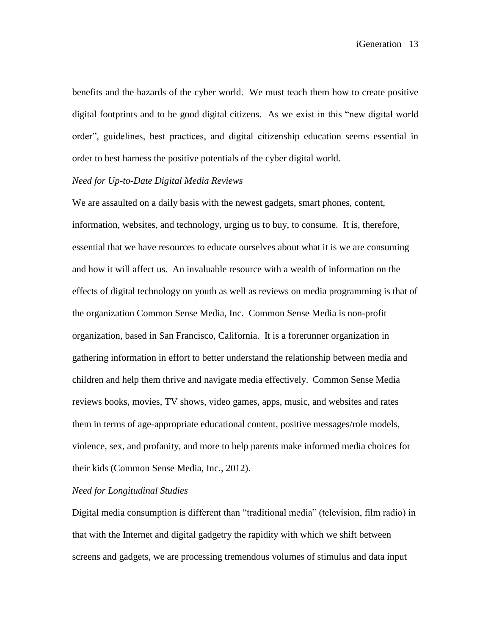benefits and the hazards of the cyber world. We must teach them how to create positive digital footprints and to be good digital citizens. As we exist in this "new digital world order", guidelines, best practices, and digital citizenship education seems essential in order to best harness the positive potentials of the cyber digital world.

# *Need for Up-to-Date Digital Media Reviews*

We are assaulted on a daily basis with the newest gadgets, smart phones, content, information, websites, and technology, urging us to buy, to consume. It is, therefore, essential that we have resources to educate ourselves about what it is we are consuming and how it will affect us. An invaluable resource with a wealth of information on the effects of digital technology on youth as well as reviews on media programming is that of the organization Common Sense Media, Inc. Common Sense Media is non-profit organization, based in San Francisco, California. It is a forerunner organization in gathering information in effort to better understand the relationship between media and children and help them thrive and navigate media effectively. Common Sense Media reviews [books,](http://en.wikipedia.org/wiki/Book) movies, [TV shows,](http://en.wikipedia.org/wiki/TV_show) video games, apps, music, and websites and rates them in terms of age-appropriate educational content, positive messages/role models, violence, [sex,](http://en.wikipedia.org/wiki/Sex) and [profanity,](http://en.wikipedia.org/wiki/Profanity) and more to help parents make informed media choices for their kids (Common Sense Media, Inc., 2012).

# *Need for Longitudinal Studies*

Digital media consumption is different than "traditional media" (television, film radio) in that with the Internet and digital gadgetry the rapidity with which we shift between screens and gadgets, we are processing tremendous volumes of stimulus and data input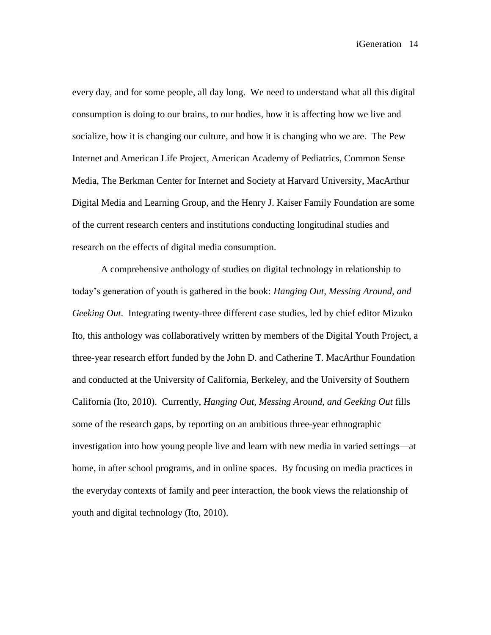every day, and for some people, all day long. We need to understand what all this digital consumption is doing to our brains, to our bodies, how it is affecting how we live and socialize, how it is changing our culture, and how it is changing who we are. The Pew Internet and American Life Project, American Academy of Pediatrics, Common Sense Media, The Berkman Center for Internet and Society at Harvard University, MacArthur Digital Media and Learning Group, and the Henry J. Kaiser Family Foundation are some of the current research centers and institutions conducting longitudinal studies and research on the effects of digital media consumption.

A comprehensive anthology of studies on digital technology in relationship to today's generation of youth is gathered in the book: *Hanging Out, Messing Around, and Geeking Out*. Integrating twenty-three different case studies, led by chief editor Mizuko Ito, this anthology was collaboratively written by members of the Digital Youth Project, a three-year research effort funded by the John D. and Catherine T. MacArthur Foundation and conducted at the University of California, Berkeley, and the University of Southern California (Ito, 2010). Currently, *Hanging Out, Messing Around, and Geeking Out* fills some of the research gaps, by reporting on an ambitious three-year ethnographic investigation into how young people live and learn with new media in varied settings—at home, in after school programs, and in online spaces. By focusing on media practices in the everyday contexts of family and peer interaction, the book views the relationship of youth and digital technology (Ito, 2010).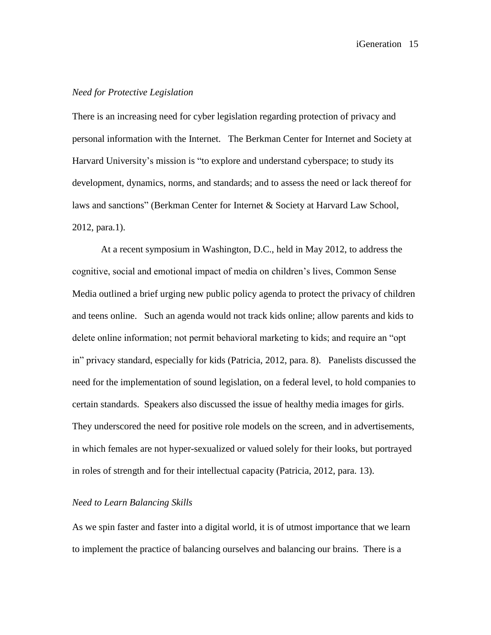### *Need for Protective Legislation*

There is an increasing need for cyber legislation regarding protection of privacy and personal information with the Internet. The Berkman Center for Internet and Society at Harvard University's mission is "to explore and understand cyberspace; to study its development, dynamics, norms, and standards; and to assess the need or lack thereof for laws and sanctions" (Berkman Center for Internet & Society at Harvard Law School, 2012, para.1).

At a recent symposium in Washington, D.C., held in May 2012, to address the cognitive, social and emotional impact of media on children's lives, [Common Sense](http://www.commonsensemedia.org/)  [Media](http://www.commonsensemedia.org/) outlined a [brief](http://www.commonsensemedia.org/about-us/news/press-releases/common-sense-media-calls-new-policy-agenda-protect-kids-and-teens-priva) urging new public policy agenda to protect the privacy of children and teens online. Such an agenda would not track kids online; allow parents and kids to delete online information; not permit behavioral marketing to kids; and require an "opt in" privacy standard, especially for kids (Patricia, 2012, para. 8). Panelists discussed the need for the implementation of sound legislation, on a federal level, to hold companies to certain standards. Speakers also discussed the issue of healthy media images for girls. They underscored the need for positive role models on the screen, and in advertisements, in which females are not hyper-sexualized or valued solely for their looks, but portrayed in roles of strength and for their intellectual capacity (Patricia, 2012, para. 13).

# *Need to Learn Balancing Skills*

As we spin faster and faster into a digital world, it is of utmost importance that we learn to implement the practice of balancing ourselves and balancing our brains. There is a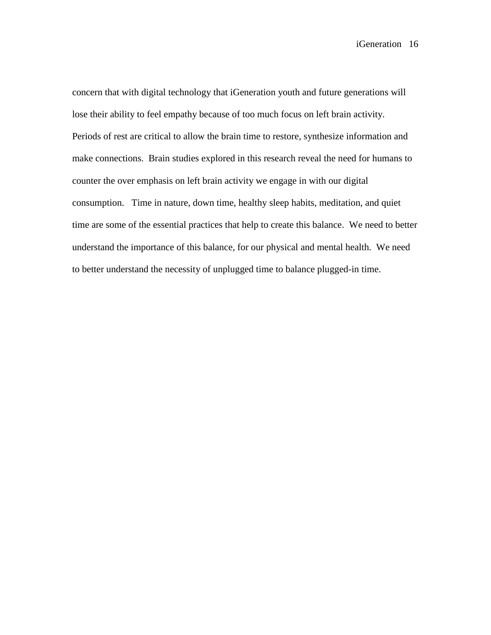concern that with digital technology that iGeneration youth and future generations will lose their ability to feel empathy because of too much focus on left brain activity. Periods of rest are critical to allow the brain time to restore, synthesize information and make connections. Brain studies explored in this research reveal the need for humans to counter the over emphasis on left brain activity we engage in with our digital consumption. Time in nature, down time, healthy sleep habits, meditation, and quiet time are some of the essential practices that help to create this balance. We need to better understand the importance of this balance, for our physical and mental health. We need to better understand the necessity of unplugged time to balance plugged-in time.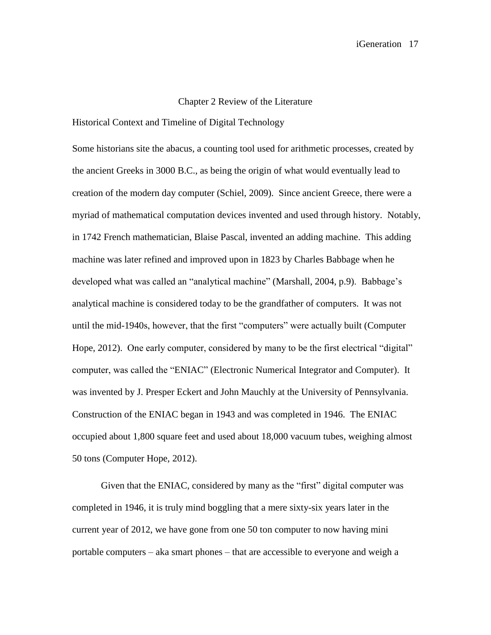### Chapter 2 Review of the Literature

Historical Context and Timeline of Digital Technology

Some historians site the abacus, a counting tool used for arithmetic processes, created by the ancient Greeks in 3000 B.C., as being the origin of what would eventually lead to creation of the modern day computer (Schiel, 2009). Since ancient Greece, there were a myriad of mathematical computation devices invented and used through history. Notably, in 1742 French mathematician, Blaise Pascal, invented an adding machine. This adding machine was later refined and improved upon in 1823 by Charles Babbage when he developed what was called an "analytical machine" (Marshall, 2004, p.9). Babbage's analytical machine is considered today to be the grandfather of computers. It was not until the mid-1940s, however, that the first "computers" were actually built (Computer Hope, 2012). One early computer, considered by many to be the first electrical "digital" computer, was called the ["ENIAC"](http://www.computerhope.com/jargon/e/eniac.htm) (Electronic Numerical Integrator and Computer). It was invented by J. Presper Eckert and John Mauchly at the University of Pennsylvania. Construction of the ENIAC began in [1943](http://www.computerhope.com/history/194060.htm) and was completed in [1946.](http://www.computerhope.com/history/194060.htm) The ENIAC occupied about 1,800 square feet and used about 18,000 vacuum tubes, weighing almost 50 tons (Computer Hope, 2012).

Given that the ENIAC, considered by many as the "first" digital computer was completed in 1946, it is truly mind boggling that a mere sixty-six years later in the current year of 2012, we have gone from one 50 ton computer to now having mini portable computers – aka smart phones – that are accessible to everyone and weigh a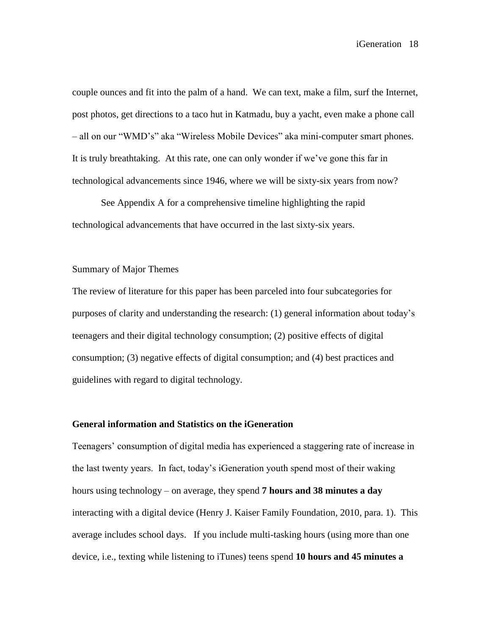couple ounces and fit into the palm of a hand. We can text, make a film, surf the Internet, post photos, get directions to a taco hut in Katmadu, buy a yacht, even make a phone call – all on our "WMD's" aka "Wireless Mobile Devices" aka mini-computer smart phones. It is truly breathtaking. At this rate, one can only wonder if we've gone this far in technological advancements since 1946, where we will be sixty-six years from now?

See Appendix A for a comprehensive timeline highlighting the rapid technological advancements that have occurred in the last sixty-six years.

### Summary of Major Themes

The review of literature for this paper has been parceled into four subcategories for purposes of clarity and understanding the research: (1) general information about today's teenagers and their digital technology consumption; (2) positive effects of digital consumption; (3) negative effects of digital consumption; and (4) best practices and guidelines with regard to digital technology.

# **General information and Statistics on the iGeneration**

Teenagers' consumption of digital media has experienced a staggering rate of increase in the last twenty years. In fact, today's iGeneration youth spend most of their waking hours using technology – on average, they spend **7 hours and 38 minutes a day**  interacting with a digital device (Henry J. Kaiser Family Foundation, 2010, para. 1). This average includes school days. If you include multi-tasking hours (using more than one device, i.e., texting while listening to iTunes) teens spend **10 hours and 45 minutes a**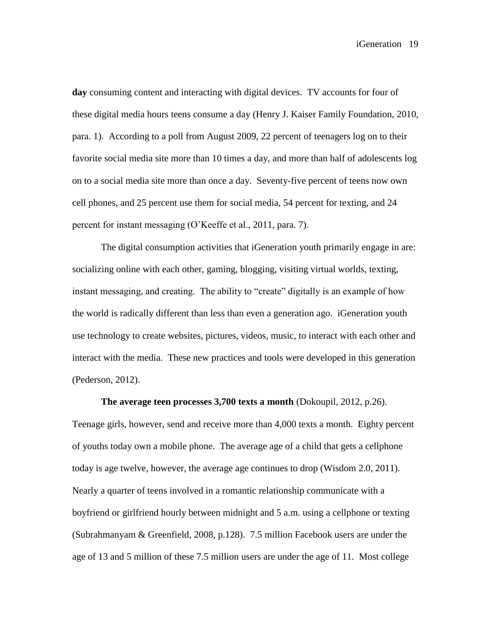**day** consuming content and interacting with digital devices. TV accounts for four of these digital media hours teens consume a day (Henry J. Kaiser Family Foundation, 2010, para. 1). According to a poll from August 2009, 22 percent of teenagers log on to their favorite social media site more than 10 times a day, and more than half of adolescents log on to a social media site more than once a day. Seventy-five percent of teens now own cell phones, and 25 percent use them for social media, 54 percent for texting, and 24 percent for instant messaging (O'Keeffe et al., 2011, para. 7).

The digital consumption activities that iGeneration youth primarily engage in are: socializing online with each other, gaming, blogging, visiting virtual worlds, texting, instant messaging, and creating. The ability to "create" digitally is an example of how the world is radically different than less than even a generation ago. iGeneration youth use technology to create websites, pictures, videos, music, to interact with each other and interact with the media. These new practices and tools were developed in this generation (Pederson, 2012).

**The average teen processes 3,700 texts a month** (Dokoupil, 2012, p.26). Teenage girls, however, send and receive more than 4,000 texts a month. Eighty percent of youths today own a mobile phone. The average age of a child that gets a cellphone today is age twelve, however, the average age continues to drop (Wisdom 2.0, 2011). Nearly a quarter of teens involved in a romantic relationship communicate with a boyfriend or girlfriend hourly between midnight and 5 a.m. using a cellphone or texting (Subrahmanyam & Greenfield, 2008, p.128). 7.5 million Facebook users are under the age of 13 and 5 million of these 7.5 million users are under the age of 11. Most college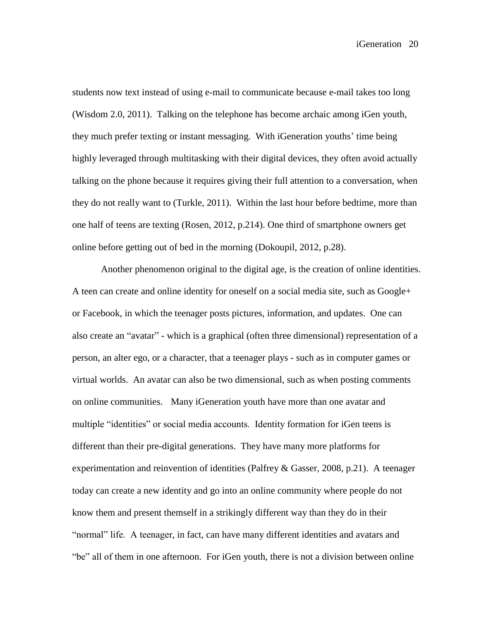students now text instead of using e-mail to communicate because e-mail takes too long (Wisdom 2.0, 2011). Talking on the telephone has become archaic among iGen youth, they much prefer texting or instant messaging. With iGeneration youths' time being highly leveraged through multitasking with their digital devices, they often avoid actually talking on the phone because it requires giving their full attention to a conversation, when they do not really want to (Turkle, 2011). Within the last hour before bedtime, more than one half of teens are texting (Rosen, 2012, p.214). One third of smartphone owners get online before getting out of bed in the morning (Dokoupil, 2012, p.28).

Another phenomenon original to the digital age, is the creation of online identities. A teen can create and online identity for oneself on a social media site, such as Google+ or Facebook, in which the teenager posts pictures, information, and updates. One can also create an "avatar" - which is a [graphical \(often three dimensional\) representation](http://en.wikipedia.org/wiki/Graphical_representation) of a person, an [alter ego,](http://en.wikipedia.org/wiki/Alter_ego) or a [character,](http://en.wikipedia.org/wiki/Player_character) that a teenager plays - such as in computer [games](http://en.wikipedia.org/wiki/Video_game) or virtual worlds. An avatar can also be two dimensional, such as when posting comments on online communities. Many iGeneration youth have more than one avatar and multiple "identities" or social media accounts. Identity formation for iGen teens is different than their pre-digital generations. They have many more platforms for experimentation and reinvention of identities (Palfrey & Gasser, 2008, p.21). A teenager today can create a new identity and go into an online community where people do not know them and present themself in a strikingly different way than they do in their "normal" life. A teenager, in fact, can have many different identities and avatars and "be" all of them in one afternoon. For iGen youth, there is not a division between online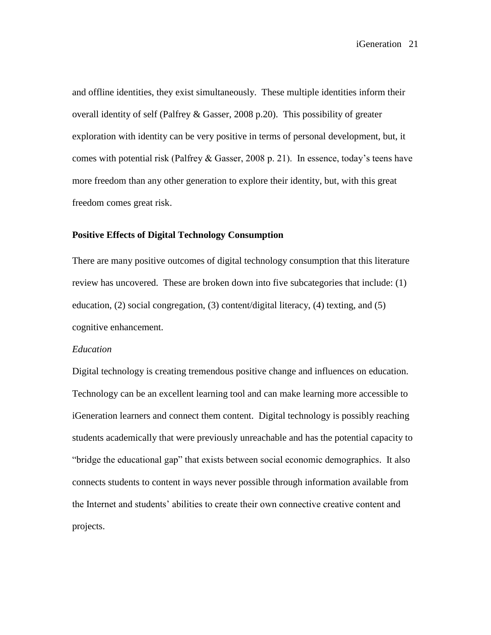and offline identities, they exist simultaneously. These multiple identities inform their overall identity of self (Palfrey & Gasser, 2008 p.20). This possibility of greater exploration with identity can be very positive in terms of personal development, but, it comes with potential risk (Palfrey & Gasser, 2008 p. 21). In essence, today's teens have more freedom than any other generation to explore their identity, but, with this great freedom comes great risk.

## **Positive Effects of Digital Technology Consumption**

There are many positive outcomes of digital technology consumption that this literature review has uncovered. These are broken down into five subcategories that include: (1) education, (2) social congregation, (3) content/digital literacy, (4) texting, and (5) cognitive enhancement.

### *Education*

Digital technology is creating tremendous positive change and influences on education. Technology can be an excellent learning tool and can make learning more accessible to iGeneration learners and connect them content. Digital technology is possibly reaching students academically that were previously unreachable and has the potential capacity to "bridge the educational gap" that exists between social economic demographics. It also connects students to content in ways never possible through information available from the Internet and students' abilities to create their own connective creative content and projects.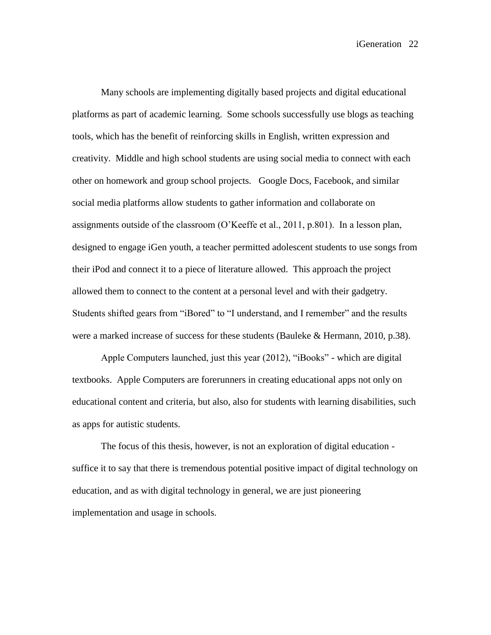Many schools are implementing digitally based projects and digital educational platforms as part of academic learning. Some schools successfully use blogs as teaching tools, which has the benefit of reinforcing skills in English, written expression and creativity. Middle and high school students are using social media to connect with each other on homework and group school projects. Google Docs, Facebook, and similar social media platforms allow students to gather information and collaborate on assignments outside of the classroom (O'Keeffe et al., 2011, p.801). In a lesson plan, designed to engage iGen youth, a teacher permitted adolescent students to use songs from their iPod and connect it to a piece of literature allowed. This approach the project allowed them to connect to the content at a personal level and with their gadgetry. Students shifted gears from "iBored" to "I understand, and I remember" and the results were a marked increase of success for these students (Bauleke & Hermann, 2010, p.38).

Apple Computers launched, just this year (2012), "iBooks" - which are digital textbooks. Apple Computers are forerunners in creating educational apps not only on educational content and criteria, but also, also for students with learning disabilities, such as apps for autistic students.

The focus of this thesis, however, is not an exploration of digital education suffice it to say that there is tremendous potential positive impact of digital technology on education, and as with digital technology in general, we are just pioneering implementation and usage in schools.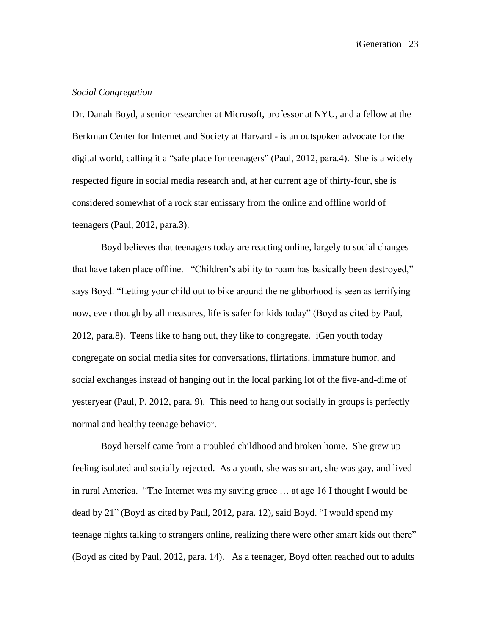### *Social Congregation*

Dr. Danah Boyd, a senior researcher at Microsoft, professor at NYU, and a fellow at the Berkman Center for Internet and Society at Harvard - is an outspoken advocate for the digital world, calling it a "safe place for teenagers" (Paul, 2012, para.4). She is a widely respected figure in social media research and, at her current age of thirty-four, she is considered somewhat of a rock star emissary from the online and offline world of teenagers (Paul, 2012, para.3).

Boyd believes that teenagers today are reacting online, largely to social changes that have taken place offline. "Children's ability to roam has basically been destroyed," says Boyd. "Letting your child out to bike around the neighborhood is seen as terrifying now, even though by all measures, life is safer for kids today" (Boyd as cited by Paul, 2012, para.8). Teens like to hang out, they like to congregate. iGen youth today congregate on social media sites for conversations, flirtations, immature humor, and social exchanges instead of hanging out in the local parking lot of the five-and-dime of yesteryear (Paul, P. 2012, para. 9). This need to hang out socially in groups is perfectly normal and healthy teenage behavior.

Boyd herself came from a troubled childhood and broken home. She grew up feeling isolated and socially rejected. As a youth, she was smart, she was gay, and lived in rural America. "The Internet was my saving grace … at age 16 I thought I would be dead by 21" (Boyd as cited by Paul, 2012, para. 12), said Boyd. "I would spend my teenage nights talking to strangers online, realizing there were other smart kids out there" (Boyd as cited by Paul, 2012, para. 14). As a teenager, Boyd often reached out to adults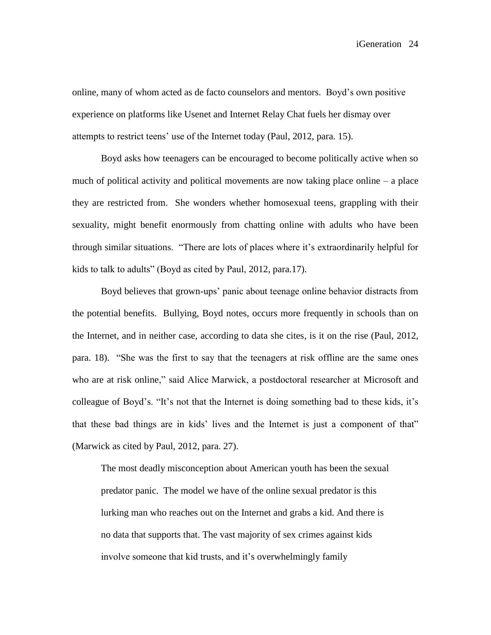online, many of whom acted as de facto counselors and mentors. Boyd's own positive experience on platforms like Usenet and Internet Relay Chat fuels her dismay over attempts to restrict teens' use of the Internet today (Paul, 2012, para. 15).

Boyd asks how teenagers can be encouraged to become politically active when so much of political activity and political movements are now taking place online – a place they are restricted from. She wonders whether homosexual teens, grappling with their sexuality, might benefit enormously from chatting online with adults who have been through similar situations. "There are lots of places where it's extraordinarily helpful for kids to talk to adults" (Boyd as cited by Paul, 2012, para.17).

Boyd believes that grown-ups' panic about teenage online behavior distracts from the potential benefits. Bullying, Boyd notes, occurs more frequently in schools than on the Internet, and in neither case, according to data she cites, is it on the rise (Paul, 2012, para. 18). "She was the first to say that the teenagers at risk offline are the same ones who are at risk online," said Alice Marwick, a postdoctoral researcher at Microsoft and colleague of Boyd's. "It's not that the Internet is doing something bad to these kids, it's that these bad things are in kids' lives and the Internet is just a component of that" (Marwick as cited by Paul, 2012, para. 27).

The most deadly misconception about American youth has been the sexual predator panic. The model we have of the online sexual predator is this lurking man who reaches out on the Internet and grabs a kid. And there is no data that supports that. The vast majority of sex crimes against kids involve someone that kid trusts, and it's overwhelmingly family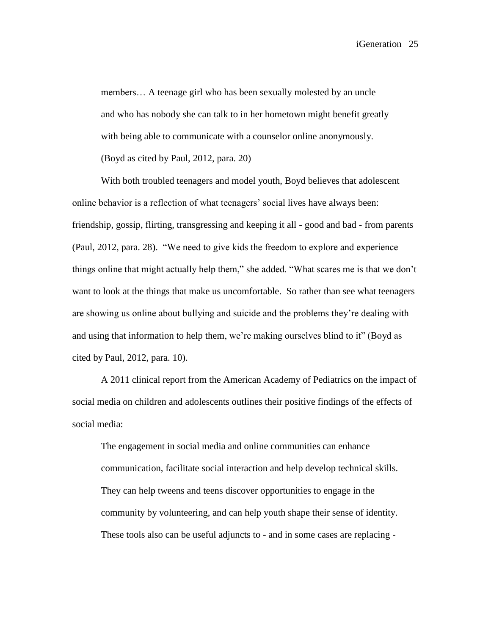members… A teenage girl who has been sexually molested by an uncle and who has nobody she can talk to in her hometown might benefit greatly with being able to communicate with a counselor online anonymously. (Boyd as cited by Paul, 2012, para. 20)

With both troubled teenagers and model youth, Boyd believes that adolescent online behavior is a reflection of what teenagers' social lives have always been: friendship, gossip, flirting, transgressing and keeping it all - good and bad - from parents (Paul, 2012, para. 28). "We need to give kids the freedom to explore and experience things online that might actually help them," she added. "What scares me is that we don't want to look at the things that make us uncomfortable. So rather than see what teenagers are showing us online about bullying and suicide and the problems they're dealing with and using that information to help them, we're making ourselves blind to it" (Boyd as cited by Paul, 2012, para. 10).

A 2011 clinical report from the American Academy of Pediatrics on the impact of social media on children and adolescents outlines their positive findings of the effects of social media:

The engagement in social media and online communities can enhance communication, facilitate social interaction and help develop technical skills. They can help tweens and teens discover opportunities to engage in the community by volunteering, and can help youth shape their sense of identity. These tools also can be useful adjuncts to - and in some cases are replacing -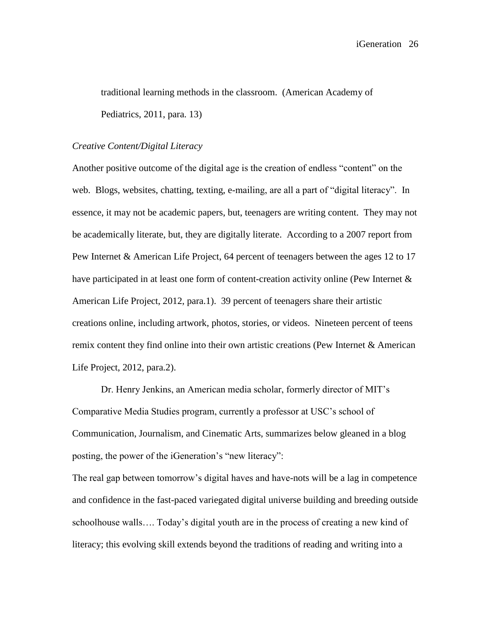traditional learning methods in the classroom. (American Academy of Pediatrics, 2011, para. 13)

### *Creative Content/Digital Literacy*

Another positive outcome of the digital age is the creation of endless "content" on the web. Blogs, websites, chatting, texting, e-mailing, are all a part of "digital literacy". In essence, it may not be academic papers, but, teenagers are writing content. They may not be academically literate, but, they are digitally literate. According to a 2007 report from Pew Internet & American Life Project, 64 percent of teenagers between the ages 12 to 17 have participated in at least one form of content-creation activity online (Pew Internet & American Life Project, 2012, para.1). 39 percent of teenagers share their artistic creations online, including artwork, photos, stories, or videos. Nineteen percent of teens remix content they find online into their own artistic creations (Pew Internet & American Life Project, 2012, para.2).

Dr. Henry Jenkins, an American media scholar, formerly director of MIT's Comparative Media Studies program, currently a professor at USC's school of Communication, Journalism, and Cinematic Arts, summarizes below gleaned in a blog posting, the power of the iGeneration's "new literacy":

The real gap between tomorrow's digital haves and have-nots will be a lag in competence and confidence in the fast-paced variegated digital universe building and breeding outside schoolhouse walls…. Today's digital youth are in the process of creating a new kind of literacy; this evolving skill extends beyond the traditions of reading and writing into a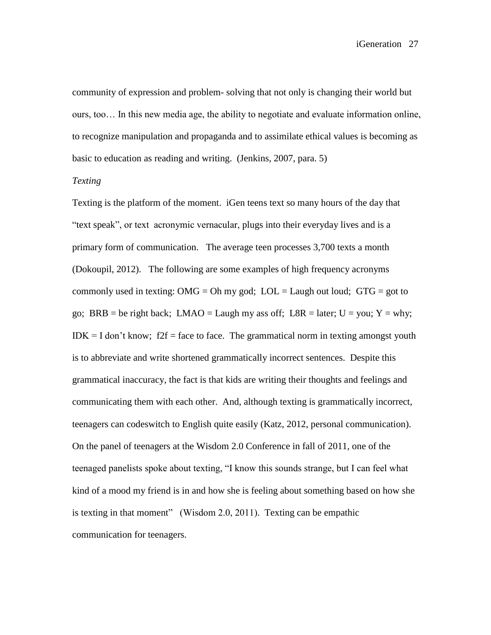community of expression and problem- solving that not only is changing their world but ours, too… In this new media age, the ability to negotiate and evaluate information online, to recognize manipulation and propaganda and to assimilate ethical values is becoming as basic to education as reading and writing. (Jenkins, 2007, para. 5)

# *Texting*

Texting is the platform of the moment. iGen teens text so many hours of the day that "text speak", or text acronymic vernacular, plugs into their everyday lives and is a primary form of communication. The average teen processes 3,700 texts a month (Dokoupil, 2012). The following are some examples of high frequency acronyms commonly used in texting: OMG = Oh my god;  $LOL =$  Laugh out loud;  $GTG =$  got to go; BRB = be right back; LMAO = Laugh my ass off; L8R = later; U = you;  $Y = why$ ;  $IDK = I don't know; f2f = face to face. The grammatical norm in testing amongst vouth$ is to abbreviate and write shortened grammatically incorrect sentences. Despite this grammatical inaccuracy, the fact is that kids are writing their thoughts and feelings and communicating them with each other. And, although texting is grammatically incorrect, teenagers can codeswitch to English quite easily (Katz, 2012, personal communication). On the panel of teenagers at the Wisdom 2.0 Conference in fall of 2011, one of the teenaged panelists spoke about texting, "I know this sounds strange, but I can feel what kind of a mood my friend is in and how she is feeling about something based on how she is texting in that moment" (Wisdom 2.0, 2011). Texting can be empathic communication for teenagers.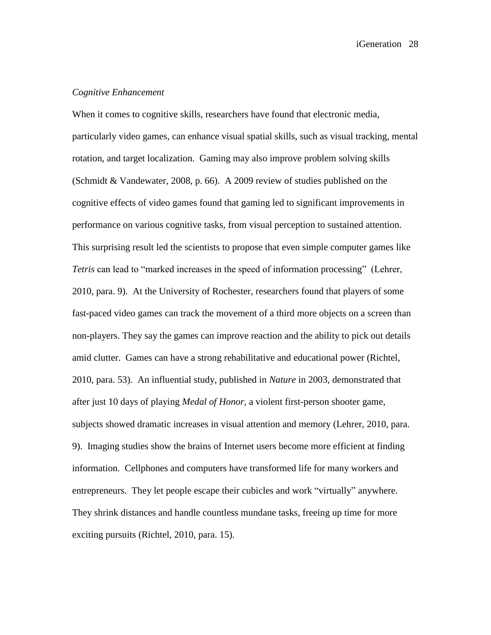### *Cognitive Enhancement*

When it comes to cognitive skills, researchers have found that electronic media, particularly video games, can enhance visual spatial skills, such as visual tracking, mental rotation, and target localization. Gaming may also improve problem solving skills (Schmidt & Vandewater, 2008, p. 66). A 2009 review of studies published on the cognitive effects of video games found that gaming led to significant improvements in performance on various cognitive tasks, from visual perception to sustained attention. This surprising result led the scientists to propose that even simple computer games like *Tetris* can lead to "marked increases in the speed of information processing" (Lehrer, 2010, para. 9). At the [University of Rochester,](http://topics.nytimes.com/top/reference/timestopics/organizations/u/university_of_rochester/index.html?inline=nyt-org) researchers found that players of some fast-paced video games can track the movement of a third more objects on a screen than non-players. They say the games can improve reaction and the ability to pick out details amid clutter. Games can have a strong rehabilitative and educational power (Richtel, 2010, para. 53). An influential study, published in *Nature* in 2003, demonstrated that after just 10 days of playing *Medal of Honor,* a violent first-person shooter game, subjects showed dramatic increases in visual attention and memory (Lehrer, 2010, para. 9). Imaging studies show the brains of Internet users become more efficient at finding information. Cellphones and computers have transformed life for many workers and entrepreneurs. They let people escape their cubicles and work "virtually" anywhere. They shrink distances and handle countless mundane tasks, freeing up time for more exciting pursuits (Richtel, 2010, para. 15).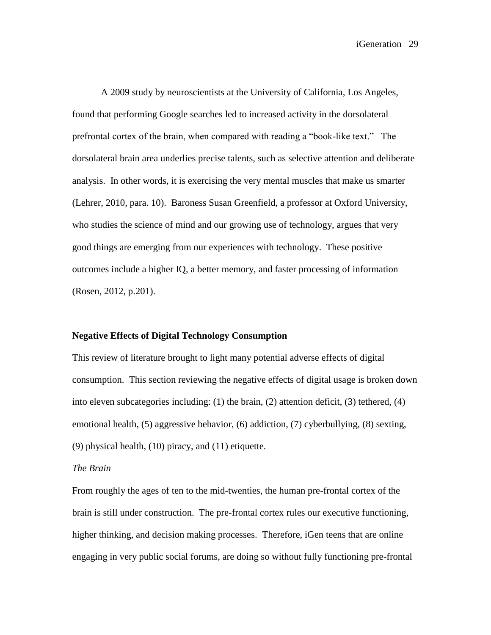A 2009 study by neuroscientists at the [University of California,](http://topics.nytimes.com/topics/reference/timestopics/organizations/u/university_of_california/index.html?inline=nyt-org) Los Angeles, found that performing Google searches led to increased activity in the dorsolateral prefrontal cortex of the brain, when compared with reading a "book-like text." The dorsolateral brain area underlies precise talents, such as selective attention and deliberate analysis. In other words, it is exercising the very mental muscles that make us smarter (Lehrer, 2010, para. 10). Baroness Susan Greenfield, a professor at Oxford University, who studies the science of mind and our growing use of technology, argues that very good things are emerging from our experiences with technology. These positive outcomes include a higher IQ, a better memory, and faster processing of information (Rosen, 2012, p.201).

## **Negative Effects of Digital Technology Consumption**

This review of literature brought to light many potential adverse effects of digital consumption. This section reviewing the negative effects of digital usage is broken down into eleven subcategories including:  $(1)$  the brain,  $(2)$  attention deficit,  $(3)$  tethered,  $(4)$ emotional health, (5) aggressive behavior, (6) addiction, (7) cyberbullying, (8) sexting, (9) physical health, (10) piracy, and (11) etiquette.

### *The Brain*

From roughly the ages of ten to the mid-twenties, the human pre-frontal cortex of the brain is still under construction. The pre-frontal cortex rules our executive functioning, higher thinking, and decision making processes. Therefore, iGen teens that are online engaging in very public social forums, are doing so without fully functioning pre-frontal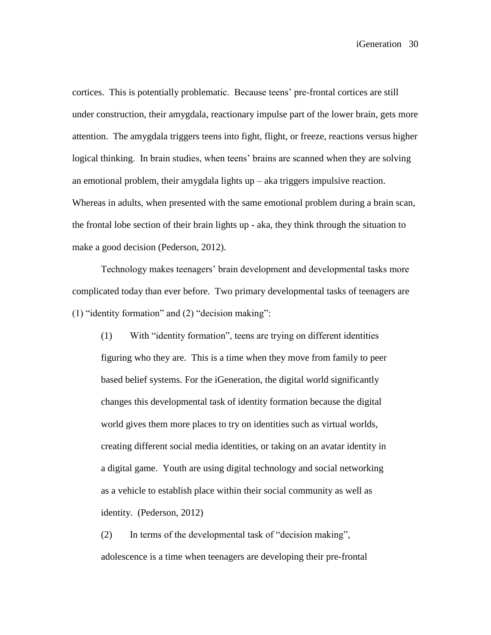cortices. This is potentially problematic. Because teens' pre-frontal cortices are still under construction, their amygdala, reactionary impulse part of the lower brain, gets more attention. The amygdala triggers teens into fight, flight, or freeze, reactions versus higher logical thinking. In brain studies, when teens' brains are scanned when they are solving an emotional problem, their amygdala lights  $up - aka$  triggers impulsive reaction. Whereas in adults, when presented with the same emotional problem during a brain scan, the frontal lobe section of their brain lights up - aka, they think through the situation to make a good decision (Pederson, 2012).

Technology makes teenagers' brain development and developmental tasks more complicated today than ever before. Two primary developmental tasks of teenagers are (1) "identity formation" and (2) "decision making":

(1) With "identity formation", teens are trying on different identities figuring who they are. This is a time when they move from family to peer based belief systems. For the iGeneration, the digital world significantly changes this developmental task of identity formation because the digital world gives them more places to try on identities such as virtual worlds, creating different social media identities, or taking on an avatar identity in a digital game. Youth are using digital technology and social networking as a vehicle to establish place within their social community as well as identity. (Pederson, 2012)

(2) In terms of the developmental task of "decision making", adolescence is a time when teenagers are developing their pre-frontal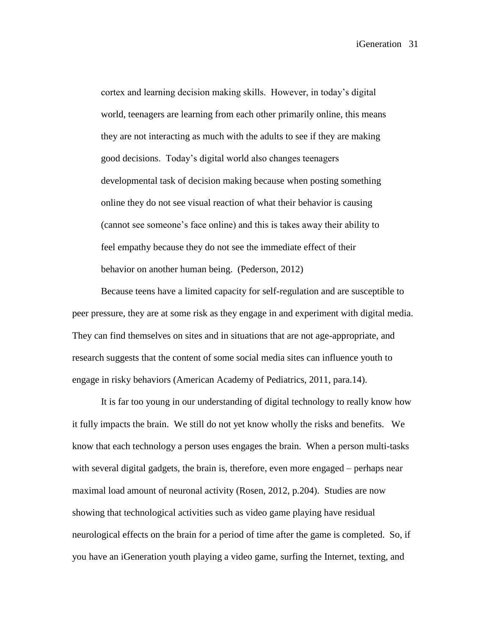cortex and learning decision making skills. However, in today's digital world, teenagers are learning from each other primarily online, this means they are not interacting as much with the adults to see if they are making good decisions. Today's digital world also changes teenagers developmental task of decision making because when posting something online they do not see visual reaction of what their behavior is causing (cannot see someone's face online) and this is takes away their ability to feel empathy because they do not see the immediate effect of their behavior on another human being. (Pederson, 2012)

Because teens have a limited capacity for self-regulation and are susceptible to peer pressure, they are at some risk as they engage in and experiment with digital media. They can find themselves on sites and in situations that are not age-appropriate, and research suggests that the content of some social media sites can influence youth to engage in risky behaviors (American Academy of Pediatrics, 2011, para.14).

It is far too young in our understanding of digital technology to really know how it fully impacts the brain. We still do not yet know wholly the risks and benefits. We know that each technology a person uses engages the brain. When a person multi-tasks with several digital gadgets, the brain is, therefore, even more engaged – perhaps near maximal load amount of neuronal activity (Rosen, 2012, p.204). Studies are now showing that technological activities such as video game playing have residual neurological effects on the brain for a period of time after the game is completed. So, if you have an iGeneration youth playing a video game, surfing the Internet, texting, and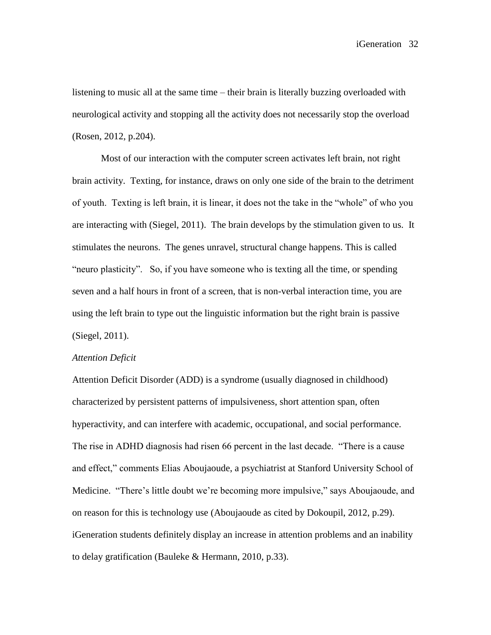listening to music all at the same time – their brain is literally buzzing overloaded with neurological activity and stopping all the activity does not necessarily stop the overload (Rosen, 2012, p.204).

Most of our interaction with the computer screen activates left brain, not right brain activity. Texting, for instance, draws on only one side of the brain to the detriment of youth. Texting is left brain, it is linear, it does not the take in the "whole" of who you are interacting with (Siegel, 2011). The brain develops by the stimulation given to us. It stimulates the neurons. The genes unravel, structural change happens. This is called "neuro plasticity". So, if you have someone who is texting all the time, or spending seven and a half hours in front of a screen, that is non-verbal interaction time, you are using the left brain to type out the linguistic information but the right brain is passive (Siegel, 2011).

### *Attention Deficit*

Attention Deficit Disorder (ADD) is a syndrome (usually diagnosed in childhood) characterized by persistent patterns of impulsiveness, short attention span, often hyperactivity, and can interfere with academic, occupational, and social performance. The rise in ADHD diagnosis had risen 66 percent in the last decade. "There is a cause and effect," comments Elias Aboujaoude, a psychiatrist at Stanford University School of Medicine. "There's little doubt we're becoming more impulsive," says Aboujaoude, and on reason for this is technology use (Aboujaoude as cited by Dokoupil, 2012, p.29). iGeneration students definitely display an increase in attention problems and an inability to delay gratification (Bauleke & Hermann, 2010, p.33).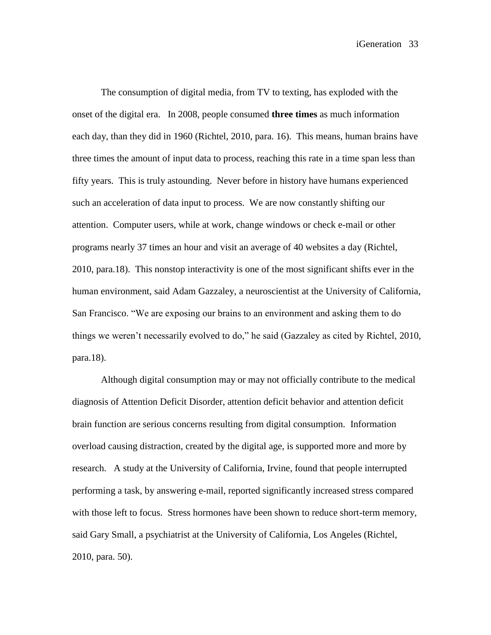The consumption of digital media, from TV to texting, has exploded with the onset of the digital era. In 2008, people consumed **three times** as much information each day, than they did in 1960 (Richtel, 2010, para. 16). This means, human brains have three times the amount of input data to process, reaching this rate in a time span less than fifty years. This is truly astounding. Never before in history have humans experienced such an acceleration of data input to process. We are now constantly shifting our attention. Computer users, while at work, change windows or check e-mail or other programs nearly 37 times an hour and visit an average of 40 websites a day (Richtel, 2010, para.18). This nonstop interactivity is one of the most significant shifts ever in the human environment, said Adam Gazzaley, a neuroscientist at the [University of California,](http://topics.nytimes.com/topics/reference/timestopics/organizations/u/university_of_california/index.html?inline=nyt-org)  [San Francisco.](http://topics.nytimes.com/topics/reference/timestopics/organizations/u/university_of_california/index.html?inline=nyt-org) "We are exposing our brains to an environment and asking them to do things we weren't necessarily evolved to do," he said (Gazzaley as cited by Richtel, 2010, para.18).

Although digital consumption may or may not officially contribute to the medical diagnosis of Attention Deficit Disorder, attention deficit behavior and attention deficit brain function are serious concerns resulting from digital consumption. Information overload causing distraction, created by the digital age, is supported more and more by research. A study at the [University of California, Irvine,](http://topics.nytimes.com/topics/reference/timestopics/organizations/u/university_of_california/index.html?inline=nyt-org) found that people interrupted performing a task, by answering e-mail, reported significantly increased stress compared with those left to focus. Stress hormones have been shown to reduce short-term memory, said Gary Small, a psychiatrist at the [University of California,](http://topics.nytimes.com/topics/reference/timestopics/organizations/u/university_of_california/index.html?inline=nyt-org) Los Angeles (Richtel, 2010, para. 50).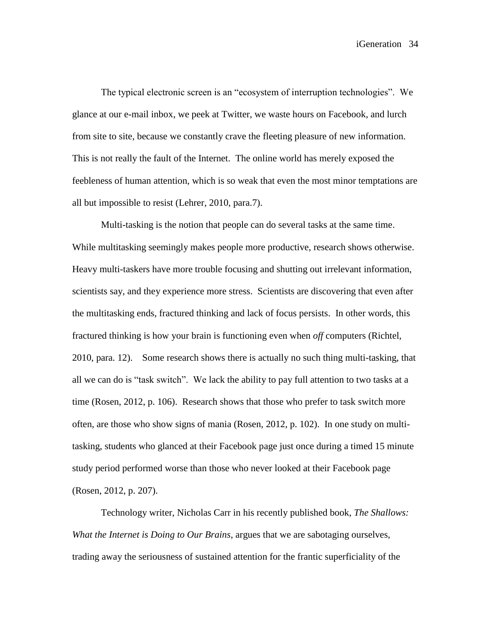The typical electronic screen is an "ecosystem of interruption technologies". We glance at our e-mail inbox, we peek at [Twitter,](http://topics.nytimes.com/top/news/business/companies/twitter/index.html?inline=nyt-org) we waste hours on Facebook, and lurch from site to site, because we constantly crave the fleeting pleasure of new information. This is not really the fault of the Internet. The online world has merely exposed the feebleness of human attention, which is so weak that even the most minor temptations are all but impossible to resist (Lehrer, 2010, para.7).

Multi-tasking is the notion that people can do several tasks at the same time. While multitasking seemingly makes people more productive, research shows otherwise. Heavy multi-taskers have more trouble focusing and shutting out irrelevant information, scientists say, and they experience more stress. Scientists are discovering that even after the multitasking ends, fractured thinking and lack of focus persists. In other words, this fractured thinking is how your brain is functioning even when *off* computers (Richtel, 2010, para. 12). Some research shows there is actually no such thing multi-tasking, that all we can do is "task switch". We lack the ability to pay full attention to two tasks at a time (Rosen, 2012, p. 106). Research shows that those who prefer to task switch more often, are those who show signs of mania (Rosen, 2012, p. 102). In one study on multitasking, students who glanced at their Facebook page just once during a timed 15 minute study period performed worse than those who never looked at their Facebook page (Rosen, 2012, p. 207).

Technology writer, Nicholas Carr in his recently published book, *The Shallows: What the Internet is Doing to Our Brains*, argues that we are sabotaging ourselves, trading away the seriousness of sustained attention for the frantic superficiality of the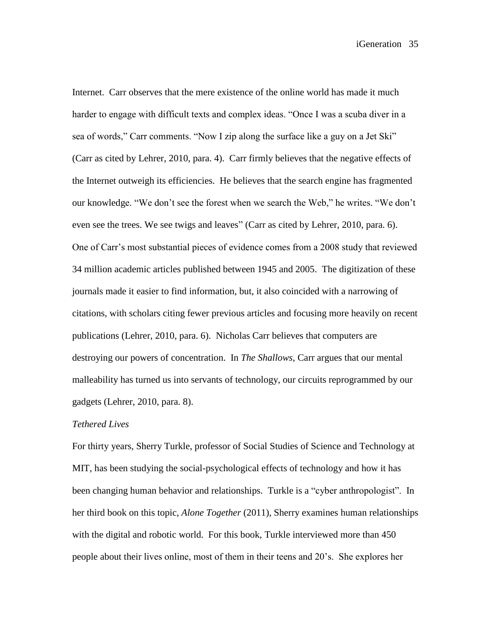Internet. Carr observes that the mere existence of the online world has made it much harder to engage with difficult texts and complex ideas. "Once I was a scuba diver in a sea of words," Carr comments. "Now I zip along the surface like a guy on a Jet Ski" (Carr as cited by Lehrer, 2010, para. 4). Carr firmly believes that the negative effects of the Internet outweigh its efficiencies. He believes that the search engine has fragmented our knowledge. "We don't see the forest when we search the Web," he writes. "We don't even see the trees. We see twigs and leaves" (Carr as cited by Lehrer, 2010, para. 6). One of Carr's most substantial pieces of evidence comes from a 2008 study that reviewed 34 million academic articles published between 1945 and 2005. The digitization of these journals made it easier to find information, but, it also coincided with a narrowing of citations, with scholars citing fewer previous articles and focusing more heavily on recent publications (Lehrer, 2010, para. 6). Nicholas Carr believes that computers are destroying our powers of concentration. In *The Shallows*, Carr argues that our mental malleability has turned us into servants of technology, our circuits reprogrammed by our gadgets (Lehrer, 2010, para. 8).

## *Tethered Lives*

For thirty years, Sherry Turkle, professor of Social Studies of Science and Technology at MIT, has been studying the social-psychological effects of technology and how it has been changing human behavior and relationships. Turkle is a "cyber anthropologist". In her third book on this topic, *Alone Together* (2011), Sherry examines human relationships with the digital and robotic world. For this book, Turkle interviewed more than 450 people about their lives online, most of them in their teens and 20's. She explores her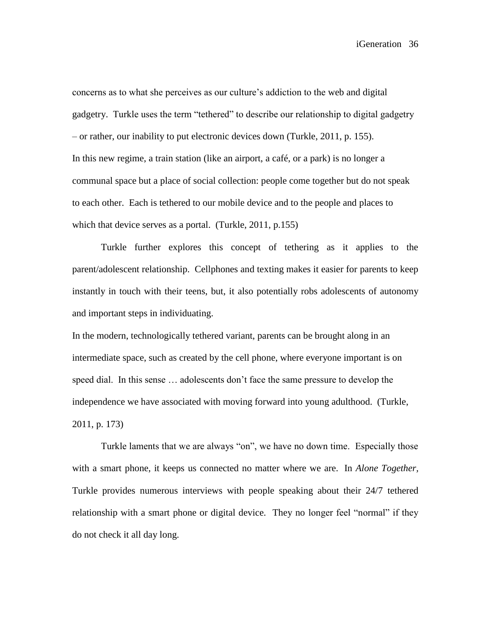concerns as to what she perceives as our culture's addiction to the web and digital gadgetry. Turkle uses the term "tethered" to describe our relationship to digital gadgetry – or rather, our inability to put electronic devices down (Turkle, 2011, p. 155). In this new regime, a train station (like an airport, a café, or a park) is no longer a communal space but a place of social collection: people come together but do not speak to each other. Each is tethered to our mobile device and to the people and places to which that device serves as a portal. (Turkle, 2011, p.155)

Turkle further explores this concept of tethering as it applies to the parent/adolescent relationship. Cellphones and texting makes it easier for parents to keep instantly in touch with their teens, but, it also potentially robs adolescents of autonomy and important steps in individuating.

In the modern, technologically tethered variant, parents can be brought along in an intermediate space, such as created by the cell phone, where everyone important is on speed dial. In this sense … adolescents don't face the same pressure to develop the independence we have associated with moving forward into young adulthood. (Turkle, 2011, p. 173)

Turkle laments that we are always "on", we have no down time. Especially those with a smart phone, it keeps us connected no matter where we are. In *Alone Together,* Turkle provides numerous interviews with people speaking about their 24/7 tethered relationship with a smart phone or digital device. They no longer feel "normal" if they do not check it all day long.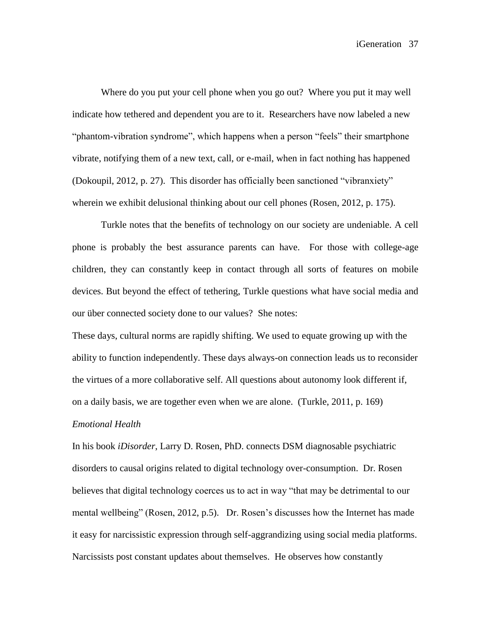Where do you put your cell phone when you go out? Where you put it may well indicate how tethered and dependent you are to it. Researchers have now labeled a new "phantom-vibration syndrome", which happens when a person "feels" their smartphone vibrate, notifying them of a new text, call, or e-mail, when in fact nothing has happened (Dokoupil, 2012, p. 27). This disorder has officially been sanctioned "vibranxiety" wherein we exhibit delusional thinking about our cell phones (Rosen, 2012, p. 175).

Turkle notes that the benefits of technology on our society are undeniable. A cell phone is probably the best assurance parents can have. For those with college-age children, they can constantly keep in contact through all sorts of features on mobile devices. But beyond the effect of tethering, Turkle questions what have social media and our über connected society done to our values? She notes:

These days, cultural norms are rapidly shifting. We used to equate growing up with the ability to function independently. These days always-on connection leads us to reconsider the virtues of a more collaborative self. All questions about autonomy look different if, on a daily basis, we are together even when we are alone. (Turkle, 2011, p. 169) *Emotional Health*

In his book *iDisorder*, Larry D. Rosen, PhD. connects DSM diagnosable psychiatric disorders to causal origins related to digital technology over-consumption. Dr. Rosen believes that digital technology coerces us to act in way "that may be detrimental to our mental wellbeing" (Rosen, 2012, p.5). Dr. Rosen's discusses how the Internet has made it easy for narcissistic expression through self-aggrandizing using social media platforms. Narcissists post constant updates about themselves. He observes how constantly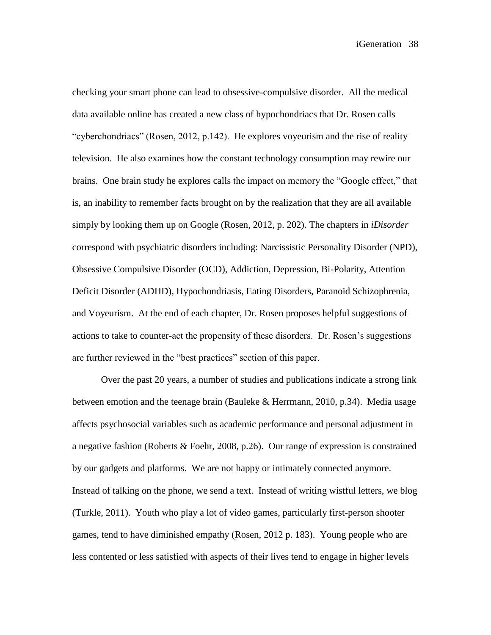checking your smart phone can lead to obsessive-compulsive disorder. All the medical data available online has created a new class of hypochondriacs that Dr. Rosen calls "cyberchondriacs" (Rosen, 2012, p.142). He explores voyeurism and the rise of reality television. He also examines how the constant technology consumption may rewire our brains. One brain study he explores calls the impact on memory the "Google effect," that is, an inability to remember facts brought on by the realization that they are all available simply by looking them up on Google (Rosen, 2012, p. 202). The chapters in *iDisorder* correspond with psychiatric disorders including: Narcissistic Personality Disorder (NPD), Obsessive Compulsive Disorder (OCD), Addiction, Depression, Bi-Polarity, Attention Deficit Disorder (ADHD), Hypochondriasis, Eating Disorders, Paranoid Schizophrenia, and Voyeurism. At the end of each chapter, Dr. Rosen proposes helpful suggestions of actions to take to counter-act the propensity of these disorders. Dr. Rosen's suggestions are further reviewed in the "best practices" section of this paper.

Over the past 20 years, a number of studies and publications indicate a strong link between emotion and the teenage brain (Bauleke & Herrmann, 2010, p.34). Media usage affects psychosocial variables such as academic performance and personal adjustment in a negative fashion (Roberts & Foehr, 2008, p.26). Our range of expression is constrained by our gadgets and platforms. We are not happy or intimately connected anymore. Instead of talking on the phone, we send a text. Instead of writing wistful letters, we blog (Turkle, 2011). Youth who play a lot of video games, particularly first-person shooter games, tend to have diminished empathy (Rosen, 2012 p. 183). Young people who are less contented or less satisfied with aspects of their lives tend to engage in higher levels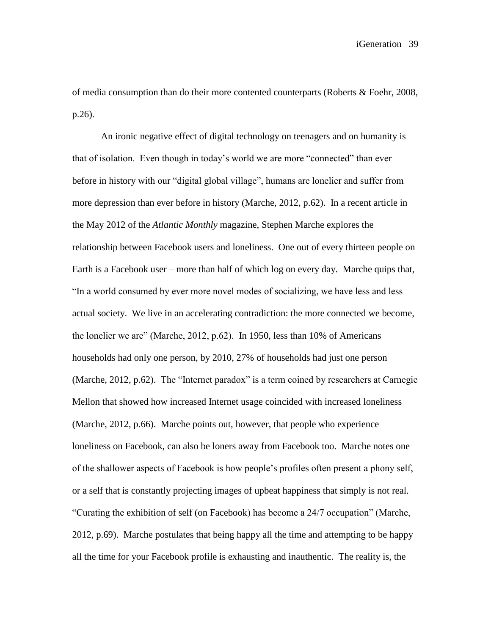of media consumption than do their more contented counterparts (Roberts & Foehr, 2008, p.26).

An ironic negative effect of digital technology on teenagers and on humanity is that of isolation. Even though in today's world we are more "connected" than ever before in history with our "digital global village", humans are lonelier and suffer from more depression than ever before in history (Marche, 2012, p.62). In a recent article in the May 2012 of the *Atlantic Monthly* magazine, Stephen Marche explores the relationship between Facebook users and loneliness. One out of every thirteen people on Earth is a Facebook user – more than half of which log on every day. Marche quips that, "In a world consumed by ever more novel modes of socializing, we have less and less actual society. We live in an accelerating contradiction: the more connected we become, the lonelier we are" (Marche, 2012, p.62). In 1950, less than 10% of Americans households had only one person, by 2010, 27% of households had just one person (Marche, 2012, p.62). The "Internet paradox" is a term coined by researchers at Carnegie Mellon that showed how increased Internet usage coincided with increased loneliness (Marche, 2012, p.66). Marche points out, however, that people who experience loneliness on Facebook, can also be loners away from Facebook too. Marche notes one of the shallower aspects of Facebook is how people's profiles often present a phony self, or a self that is constantly projecting images of upbeat happiness that simply is not real. "Curating the exhibition of self (on Facebook) has become a 24/7 occupation" (Marche, 2012, p.69). Marche postulates that being happy all the time and attempting to be happy all the time for your Facebook profile is exhausting and inauthentic. The reality is, the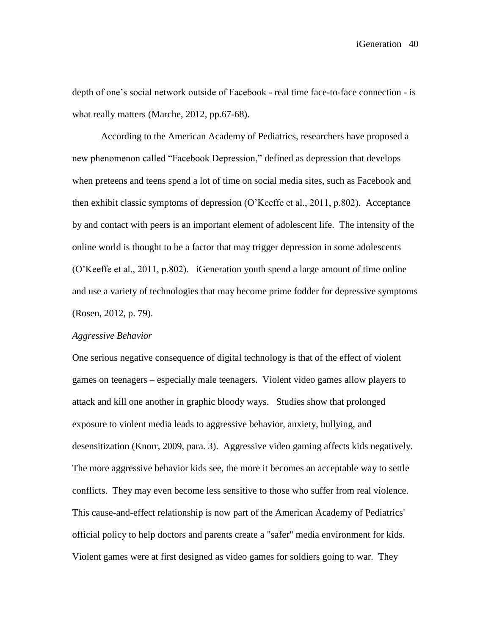depth of one's social network outside of Facebook - real time face-to-face connection - is what really matters (Marche, 2012, pp.67-68).

According to the American Academy of Pediatrics, researchers have proposed a new phenomenon called "Facebook Depression," defined as depression that develops when preteens and teens spend a lot of time on social media sites, such as Facebook and then exhibit classic symptoms of depression (O'Keeffe et al., 2011, p.802). Acceptance by and contact with peers is an important element of adolescent life. The intensity of the online world is thought to be a factor that may trigger depression in some adolescents (O'Keeffe et al., 2011, p.802). iGeneration youth spend a large amount of time online and use a variety of technologies that may become prime fodder for depressive symptoms (Rosen, 2012, p. 79).

#### *Aggressive Behavior*

One serious negative consequence of digital technology is that of the effect of violent games on teenagers – especially male teenagers. Violent video games allow players to attack and kill one another in graphic bloody ways. Studies show that prolonged exposure to violent media leads to aggressive behavior, anxiety, bullying, and desensitization (Knorr, 2009, para. 3). Aggressive video gaming affects kids negatively. The more aggressive behavior kids see, the more it becomes an acceptable way to settle conflicts. They may even become less sensitive to those who suffer from real violence. This cause-and-effect relationship is now part of the American Academy of Pediatrics' [official policy](http://www.commonsensemedia.org/about-us/press-room/daily-digest/pediatrics-blames-media-violence-sex) to help doctors and parents create a "safer" media environment for kids. Violent games were at first designed as video games for soldiers going to war. They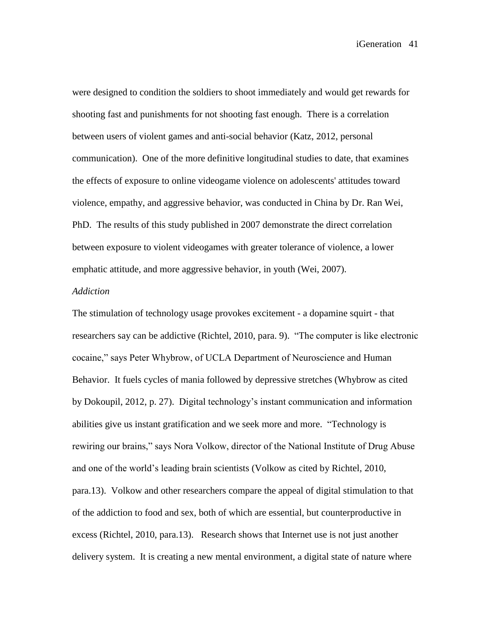were designed to condition the soldiers to shoot immediately and would get rewards for shooting fast and punishments for not shooting fast enough. There is a correlation between users of violent games and anti-social behavior (Katz, 2012, personal communication). One of the more definitive longitudinal studies to date, that examines the effects of exposure to online videogame violence on adolescents' attitudes toward violence, empathy, and aggressive behavior, was conducted in China by Dr. Ran Wei, PhD. The results of this study published in 2007 demonstrate the direct correlation between exposure to violent videogames with greater tolerance of violence, a lower emphatic attitude, and more aggressive behavior, in youth (Wei, 2007).

## *Addiction*

The stimulation of technology usage provokes excitement - a [dopamine](http://health.nytimes.com/health/guides/test/catecholamines-blood/overview.html?inline=nyt-classifier) squirt - that researchers say can be addictive (Richtel, 2010, para. 9). "The computer is like electronic cocaine," says Peter Whybrow, of UCLA Department of Neuroscience and Human Behavior. It fuels cycles of mania followed by depressive stretches (Whybrow as cited by Dokoupil, 2012, p. 27). Digital technology's instant communication and information abilities give us instant gratification and we seek more and more. "Technology is rewiring our brains," says Nora Volkow, director of the National Institute of Drug Abuse and one of the world's leading brain scientists (Volkow as cited by Richtel, 2010, para.13). Volkow and other researchers compare the appeal of digital stimulation to that of the addiction to food and sex, both of which are essential, but counterproductive in excess (Richtel, 2010, para.13). Research shows that Internet use is not just another delivery system. It is creating a new mental environment, a digital state of nature where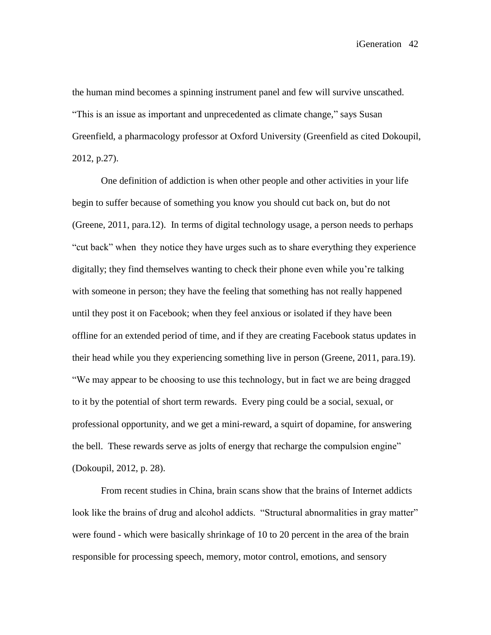the human mind becomes a spinning instrument panel and few will survive unscathed. "This is an issue as important and unprecedented as climate change," says Susan Greenfield, a pharmacology professor at Oxford University (Greenfield as cited Dokoupil, 2012, p.27).

One definition of addiction is when other people and other activities in your life begin to suffer because of something you know you should cut back on, but do not (Greene, 2011, para.12). In terms of digital technology usage, a person needs to perhaps "cut back" when they notice they have urges such as to share everything they experience digitally; they find themselves wanting to check their phone even while you're talking with someone in person; they have the feeling that something has not really happened until they post it on Facebook; when they feel anxious or isolated if they have been offline for an extended period of time, and if they are creating Facebook status updates in their head while you they experiencing something live in person (Greene, 2011, para.19). "We may appear to be choosing to use this technology, but in fact we are being dragged to it by the potential of short term rewards. Every ping could be a social, sexual, or professional opportunity, and we get a mini-reward, a squirt of dopamine, for answering the bell. These rewards serve as jolts of energy that recharge the compulsion engine" (Dokoupil, 2012, p. 28).

From recent studies in China, brain scans show that the brains of Internet addicts look like the brains of drug and alcohol addicts. "Structural abnormalities in gray matter" were found - which were basically shrinkage of 10 to 20 percent in the area of the brain responsible for processing speech, memory, motor control, emotions, and sensory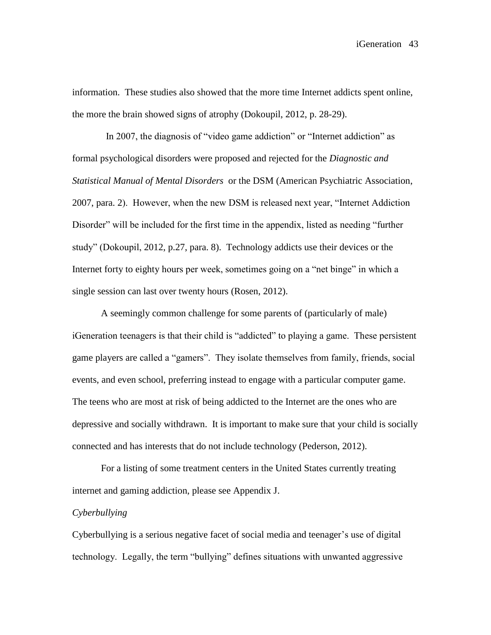information. These studies also showed that the more time Internet addicts spent online, the more the brain showed signs of atrophy (Dokoupil, 2012, p. 28-29).

 In 2007, the diagnosis of "video game addiction" or "Internet addiction" as formal psychological disorders were proposed and rejected for the *[Diagnostic and](http://en.wikipedia.org/wiki/Diagnostic_and_Statistical_Manual_of_Mental_Disorders)  [Statistical Manual of Mental Disorders](http://en.wikipedia.org/wiki/Diagnostic_and_Statistical_Manual_of_Mental_Disorders)* or the DSM (American Psychiatric Association, 2007, para. 2). However, when the new DSM is released next year, "Internet Addiction Disorder" will be included for the first time in the appendix, listed as needing "further study" (Dokoupil, 2012, p.27, para. 8). Technology addicts use their devices or the Internet forty to eighty hours per week, sometimes going on a "net binge" in which a single session can last over twenty hours (Rosen, 2012).

A seemingly common challenge for some parents of (particularly of male) iGeneration teenagers is that their child is "addicted" to playing a game. These persistent game players are called a "gamers". They isolate themselves from family, friends, social events, and even school, preferring instead to engage with a particular computer game. The teens who are most at risk of being addicted to the Internet are the ones who are depressive and socially withdrawn. It is important to make sure that your child is socially connected and has interests that do not include technology (Pederson, 2012).

For a listing of some treatment centers in the United States currently treating internet and gaming addiction, please see Appendix J.

## *Cyberbullying*

Cyberbullying is a serious negative facet of social media and teenager's use of digital technology. Legally, the term "bullying" defines situations with unwanted aggressive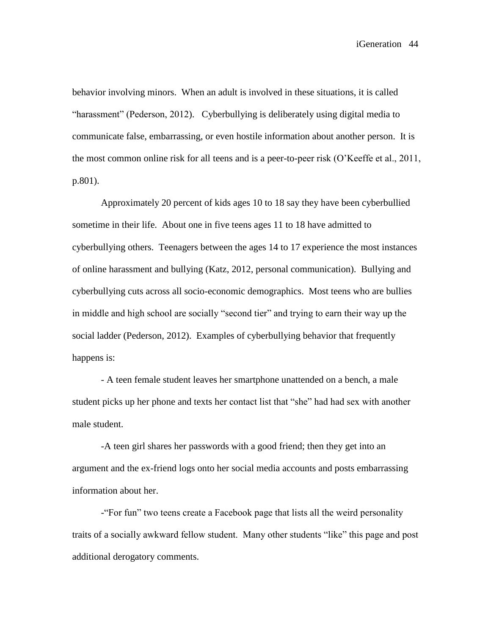behavior involving minors. When an adult is involved in these situations, it is called "harassment" (Pederson, 2012). Cyberbullying is deliberately using digital media to communicate false, embarrassing, or even hostile information about another person. It is the most common online risk for all teens and is a peer-to-peer risk (O'Keeffe et al., 2011, p.801).

Approximately 20 percent of kids ages 10 to 18 say they have been cyberbullied sometime in their life. About one in five teens ages 11 to 18 have admitted to cyberbullying others. Teenagers between the ages 14 to 17 experience the most instances of online harassment and bullying (Katz, 2012, personal communication). Bullying and cyberbullying cuts across all socio-economic demographics. Most teens who are bullies in middle and high school are socially "second tier" and trying to earn their way up the social ladder (Pederson, 2012). Examples of cyberbullying behavior that frequently happens is:

- A teen female student leaves her smartphone unattended on a bench, a male student picks up her phone and texts her contact list that "she" had had sex with another male student.

-A teen girl shares her passwords with a good friend; then they get into an argument and the ex-friend logs onto her social media accounts and posts embarrassing information about her.

-"For fun" two teens create a Facebook page that lists all the weird personality traits of a socially awkward fellow student. Many other students "like" this page and post additional derogatory comments.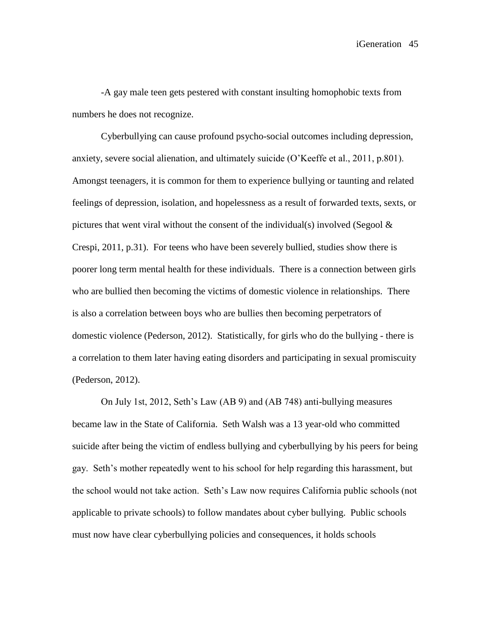-A gay male teen gets pestered with constant insulting homophobic texts from numbers he does not recognize.

Cyberbullying can cause profound psycho-social outcomes including depression, anxiety, severe social alienation, and ultimately suicide (O'Keeffe et al., 2011, p.801). Amongst teenagers, it is common for them to experience bullying or taunting and related feelings of depression, isolation, and hopelessness as a result of forwarded texts, sexts, or pictures that went viral without the consent of the individual(s) involved (Segool  $\&$ Crespi, 2011, p.31). For teens who have been severely bullied, studies show there is poorer long term mental health for these individuals. There is a connection between girls who are bullied then becoming the victims of domestic violence in relationships. There is also a correlation between boys who are bullies then becoming perpetrators of domestic violence (Pederson, 2012). Statistically, for girls who do the bullying - there is a correlation to them later having eating disorders and participating in sexual promiscuity (Pederson, 2012).

On July 1st, 2012, Seth's Law (AB 9) and (AB 748) anti-bullying measures became law in the State of California. Seth Walsh was a 13 year-old who committed suicide after being the victim of endless bullying and cyberbullying by his peers for being gay. Seth's mother repeatedly went to his school for help regarding this harassment, but the school would not take action. Seth's Law now requires California public schools (not applicable to private schools) to follow mandates about cyber bullying. Public schools must now have clear cyberbullying policies and consequences, it holds schools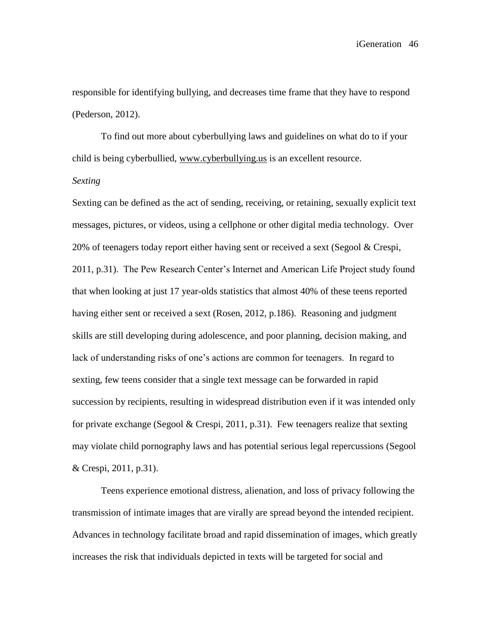responsible for identifying bullying, and decreases time frame that they have to respond (Pederson, 2012).

To find out more about cyberbullying laws and guidelines on what do to if your child is being cyberbullied, [www.cyberbullying.us](http://www.cyberbullying.us/) is an excellent resource.

# *Sexting*

Sexting can be defined as the act of sending, receiving, or retaining, sexually explicit text messages, pictures, or videos, using a cellphone or other digital media technology. Over 20% of teenagers today report either having sent or received a sext (Segool & Crespi, 2011, p.31). The Pew Research Center's Internet and American Life Project study found that when looking at just 17 year-olds statistics that almost 40% of these teens reported having either sent or received a sext (Rosen, 2012, p.186). Reasoning and judgment skills are still developing during adolescence, and poor planning, decision making, and lack of understanding risks of one's actions are common for teenagers. In regard to sexting, few teens consider that a single text message can be forwarded in rapid succession by recipients, resulting in widespread distribution even if it was intended only for private exchange (Segool & Crespi, 2011, p.31). Few teenagers realize that sexting may violate child pornography laws and has potential serious legal repercussions (Segool & Crespi, 2011, p.31).

Teens experience emotional distress, alienation, and loss of privacy following the transmission of intimate images that are virally are spread beyond the intended recipient. Advances in technology facilitate broad and rapid dissemination of images, which greatly increases the risk that individuals depicted in texts will be targeted for social and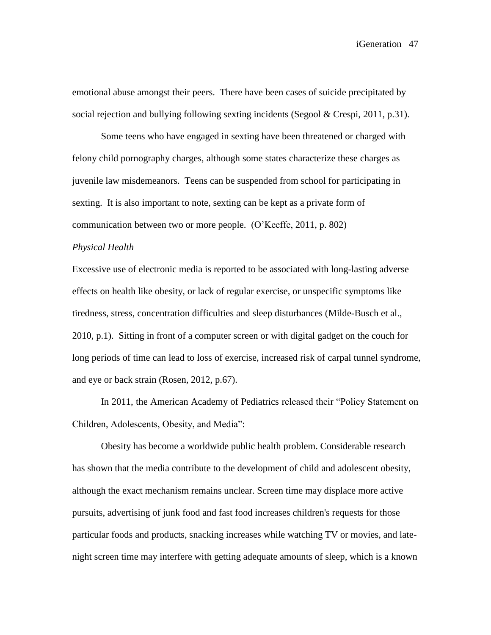emotional abuse amongst their peers. There have been cases of suicide precipitated by social rejection and bullying following sexting incidents (Segool & Crespi, 2011, p.31).

Some teens who have engaged in sexting have been threatened or charged with felony child pornography charges, although some states characterize these charges as juvenile law misdemeanors. Teens can be suspended from school for participating in sexting. It is also important to note, sexting can be kept as a private form of communication between two or more people. (O'Keeffe, 2011, p. 802)

#### *Physical Health*

Excessive use of electronic media is reported to be associated with long-lasting adverse effects on health like obesity, or lack of regular exercise, or unspecific symptoms like tiredness, stress, concentration difficulties and sleep disturbances (Milde-Busch et al., 2010, p.1). Sitting in front of a computer screen or with digital gadget on the couch for long periods of time can lead to loss of exercise, increased risk of carpal tunnel syndrome, and eye or back strain (Rosen, 2012, p.67).

In 2011, the American Academy of Pediatrics released their "Policy Statement on Children, Adolescents, Obesity, and Media":

Obesity has become a worldwide public health problem. Considerable research has shown that the media contribute to the development of child and adolescent obesity, although the exact mechanism remains unclear. Screen time may displace more active pursuits, advertising of junk food and fast food increases children's requests for those particular foods and products, snacking increases while watching TV or movies, and latenight screen time may interfere with getting adequate amounts of sleep, which is a known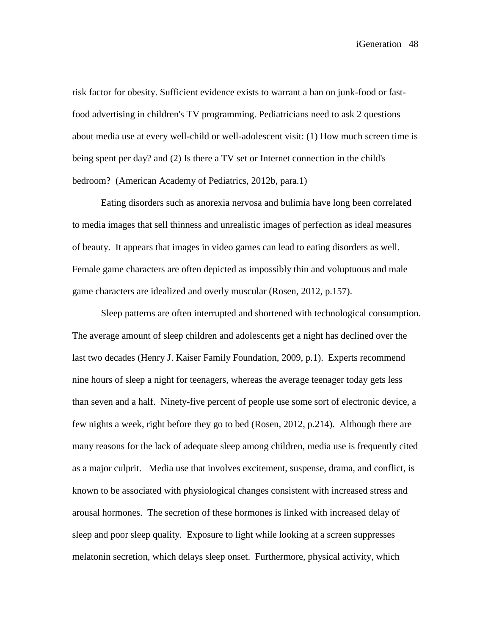risk factor for obesity. Sufficient evidence exists to warrant a ban on junk-food or fastfood advertising in children's TV programming. Pediatricians need to ask 2 questions about media use at every well-child or well-adolescent visit: (1) How much screen time is being spent per day? and (2) Is there a TV set or Internet connection in the child's bedroom? (American Academy of Pediatrics, 2012b, para.1)

Eating disorders such as anorexia nervosa and bulimia have long been correlated to media images that sell thinness and unrealistic images of perfection as ideal measures of beauty. It appears that images in video games can lead to eating disorders as well. Female game characters are often depicted as impossibly thin and voluptuous and male game characters are idealized and overly muscular (Rosen, 2012, p.157).

Sleep patterns are often interrupted and shortened with technological consumption. The average amount of sleep children and adolescents get a night has declined over the last two decades (Henry J. Kaiser Family Foundation, 2009, p.1). Experts recommend nine hours of sleep a night for teenagers, whereas the average teenager today gets less than seven and a half. Ninety-five percent of people use some sort of electronic device, a few nights a week, right before they go to bed (Rosen, 2012, p.214). Although there are many reasons for the lack of adequate sleep among children, media use is frequently cited as a major culprit. Media use that involves excitement, suspense, drama, and conflict, is known to be associated with physiological changes consistent with increased stress and arousal hormones. The secretion of these hormones is linked with increased delay of sleep and poor sleep quality. Exposure to light while looking at a screen suppresses melatonin secretion, which delays sleep onset. Furthermore, physical activity, which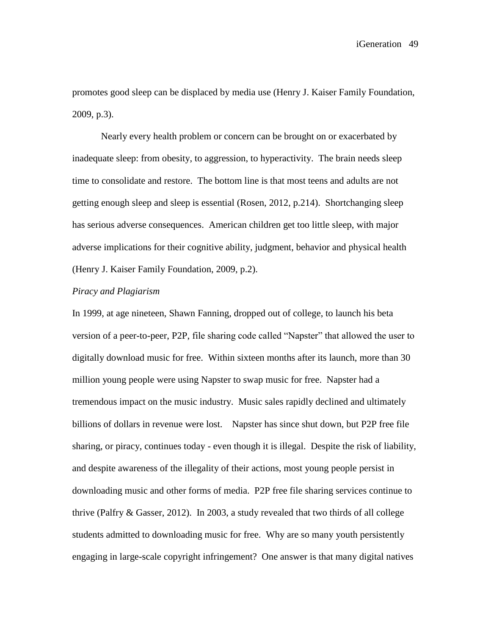promotes good sleep can be displaced by media use (Henry J. Kaiser Family Foundation, 2009, p.3).

Nearly every health problem or concern can be brought on or exacerbated by inadequate sleep: from obesity, to aggression, to hyperactivity. The brain needs sleep time to consolidate and restore. The bottom line is that most teens and adults are not getting enough sleep and sleep is essential (Rosen, 2012, p.214). Shortchanging sleep has serious adverse consequences. American children get too little sleep, with major adverse implications for their cognitive ability, judgment, behavior and physical health (Henry J. Kaiser Family Foundation, 2009, p.2).

# *Piracy and Plagiarism*

In 1999, at age nineteen, Shawn Fanning, dropped out of college, to launch his beta version of a peer-to-peer, P2P, file sharing code called "Napster" that allowed the user to digitally download music for free. Within sixteen months after its launch, more than 30 million young people were using Napster to swap music for free. Napster had a tremendous impact on the music industry. Music sales rapidly declined and ultimately billions of dollars in revenue were lost. Napster has since shut down, but P2P free file sharing, or piracy, continues today - even though it is illegal. Despite the risk of liability, and despite awareness of the illegality of their actions, most young people persist in downloading music and other forms of media. P2P free file sharing services continue to thrive (Palfry & Gasser, 2012). In 2003, a study revealed that two thirds of all college students admitted to downloading music for free. Why are so many youth persistently engaging in large-scale copyright infringement? One answer is that many digital natives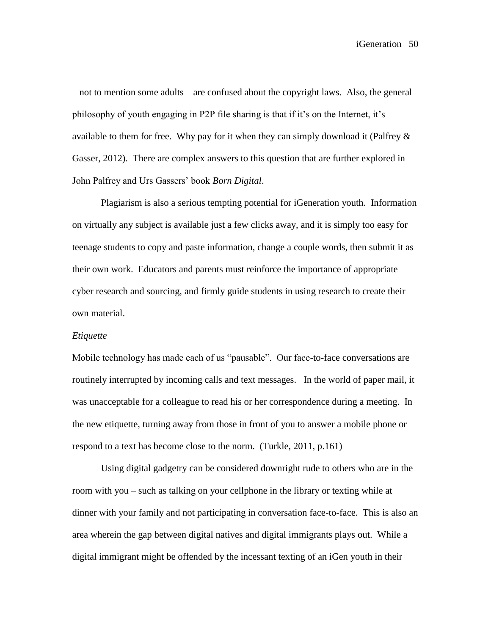– not to mention some adults – are confused about the copyright laws. Also, the general philosophy of youth engaging in P2P file sharing is that if it's on the Internet, it's available to them for free. Why pay for it when they can simply download it (Palfrey  $\&$ Gasser, 2012). There are complex answers to this question that are further explored in John Palfrey and Urs Gassers' book *Born Digital*.

Plagiarism is also a serious tempting potential for iGeneration youth. Information on virtually any subject is available just a few clicks away, and it is simply too easy for teenage students to copy and paste information, change a couple words, then submit it as their own work. Educators and parents must reinforce the importance of appropriate cyber research and sourcing, and firmly guide students in using research to create their own material.

### *Etiquette*

Mobile technology has made each of us "pausable". Our face-to-face conversations are routinely interrupted by incoming calls and text messages. In the world of paper mail, it was unacceptable for a colleague to read his or her correspondence during a meeting. In the new etiquette, turning away from those in front of you to answer a mobile phone or respond to a text has become close to the norm. (Turkle, 2011, p.161)

Using digital gadgetry can be considered downright rude to others who are in the room with you – such as talking on your cellphone in the library or texting while at dinner with your family and not participating in conversation face-to-face. This is also an area wherein the gap between digital natives and digital immigrants plays out. While a digital immigrant might be offended by the incessant texting of an iGen youth in their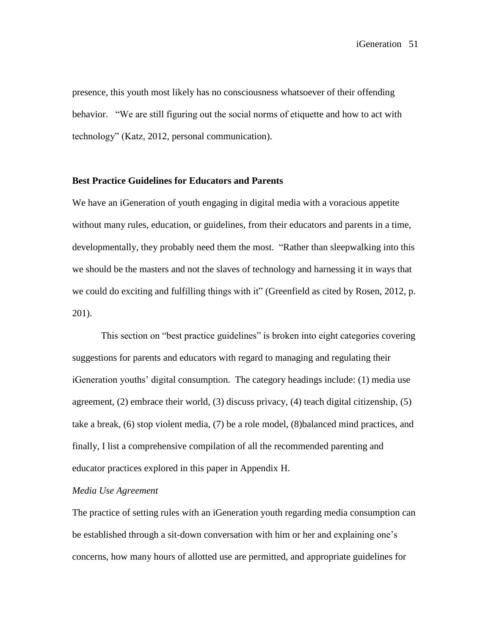presence, this youth most likely has no consciousness whatsoever of their offending behavior. "We are still figuring out the social norms of etiquette and how to act with technology" (Katz, 2012, personal communication).

## **Best Practice Guidelines for Educators and Parents**

We have an iGeneration of youth engaging in digital media with a voracious appetite without many rules, education, or guidelines, from their educators and parents in a time, developmentally, they probably need them the most. "Rather than sleepwalking into this we should be the masters and not the slaves of technology and harnessing it in ways that we could do exciting and fulfilling things with it" (Greenfield as cited by Rosen, 2012, p. 201).

This section on "best practice guidelines" is broken into eight categories covering suggestions for parents and educators with regard to managing and regulating their iGeneration youths' digital consumption. The category headings include: (1) media use agreement, (2) embrace their world, (3) discuss privacy, (4) teach digital citizenship, (5) take a break, (6) stop violent media, (7) be a role model, (8)balanced mind practices, and finally, I list a comprehensive compilation of all the recommended parenting and educator practices explored in this paper in Appendix H.

### *Media Use Agreement*

The practice of setting rules with an iGeneration youth regarding media consumption can be established through a sit-down conversation with him or her and explaining one's concerns, how many hours of allotted use are permitted, and appropriate guidelines for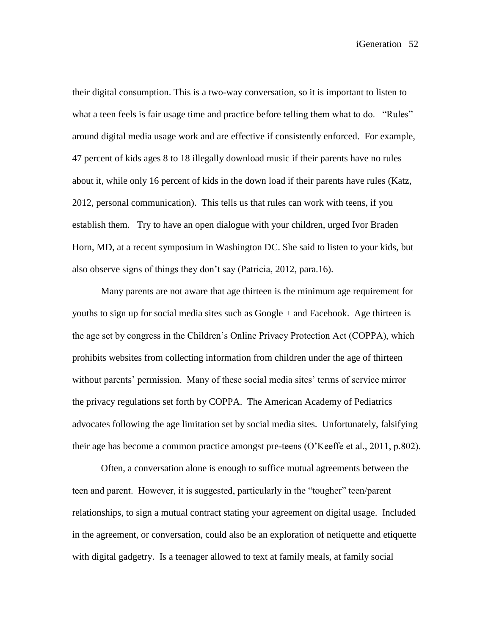their digital consumption. This is a two-way conversation, so it is important to listen to what a teen feels is fair usage time and practice before telling them what to do. "Rules" around digital media usage work and are effective if consistently enforced. For example, 47 percent of kids ages 8 to 18 illegally download music if their parents have no rules about it, while only 16 percent of kids in the down load if their parents have rules (Katz, 2012, personal communication). This tells us that rules can work with teens, if you establish them. Try to have an open dialogue with your children, urged Ivor Braden Horn, MD, at a recent symposium in Washington DC. She said to listen to your kids, but also observe signs of things they don't say (Patricia, 2012, para.16).

Many parents are not aware that age thirteen is the minimum age requirement for youths to sign up for social media sites such as Google + and Facebook. Age thirteen is the age set by congress in the Children's Online Privacy Protection Act (COPPA), which prohibits websites from collecting information from children under the age of thirteen without parents' permission. Many of these social media sites' terms of service mirror the privacy regulations set forth by COPPA. The American Academy of Pediatrics advocates following the age limitation set by social media sites. Unfortunately, falsifying their age has become a common practice amongst pre-teens (O'Keeffe et al., 2011, p.802).

Often, a conversation alone is enough to suffice mutual agreements between the teen and parent. However, it is suggested, particularly in the "tougher" teen/parent relationships, to sign a mutual contract stating your agreement on digital usage. Included in the agreement, or conversation, could also be an exploration of netiquette and etiquette with digital gadgetry. Is a teenager allowed to text at family meals, at family social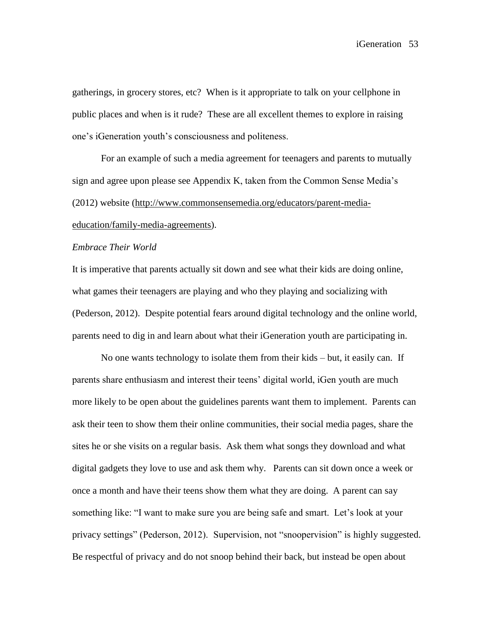gatherings, in grocery stores, etc? When is it appropriate to talk on your cellphone in public places and when is it rude? These are all excellent themes to explore in raising one's iGeneration youth's consciousness and politeness.

For an example of such a media agreement for teenagers and parents to mutually sign and agree upon please see Appendix K, taken from the Common Sense Media's (2012) website [\(http://www.commonsensemedia.org/educators/parent-media-](http://www.commonsensemedia.org/educators/parent-media-education/family-media-agreements)

# [education/family-media-agreements\)](http://www.commonsensemedia.org/educators/parent-media-education/family-media-agreements).

## *Embrace Their World*

It is imperative that parents actually sit down and see what their kids are doing online, what games their teenagers are playing and who they playing and socializing with (Pederson, 2012). Despite potential fears around digital technology and the online world, parents need to dig in and learn about what their iGeneration youth are participating in.

No one wants technology to isolate them from their kids – but, it easily can. If parents share enthusiasm and interest their teens' digital world, iGen youth are much more likely to be open about the guidelines parents want them to implement. Parents can ask their teen to show them their online communities, their social media pages, share the sites he or she visits on a regular basis. Ask them what songs they download and what digital gadgets they love to use and ask them why. Parents can sit down once a week or once a month and have their teens show them what they are doing. A parent can say something like: "I want to make sure you are being safe and smart. Let's look at your privacy settings" (Pederson, 2012). Supervision, not "snoopervision" is highly suggested. Be respectful of privacy and do not snoop behind their back, but instead be open about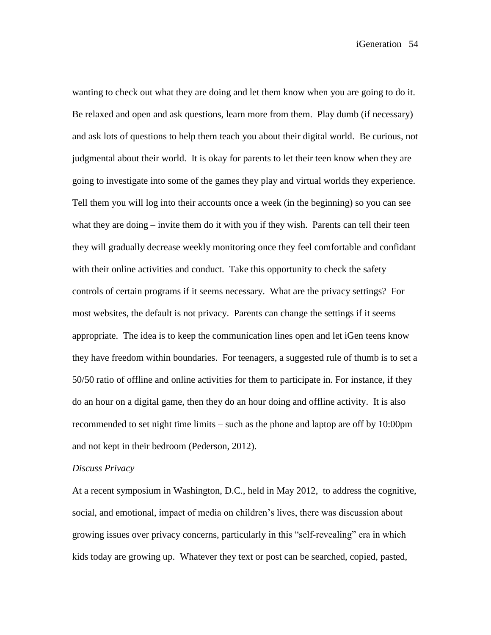wanting to check out what they are doing and let them know when you are going to do it. Be relaxed and open and ask questions, learn more from them. Play dumb (if necessary) and ask lots of questions to help them teach you about their digital world. Be curious, not judgmental about their world. It is okay for parents to let their teen know when they are going to investigate into some of the games they play and virtual worlds they experience. Tell them you will log into their accounts once a week (in the beginning) so you can see what they are doing – invite them do it with you if they wish. Parents can tell their teen they will gradually decrease weekly monitoring once they feel comfortable and confidant with their online activities and conduct. Take this opportunity to check the safety controls of certain programs if it seems necessary. What are the privacy settings? For most websites, the default is not privacy. Parents can change the settings if it seems appropriate. The idea is to keep the communication lines open and let iGen teens know they have freedom within boundaries. For teenagers, a suggested rule of thumb is to set a 50/50 ratio of offline and online activities for them to participate in. For instance, if they do an hour on a digital game, then they do an hour doing and offline activity. It is also recommended to set night time limits – such as the phone and laptop are off by 10:00pm and not kept in their bedroom (Pederson, 2012).

### *Discuss Privacy*

At a recent symposium in Washington, D.C., held in May 2012, to address the cognitive, social, and emotional, impact of media on children's lives, there was discussion about growing issues over privacy concerns, particularly in this "self-revealing" era in which kids today are growing up. Whatever they text or post can be searched, copied, pasted,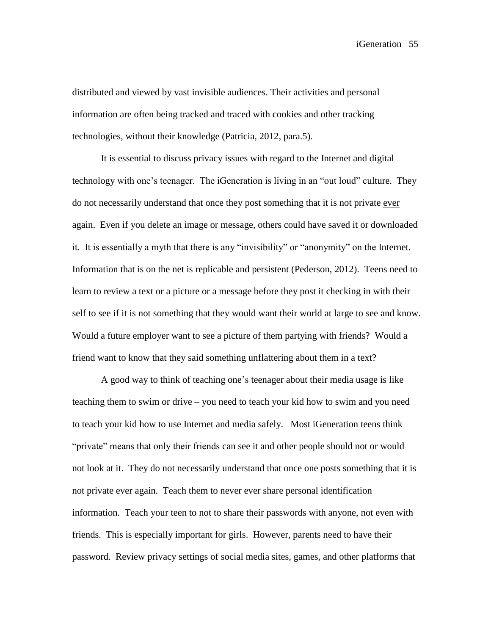distributed and viewed by vast invisible audiences. Their activities and personal information are often being tracked and traced with cookies and other tracking technologies, without their knowledge (Patricia, 2012, para.5).

It is essential to discuss privacy issues with regard to the Internet and digital technology with one's teenager. The iGeneration is living in an "out loud" culture. They do not necessarily understand that once they post something that it is not private ever again. Even if you delete an image or message, others could have saved it or downloaded it. It is essentially a myth that there is any "invisibility" or "anonymity" on the Internet. Information that is on the net is replicable and persistent (Pederson, 2012). Teens need to learn to review a text or a picture or a message before they post it checking in with their self to see if it is not something that they would want their world at large to see and know. Would a future employer want to see a picture of them partying with friends? Would a friend want to know that they said something unflattering about them in a text?

A good way to think of teaching one's teenager about their media usage is like teaching them to swim or drive – you need to teach your kid how to swim and you need to teach your kid how to use Internet and media safely. Most iGeneration teens think "private" means that only their friends can see it and other people should not or would not look at it. They do not necessarily understand that once one posts something that it is not private ever again. Teach them to never ever share personal identification information. Teach your teen to not to share their passwords with anyone, not even with friends. This is especially important for girls. However, parents need to have their password. Review privacy settings of social media sites, games, and other platforms that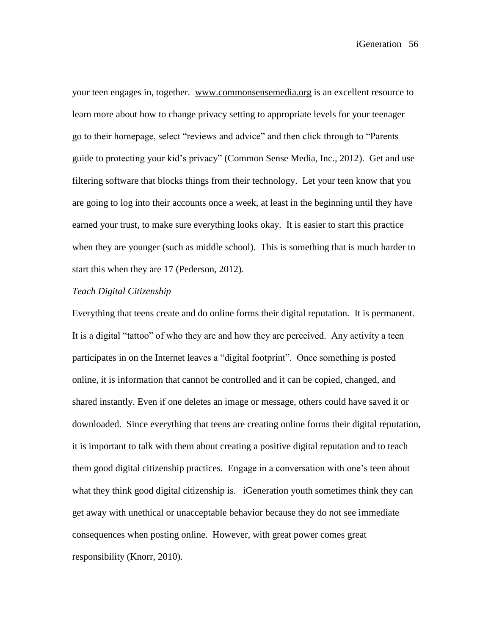your teen engages in, together. [www.commonsensemedia.org](http://www.commonsensemedia.org/) is an excellent resource to learn more about how to change privacy setting to appropriate levels for your teenager – go to their homepage, select "reviews and advice" and then click through to "Parents guide to protecting your kid's privacy" (Common Sense Media, Inc., 2012). Get and use filtering software that blocks things from their technology. Let your teen know that you are going to log into their accounts once a week, at least in the beginning until they have earned your trust, to make sure everything looks okay. It is easier to start this practice when they are younger (such as middle school). This is something that is much harder to start this when they are 17 (Pederson, 2012).

# *Teach Digital Citizenship*

Everything that teens create and do online forms their digital reputation. It is permanent. It is a digital "tattoo" of who they are and how they are perceived. Any activity a teen participates in on the Internet leaves a "digital footprint". Once something is posted online, it is information that cannot be controlled and it can be copied, changed, and shared instantly. Even if one deletes an image or message, others could have saved it or downloaded. Since everything that teens are creating online forms their digital reputation, it is important to talk with them about creating a positive digital reputation and to teach them good digital citizenship practices. Engage in a conversation with one's teen about what they think good digital citizenship is. iGeneration youth sometimes think they can get away with unethical or unacceptable behavior because they do not see immediate consequences when posting online. However, with great power comes great responsibility (Knorr, 2010).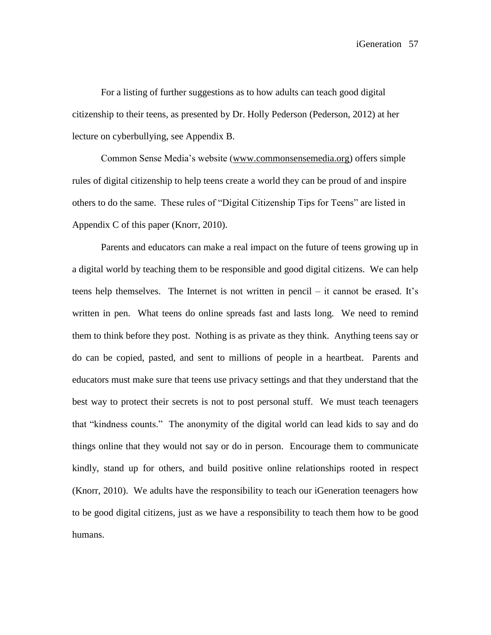For a listing of further suggestions as to how adults can teach good digital citizenship to their teens, as presented by Dr. Holly Pederson (Pederson, 2012) at her lecture on cyberbullying, see Appendix B.

Common Sense Media's website [\(www.commonsensemedia.org\)](http://www.commonsensemedia.org/) offers simple rules of digital citizenship to help teens create a world they can be proud of and inspire others to do the same. These rules of "Digital Citizenship Tips for Teens" are listed in Appendix C of this paper (Knorr, 2010).

Parents and educators can make a real impact on the future of teens growing up in a digital world by teaching them to be responsible and good digital citizens. We can help teens help themselves. The Internet is not written in pencil – it cannot be erased. It's written in pen. What teens do online spreads fast and lasts long. We need to remind them to think before they post. Nothing is as private as they think. Anything teens say or do can be copied, pasted, and sent to millions of people in a heartbeat. Parents and educators must make sure that teens use privacy settings and that they understand that the best way to protect their secrets is not to post personal stuff. We must teach teenagers that "kindness counts." The anonymity of the digital world can lead kids to say and do things online that they would not say or do in person. Encourage them to communicate kindly, stand up for others, and build positive online relationships rooted in respect (Knorr, 2010). We adults have the responsibility to teach our iGeneration teenagers how to be good digital citizens, just as we have a responsibility to teach them how to be good humans.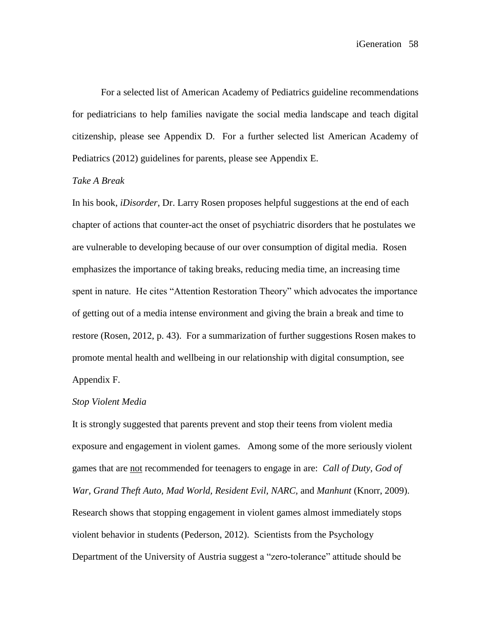For a selected list of American Academy of Pediatrics guideline recommendations for pediatricians to help families navigate the social media landscape and teach digital citizenship, please see Appendix D. For a further selected list American Academy of Pediatrics (2012) guidelines for parents, please see Appendix E.

# *Take A Break*

In his book, *iDisorder*, Dr. Larry Rosen proposes helpful suggestions at the end of each chapter of actions that counter-act the onset of psychiatric disorders that he postulates we are vulnerable to developing because of our over consumption of digital media. Rosen emphasizes the importance of taking breaks, reducing media time, an increasing time spent in nature. He cites "Attention Restoration Theory" which advocates the importance of getting out of a media intense environment and giving the brain a break and time to restore (Rosen, 2012, p. 43). For a summarization of further suggestions Rosen makes to promote mental health and wellbeing in our relationship with digital consumption, see Appendix F.

### *Stop Violent Media*

It is strongly suggested that parents prevent and stop their teens from violent media exposure and engagement in violent games. Among some of the more seriously violent games that are not recommended for teenagers to engage in are: *Call of Duty, God of War, Grand Theft Auto, Mad World, Resident Evil, NARC,* and *Manhunt* (Knorr, 2009). Research shows that stopping engagement in violent games almost immediately stops violent behavior in students (Pederson, 2012). Scientists from the Psychology Department of the University of Austria suggest a "zero-tolerance" attitude should be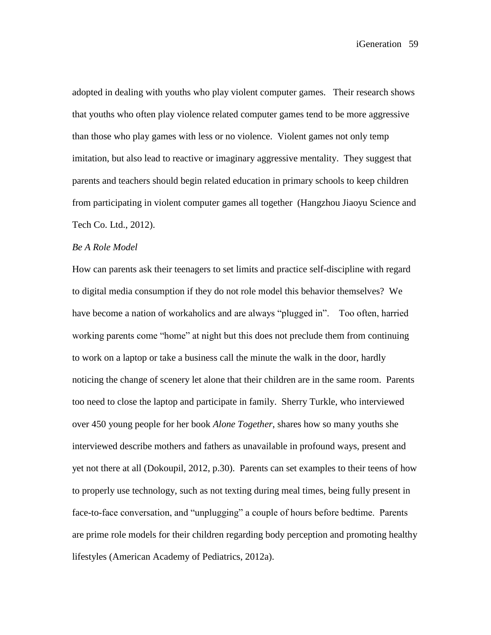adopted in dealing with youths who play violent computer games. Their research shows that youths who often play violence related computer games tend to be more aggressive than those who play games with less or no violence. Violent games not only temp imitation, but also lead to reactive or imaginary aggressive mentality. They suggest that parents and teachers should begin related education in primary schools to keep children from participating in violent computer games all together (Hangzhou Jiaoyu Science and Tech Co. Ltd., 2012).

### *Be A Role Model*

How can parents ask their teenagers to set limits and practice self-discipline with regard to digital media consumption if they do not role model this behavior themselves? We have become a nation of workaholics and are always "plugged in". Too often, harried working parents come "home" at night but this does not preclude them from continuing to work on a laptop or take a business call the minute the walk in the door, hardly noticing the change of scenery let alone that their children are in the same room. Parents too need to close the laptop and participate in family. Sherry Turkle, who interviewed over 450 young people for her book *Alone Together*, shares how so many youths she interviewed describe mothers and fathers as unavailable in profound ways, present and yet not there at all (Dokoupil, 2012, p.30). Parents can set examples to their teens of how to properly use technology, such as not texting during meal times, being fully present in face-to-face conversation, and "unplugging" a couple of hours before bedtime. Parents are prime role models for their children regarding body perception and promoting healthy lifestyles (American Academy of Pediatrics, 2012a).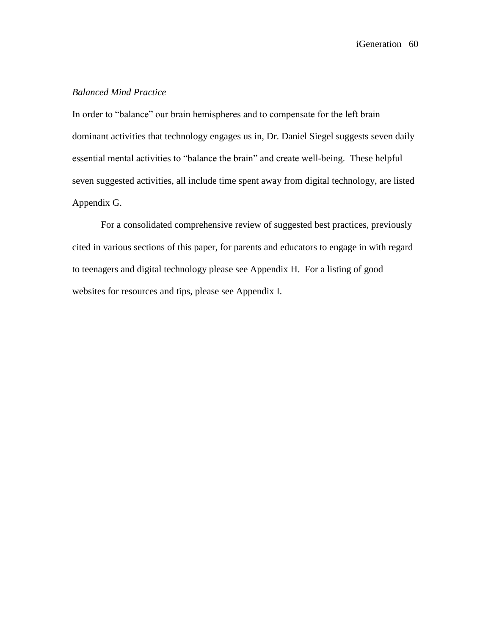### *Balanced Mind Practice*

In order to "balance" our brain hemispheres and to compensate for the left brain dominant activities that technology engages us in, Dr. Daniel Siegel suggests seven daily essential mental activities to "balance the brain" and create well-being. These helpful seven suggested activities, all include time spent away from digital technology, are listed Appendix G.

For a consolidated comprehensive review of suggested best practices, previously cited in various sections of this paper, for parents and educators to engage in with regard to teenagers and digital technology please see Appendix H. For a listing of good websites for resources and tips, please see Appendix I.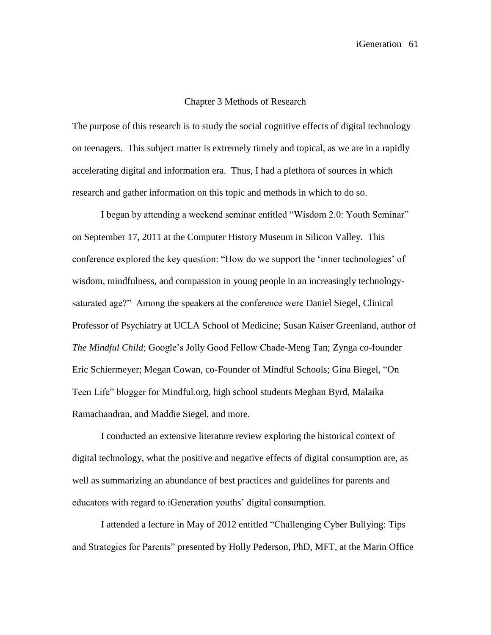#### Chapter 3 Methods of Research

The purpose of this research is to study the social cognitive effects of digital technology on teenagers. This subject matter is extremely timely and topical, as we are in a rapidly accelerating digital and information era. Thus, I had a plethora of sources in which research and gather information on this topic and methods in which to do so.

I began by attending a weekend seminar entitled "Wisdom 2.0: Youth Seminar" on September 17, 2011 at the Computer History Museum in Silicon Valley. This conference explored the key question: "How do we support the 'inner technologies' of wisdom, mindfulness, and compassion in young people in an increasingly technologysaturated age?" Among the speakers at the conference were Daniel Siegel, Clinical Professor of Psychiatry at UCLA School of Medicine; Susan Kaiser Greenland, author of *The Mindful Child*; Google's Jolly Good Fellow Chade-Meng Tan; Zynga co-founder Eric Schiermeyer; Megan Cowan, co-Founder of Mindful Schools; Gina Biegel, ["On](http://mindful.org/mindful-voices/on-teen-life)  [Teen Life" blogger](http://mindful.org/mindful-voices/on-teen-life) for Mindful.org, high school students Meghan Byrd, Malaika Ramachandran, and Maddie Siegel, and more.

I conducted an extensive literature review exploring the historical context of digital technology, what the positive and negative effects of digital consumption are, as well as summarizing an abundance of best practices and guidelines for parents and educators with regard to iGeneration youths' digital consumption.

I attended a lecture in May of 2012 entitled "Challenging Cyber Bullying: Tips and Strategies for Parents" presented by Holly Pederson, PhD, MFT, at the Marin Office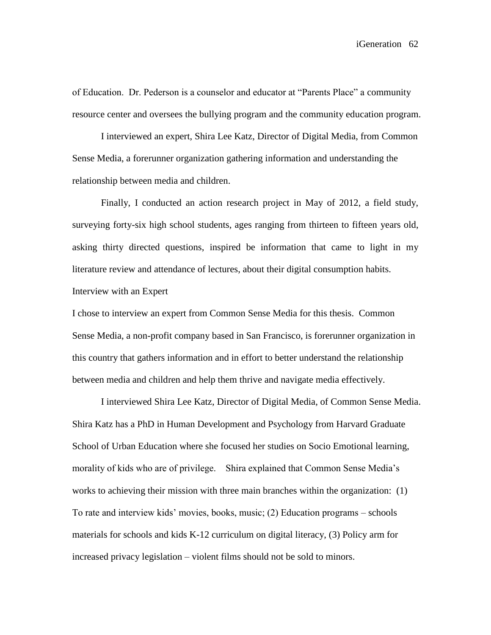of Education. Dr. Pederson is a counselor and educator at "Parents Place" a community resource center and oversees the bullying program and the community education program.

I interviewed an expert, Shira Lee Katz, Director of Digital Media, from Common Sense Media, a forerunner organization gathering information and understanding the relationship between media and children.

Finally, I conducted an action research project in May of 2012, a field study, surveying forty-six high school students, ages ranging from thirteen to fifteen years old, asking thirty directed questions, inspired be information that came to light in my literature review and attendance of lectures, about their digital consumption habits. Interview with an Expert

I chose to interview an expert from Common Sense Media for this thesis. Common Sense Media, a non-profit company based in San Francisco, is forerunner organization in this country that gathers information and in effort to better understand the relationship between media and children and help them thrive and navigate media effectively.

I interviewed Shira Lee Katz, Director of Digital Media, of Common Sense Media. Shira Katz has a PhD in Human Development and Psychology from Harvard Graduate School of Urban Education where she focused her studies on Socio Emotional learning, morality of kids who are of privilege. Shira explained that Common Sense Media's works to achieving their mission with three main branches within the organization: (1) To rate and interview kids' movies, books, music; (2) Education programs – schools materials for schools and kids K-12 curriculum on digital literacy, (3) Policy arm for increased privacy legislation – violent films should not be sold to minors.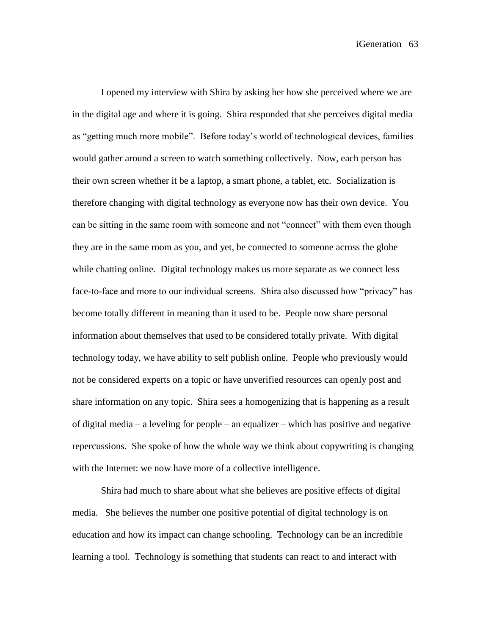I opened my interview with Shira by asking her how she perceived where we are in the digital age and where it is going. Shira responded that she perceives digital media as "getting much more mobile". Before today's world of technological devices, families would gather around a screen to watch something collectively. Now, each person has their own screen whether it be a laptop, a smart phone, a tablet, etc. Socialization is therefore changing with digital technology as everyone now has their own device. You can be sitting in the same room with someone and not "connect" with them even though they are in the same room as you, and yet, be connected to someone across the globe while chatting online. Digital technology makes us more separate as we connect less face-to-face and more to our individual screens. Shira also discussed how "privacy" has become totally different in meaning than it used to be. People now share personal information about themselves that used to be considered totally private. With digital technology today, we have ability to self publish online. People who previously would not be considered experts on a topic or have unverified resources can openly post and share information on any topic. Shira sees a homogenizing that is happening as a result of digital media – a leveling for people – an equalizer – which has positive and negative repercussions. She spoke of how the whole way we think about copywriting is changing with the Internet: we now have more of a collective intelligence.

Shira had much to share about what she believes are positive effects of digital media. She believes the number one positive potential of digital technology is on education and how its impact can change schooling. Technology can be an incredible learning a tool. Technology is something that students can react to and interact with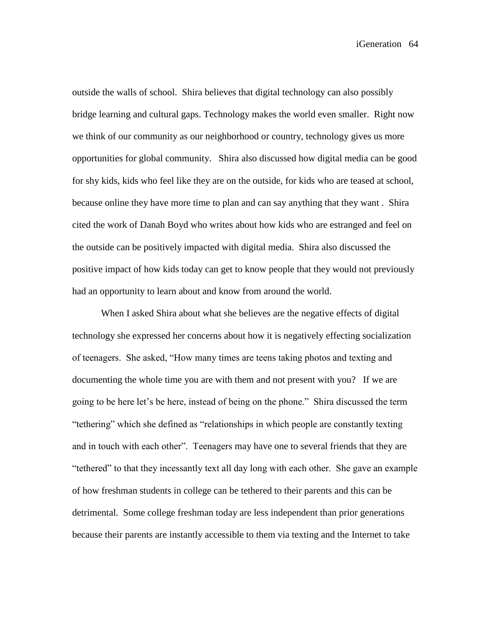outside the walls of school. Shira believes that digital technology can also possibly bridge learning and cultural gaps. Technology makes the world even smaller. Right now we think of our community as our neighborhood or country, technology gives us more opportunities for global community. Shira also discussed how digital media can be good for shy kids, kids who feel like they are on the outside, for kids who are teased at school, because online they have more time to plan and can say anything that they want . Shira cited the work of Danah Boyd who writes about how kids who are estranged and feel on the outside can be positively impacted with digital media. Shira also discussed the positive impact of how kids today can get to know people that they would not previously had an opportunity to learn about and know from around the world.

When I asked Shira about what she believes are the negative effects of digital technology she expressed her concerns about how it is negatively effecting socialization of teenagers. She asked, "How many times are teens taking photos and texting and documenting the whole time you are with them and not present with you? If we are going to be here let's be here, instead of being on the phone." Shira discussed the term "tethering" which she defined as "relationships in which people are constantly texting and in touch with each other". Teenagers may have one to several friends that they are "tethered" to that they incessantly text all day long with each other. She gave an example of how freshman students in college can be tethered to their parents and this can be detrimental. Some college freshman today are less independent than prior generations because their parents are instantly accessible to them via texting and the Internet to take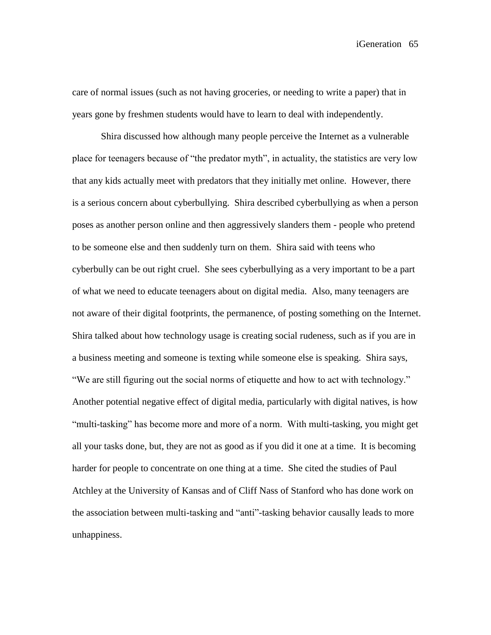care of normal issues (such as not having groceries, or needing to write a paper) that in years gone by freshmen students would have to learn to deal with independently.

Shira discussed how although many people perceive the Internet as a vulnerable place for teenagers because of "the predator myth", in actuality, the statistics are very low that any kids actually meet with predators that they initially met online. However, there is a serious concern about cyberbullying. Shira described cyberbullying as when a person poses as another person online and then aggressively slanders them - people who pretend to be someone else and then suddenly turn on them. Shira said with teens who cyberbully can be out right cruel. She sees cyberbullying as a very important to be a part of what we need to educate teenagers about on digital media. Also, many teenagers are not aware of their digital footprints, the permanence, of posting something on the Internet. Shira talked about how technology usage is creating social rudeness, such as if you are in a business meeting and someone is texting while someone else is speaking. Shira says, "We are still figuring out the social norms of etiquette and how to act with technology." Another potential negative effect of digital media, particularly with digital natives, is how "multi-tasking" has become more and more of a norm. With multi-tasking, you might get all your tasks done, but, they are not as good as if you did it one at a time. It is becoming harder for people to concentrate on one thing at a time. She cited the studies of Paul Atchley at the University of Kansas and of Cliff Nass of Stanford who has done work on the association between multi-tasking and "anti"-tasking behavior causally leads to more unhappiness.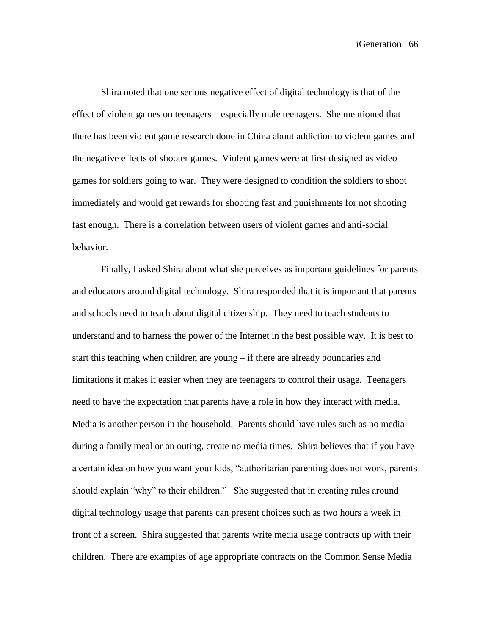Shira noted that one serious negative effect of digital technology is that of the effect of violent games on teenagers – especially male teenagers. She mentioned that there has been violent game research done in China about addiction to violent games and the negative effects of shooter games. Violent games were at first designed as video games for soldiers going to war. They were designed to condition the soldiers to shoot immediately and would get rewards for shooting fast and punishments for not shooting fast enough. There is a correlation between users of violent games and anti-social behavior.

Finally, I asked Shira about what she perceives as important guidelines for parents and educators around digital technology. Shira responded that it is important that parents and schools need to teach about digital citizenship. They need to teach students to understand and to harness the power of the Internet in the best possible way. It is best to start this teaching when children are young – if there are already boundaries and limitations it makes it easier when they are teenagers to control their usage. Teenagers need to have the expectation that parents have a role in how they interact with media. Media is another person in the household. Parents should have rules such as no media during a family meal or an outing, create no media times. Shira believes that if you have a certain idea on how you want your kids, "authoritarian parenting does not work, parents should explain "why" to their children." She suggested that in creating rules around digital technology usage that parents can present choices such as two hours a week in front of a screen. Shira suggested that parents write media usage contracts up with their children. There are examples of age appropriate contracts on the Common Sense Media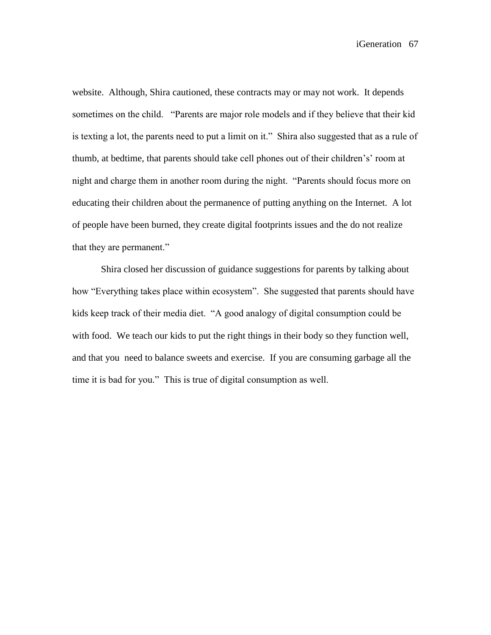website. Although, Shira cautioned, these contracts may or may not work. It depends sometimes on the child. "Parents are major role models and if they believe that their kid is texting a lot, the parents need to put a limit on it." Shira also suggested that as a rule of thumb, at bedtime, that parents should take cell phones out of their children's' room at night and charge them in another room during the night. "Parents should focus more on educating their children about the permanence of putting anything on the Internet. A lot of people have been burned, they create digital footprints issues and the do not realize that they are permanent."

Shira closed her discussion of guidance suggestions for parents by talking about how "Everything takes place within ecosystem". She suggested that parents should have kids keep track of their media diet. "A good analogy of digital consumption could be with food. We teach our kids to put the right things in their body so they function well, and that you need to balance sweets and exercise. If you are consuming garbage all the time it is bad for you." This is true of digital consumption as well.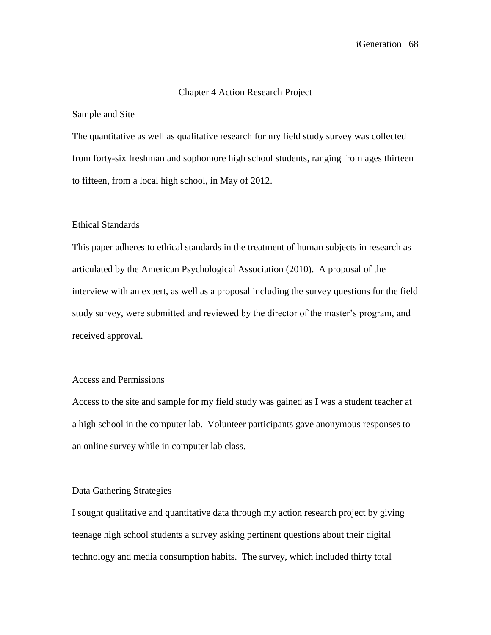#### Chapter 4 Action Research Project

#### Sample and Site

The quantitative as well as qualitative research for my field study survey was collected from forty-six freshman and sophomore high school students, ranging from ages thirteen to fifteen, from a local high school, in May of 2012.

# Ethical Standards

This paper adheres to ethical standards in the treatment of human subjects in research as articulated by the American Psychological Association (2010). A proposal of the interview with an expert, as well as a proposal including the survey questions for the field study survey, were submitted and reviewed by the director of the master's program, and received approval.

# Access and Permissions

Access to the site and sample for my field study was gained as I was a student teacher at a high school in the computer lab. Volunteer participants gave anonymous responses to an online survey while in computer lab class.

#### Data Gathering Strategies

I sought qualitative and quantitative data through my action research project by giving teenage high school students a survey asking pertinent questions about their digital technology and media consumption habits. The survey, which included thirty total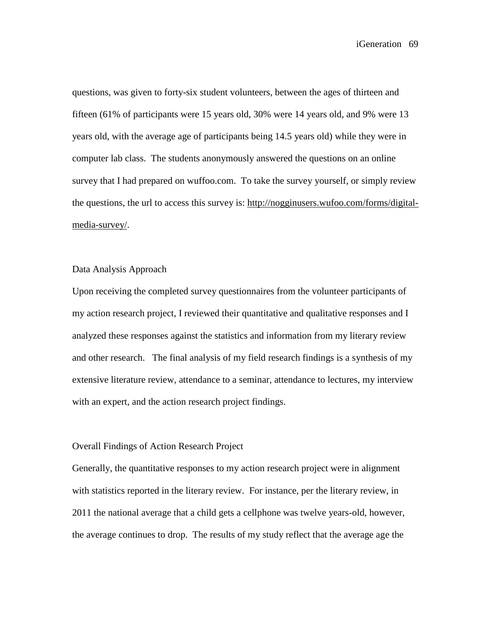questions, was given to forty-six student volunteers, between the ages of thirteen and fifteen (61% of participants were 15 years old, 30% were 14 years old, and 9% were 13 years old, with the average age of participants being 14.5 years old) while they were in computer lab class. The students anonymously answered the questions on an online survey that I had prepared on wuffoo.com. To take the survey yourself, or simply review the questions, the url to access this survey is: [http://nogginusers.wufoo.com/forms/digital](http://nogginusers.wufoo.com/forms/digital-media-survey/)[media-survey/.](http://nogginusers.wufoo.com/forms/digital-media-survey/)

## Data Analysis Approach

Upon receiving the completed survey questionnaires from the volunteer participants of my action research project, I reviewed their quantitative and qualitative responses and I analyzed these responses against the statistics and information from my literary review and other research. The final analysis of my field research findings is a synthesis of my extensive literature review, attendance to a seminar, attendance to lectures, my interview with an expert, and the action research project findings.

### Overall Findings of Action Research Project

Generally, the quantitative responses to my action research project were in alignment with statistics reported in the literary review. For instance, per the literary review, in 2011 the national average that a child gets a cellphone was twelve years-old, however, the average continues to drop. The results of my study reflect that the average age the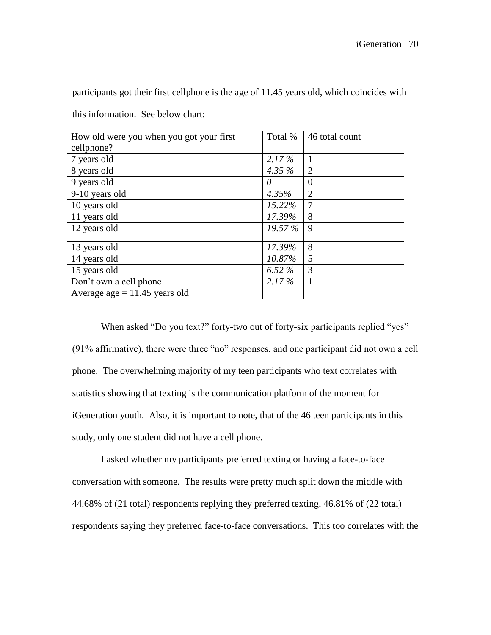participants got their first cellphone is the age of 11.45 years old, which coincides with

| How old were you when you got your first | Total %  | 46 total count |
|------------------------------------------|----------|----------------|
| cellphone?                               |          |                |
| 7 years old                              | $2.17\%$ | $\overline{1}$ |
| 8 years old                              | 4.35 $%$ | 2              |
| 9 years old                              | 0        | $\Omega$       |
| 9-10 years old                           | 4.35%    | $\overline{2}$ |
| 10 years old                             | 15.22%   | $\tau$         |
| 11 years old                             | 17.39%   | 8              |
| 12 years old                             | 19.57%   | 9              |
|                                          |          |                |
| 13 years old                             | 17.39%   | 8              |
| 14 years old                             | 10.87%   | 5              |
| 15 years old                             | $6.52\%$ | 3              |
| Don't own a cell phone                   | $2.17\%$ | 1              |
| Average age $= 11.45$ years old          |          |                |

this information. See below chart:

When asked "Do you text?" forty-two out of forty-six participants replied "yes" (91% affirmative), there were three "no" responses, and one participant did not own a cell phone. The overwhelming majority of my teen participants who text correlates with statistics showing that texting is the communication platform of the moment for iGeneration youth. Also, it is important to note, that of the 46 teen participants in this study, only one student did not have a cell phone.

I asked whether my participants preferred texting or having a face-to-face conversation with someone. The results were pretty much split down the middle with 44.68% of (21 total) respondents replying they preferred texting, 46.81% of (22 total) respondents saying they preferred face-to-face conversations. This too correlates with the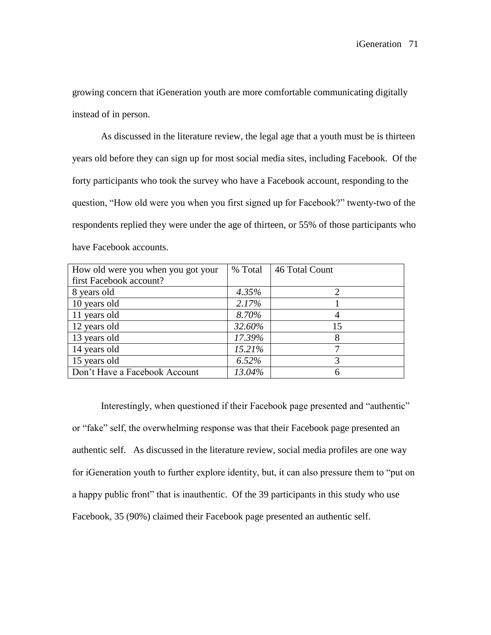growing concern that iGeneration youth are more comfortable communicating digitally instead of in person.

As discussed in the literature review, the legal age that a youth must be is thirteen years old before they can sign up for most social media sites, including Facebook. Of the forty participants who took the survey who have a Facebook account, responding to the question, "How old were you when you first signed up for Facebook?" twenty-two of the respondents replied they were under the age of thirteen, or 55% of those participants who have Facebook accounts.

| How old were you when you got your | % Total | 46 Total Count |
|------------------------------------|---------|----------------|
| first Facebook account?            |         |                |
| 8 years old                        | 4.35%   |                |
| 10 years old                       | 2.17%   |                |
| 11 years old                       | 8.70%   | 4              |
| 12 years old                       | 32.60%  | 15             |
| 13 years old                       | 17.39%  |                |
| 14 years old                       | 15.21%  |                |
| 15 years old                       | 6.52%   | 3              |
| Don't Have a Facebook Account      | 13.04%  |                |

Interestingly, when questioned if their Facebook page presented and "authentic" or "fake" self, the overwhelming response was that their Facebook page presented an authentic self. As discussed in the literature review, social media profiles are one way for iGeneration youth to further explore identity, but, it can also pressure them to "put on a happy public front" that is inauthentic. Of the 39 participants in this study who use Facebook, 35 (90%) claimed their Facebook page presented an authentic self.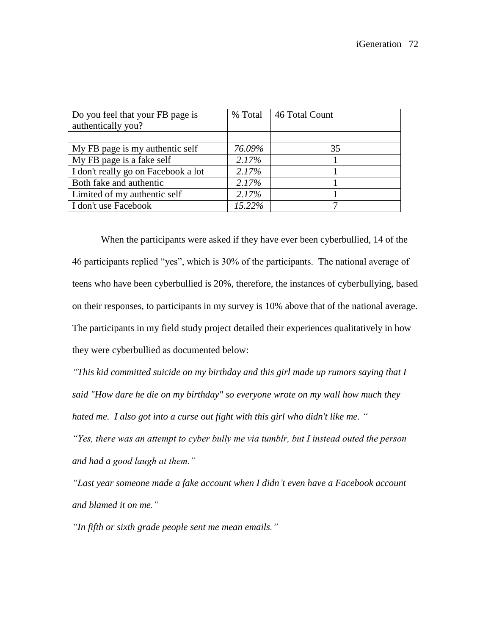| Do you feel that your FB page is<br>authentically you? | % Total | 46 Total Count |
|--------------------------------------------------------|---------|----------------|
|                                                        |         |                |
| My FB page is my authentic self                        | 76.09%  | 35             |
| My FB page is a fake self                              | 2.17%   |                |
| I don't really go on Facebook a lot                    | 2.17%   |                |
| Both fake and authentic                                | 2.17%   |                |
| Limited of my authentic self                           | 2.17%   |                |
| I don't use Facebook                                   | 15.22%  |                |

When the participants were asked if they have ever been cyberbullied, 14 of the 46 participants replied "yes", which is 30% of the participants. The national average of teens who have been cyberbullied is 20%, therefore, the instances of cyberbullying, based on their responses, to participants in my survey is 10% above that of the national average. The participants in my field study project detailed their experiences qualitatively in how they were cyberbullied as documented below:

*"This kid committed suicide on my birthday and this girl made up rumors saying that I said "How dare he die on my birthday" so everyone wrote on my wall how much they hated me. I also got into a curse out fight with this girl who didn't like me. "*

*"Yes, there was an attempt to cyber bully me via tumblr, but I instead outed the person and had a good laugh at them."*

*"Last year someone made a fake account when I didn't even have a Facebook account and blamed it on me."*

*"In fifth or sixth grade people sent me mean emails."*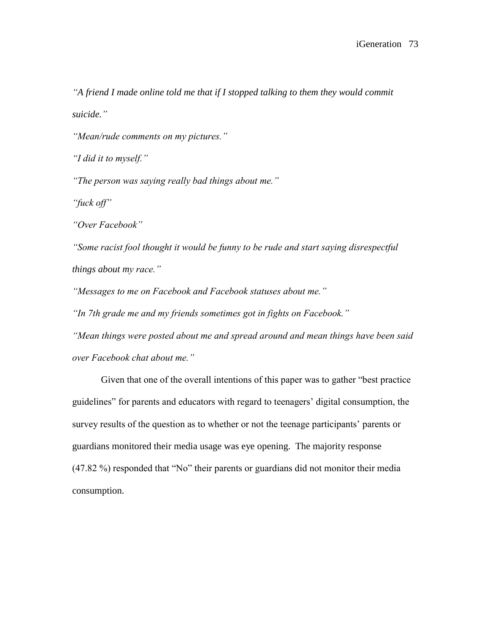*"A friend I made online told me that if I stopped talking to them they would commit suicide."*

*"Mean/rude comments on my pictures."*

*"I did it to myself."*

*"The person was saying really bad things about me."*

*"fuck off"*

*"Over Facebook"*

*"Some racist fool thought it would be funny to be rude and start saying disrespectful things about my race."*

*"Messages to me on Facebook and Facebook statuses about me."*

*"In 7th grade me and my friends sometimes got in fights on Facebook."*

*"Mean things were posted about me and spread around and mean things have been said over Facebook chat about me."*

Given that one of the overall intentions of this paper was to gather "best practice guidelines" for parents and educators with regard to teenagers' digital consumption, the survey results of the question as to whether or not the teenage participants' parents or guardians monitored their media usage was eye opening. The majority response (47.82 %) responded that "No" their parents or guardians did not monitor their media consumption.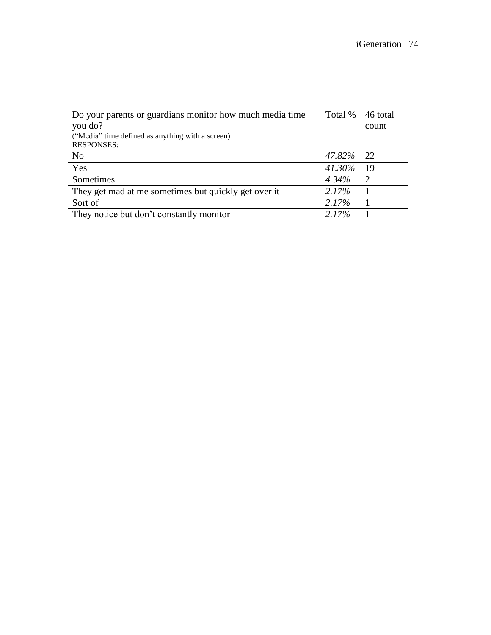| Do your parents or guardians monitor how much media time | Total % | 46 total |
|----------------------------------------------------------|---------|----------|
| you do?                                                  |         | count    |
| ("Media" time defined as anything with a screen)         |         |          |
| <b>RESPONSES:</b>                                        |         |          |
| N <sub>o</sub>                                           | 47.82%  | 22       |
| Yes                                                      | 41.30%  | 19       |
| Sometimes                                                | 4.34%   | 2        |
| They get mad at me sometimes but quickly get over it     | 2.17%   |          |
| Sort of                                                  | 2.17%   |          |
| They notice but don't constantly monitor                 | 2.17%   |          |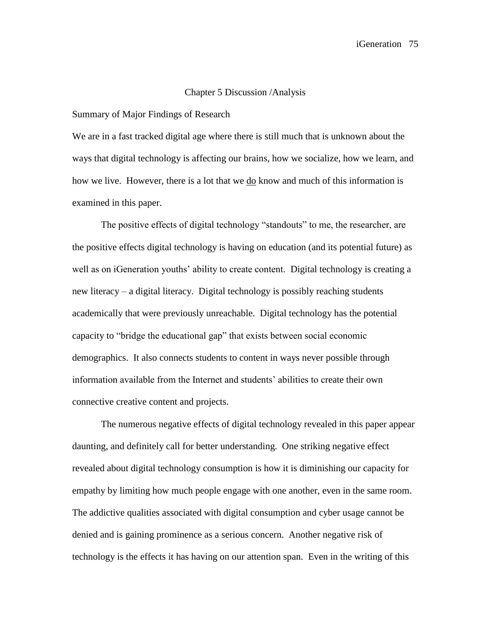#### Chapter 5 Discussion /Analysis

### Summary of Major Findings of Research

We are in a fast tracked digital age where there is still much that is unknown about the ways that digital technology is affecting our brains, how we socialize, how we learn, and how we live. However, there is a lot that we do know and much of this information is examined in this paper.

The positive effects of digital technology "standouts" to me, the researcher, are the positive effects digital technology is having on education (and its potential future) as well as on iGeneration youths' ability to create content. Digital technology is creating a new literacy – a digital literacy. Digital technology is possibly reaching students academically that were previously unreachable. Digital technology has the potential capacity to "bridge the educational gap" that exists between social economic demographics. It also connects students to content in ways never possible through information available from the Internet and students' abilities to create their own connective creative content and projects.

The numerous negative effects of digital technology revealed in this paper appear daunting, and definitely call for better understanding. One striking negative effect revealed about digital technology consumption is how it is diminishing our capacity for empathy by limiting how much people engage with one another, even in the same room. The addictive qualities associated with digital consumption and cyber usage cannot be denied and is gaining prominence as a serious concern. Another negative risk of technology is the effects it has having on our attention span. Even in the writing of this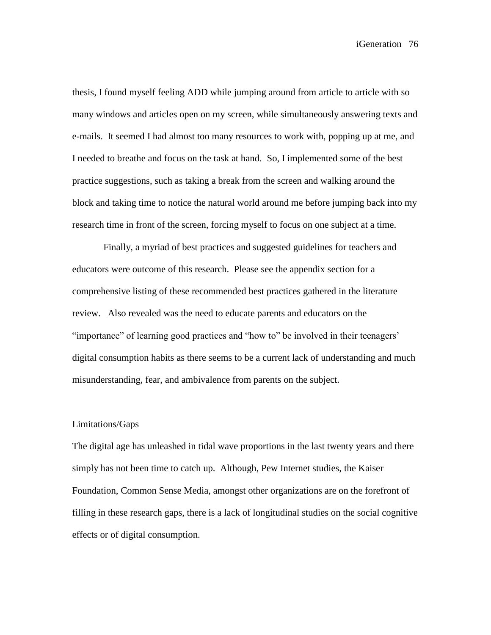iGeneration 76

thesis, I found myself feeling ADD while jumping around from article to article with so many windows and articles open on my screen, while simultaneously answering texts and e-mails. It seemed I had almost too many resources to work with, popping up at me, and I needed to breathe and focus on the task at hand. So, I implemented some of the best practice suggestions, such as taking a break from the screen and walking around the block and taking time to notice the natural world around me before jumping back into my research time in front of the screen, forcing myself to focus on one subject at a time.

Finally, a myriad of best practices and suggested guidelines for teachers and educators were outcome of this research. Please see the appendix section for a comprehensive listing of these recommended best practices gathered in the literature review. Also revealed was the need to educate parents and educators on the "importance" of learning good practices and "how to" be involved in their teenagers' digital consumption habits as there seems to be a current lack of understanding and much misunderstanding, fear, and ambivalence from parents on the subject.

#### Limitations/Gaps

The digital age has unleashed in tidal wave proportions in the last twenty years and there simply has not been time to catch up. Although, Pew Internet studies, the Kaiser Foundation, Common Sense Media, amongst other organizations are on the forefront of filling in these research gaps, there is a lack of longitudinal studies on the social cognitive effects or of digital consumption.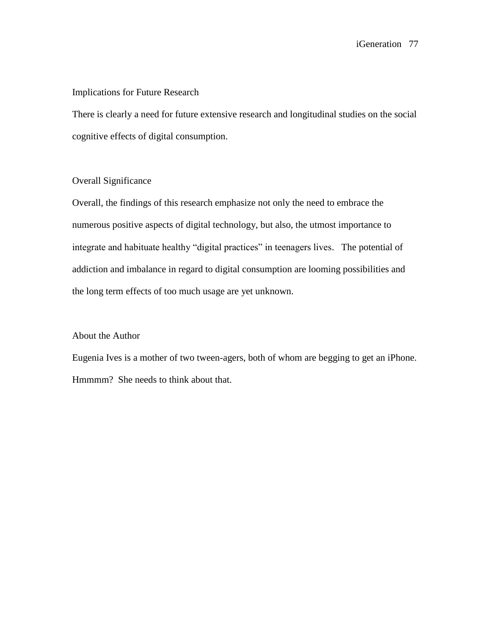### Implications for Future Research

There is clearly a need for future extensive research and longitudinal studies on the social cognitive effects of digital consumption.

## Overall Significance

Overall, the findings of this research emphasize not only the need to embrace the numerous positive aspects of digital technology, but also, the utmost importance to integrate and habituate healthy "digital practices" in teenagers lives. The potential of addiction and imbalance in regard to digital consumption are looming possibilities and the long term effects of too much usage are yet unknown.

## About the Author

Eugenia Ives is a mother of two tween-agers, both of whom are begging to get an iPhone. Hmmmm? She needs to think about that.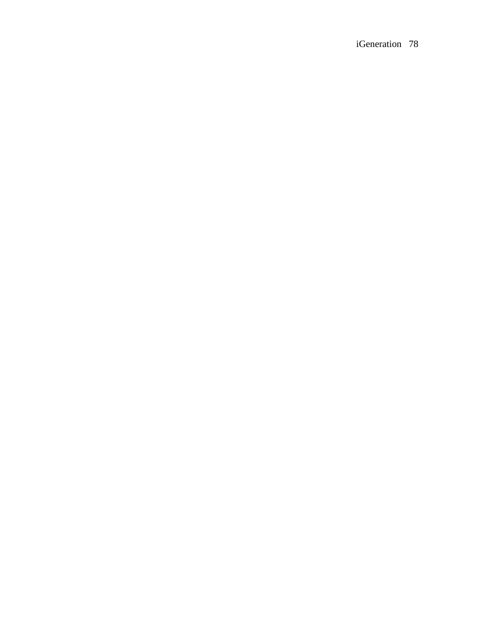# iGeneration 78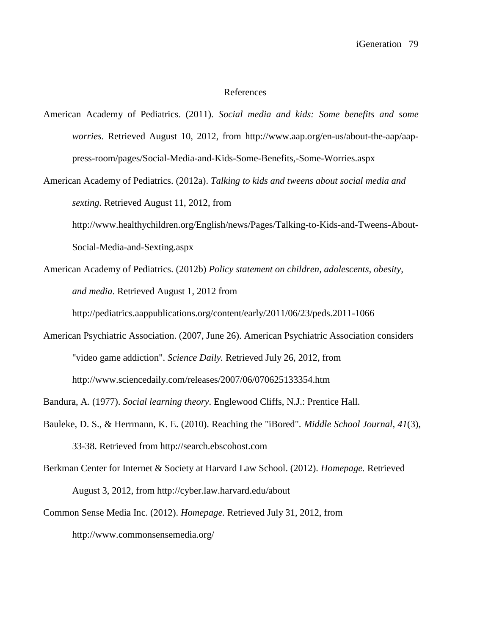#### References

- American Academy of Pediatrics. (2011). *Social media and kids: Some benefits and some worries.* Retrieved August 10, 2012, from http://www.aap.org/en-us/about-the-aap/aappress-room/pages/Social-Media-and-Kids-Some-Benefits,-Some-Worries.aspx
- American Academy of Pediatrics. (2012a). *Talking to kids and tweens about social media and sexting.* Retrieved August 11, 2012, from http://www.healthychildren.org/English/news/Pages/Talking-to-Kids-and-Tweens-About-Social-Media-and-Sexting.aspx
- American Academy of Pediatrics. (2012b) *Policy statement on children, adolescents, obesity, and media*. Retrieved August 1, 2012 from http://pediatrics.aappublications.org/content/early/2011/06/23/peds.2011-1066
- American Psychiatric Association. (2007, June 26). American Psychiatric Association considers "video game addiction". *Science Daily.* Retrieved July 26, 2012, from http://www.sciencedaily.com/releases/2007/06/070625133354.htm
- Bandura, A. (1977). *Social learning theory*. Englewood Cliffs, N.J.: Prentice Hall.
- Bauleke, D. S., & Herrmann, K. E. (2010). Reaching the "iBored". *Middle School Journal, 41*(3), 33-38. Retrieved from http://search.ebscohost.com
- Berkman Center for Internet & Society at Harvard Law School. (2012). *Homepage.* Retrieved August 3, 2012, from http://cyber.law.harvard.edu/about
- Common Sense Media Inc. (2012). *Homepage.* Retrieved July 31, 2012, from http://www.commonsensemedia.org/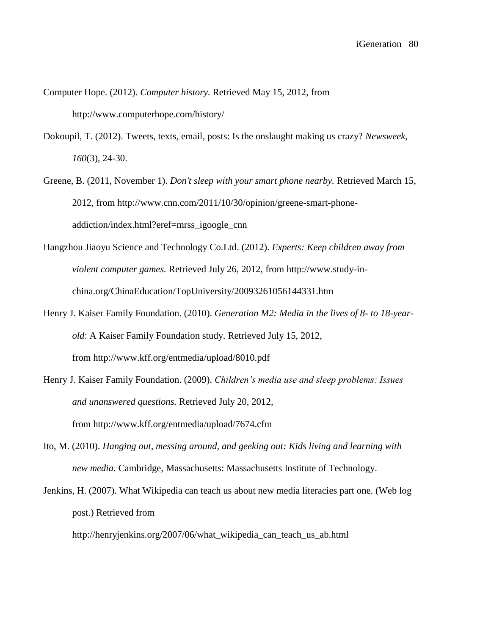Computer Hope. (2012). *Computer history.* Retrieved May 15, 2012, from http://www.computerhope.com/history/

- Dokoupil, T. (2012). Tweets, texts, email, posts: Is the onslaught making us crazy? *Newsweek, 160*(3), 24-30.
- Greene, B. (2011, November 1). *Don't sleep with your smart phone nearby.* Retrieved March 15, 2012, from http://www.cnn.com/2011/10/30/opinion/greene-smart-phoneaddiction/index.html?eref=mrss\_igoogle\_cnn
- Hangzhou Jiaoyu Science and Technology Co.Ltd. (2012). *Experts: Keep children away from violent computer games.* Retrieved July 26, 2012, from http://www.study-inchina.org/ChinaEducation/TopUniversity/20093261056144331.htm
- Henry J. Kaiser Family Foundation. (2010). *Generation M2: Media in the lives of 8- to 18-yearold*: A Kaiser Family Foundation study. Retrieved July 15, 2012, from http://www.kff.org/entmedia/upload/8010.pdf
- Henry J. Kaiser Family Foundation. (2009). *Children's media use and sleep problems: Issues and unanswered questions.* Retrieved July 20, 2012, from http://www.kff.org/entmedia/upload/7674.cfm
- Ito, M. (2010). *Hanging out, messing around, and geeking out: Kids living and learning with new media*. Cambridge, Massachusetts: Massachusetts Institute of Technology.
- Jenkins, H. (2007). What Wikipedia can teach us about new media literacies part one. (Web log post.) Retrieved from

http://henryjenkins.org/2007/06/what\_wikipedia\_can\_teach\_us\_ab.html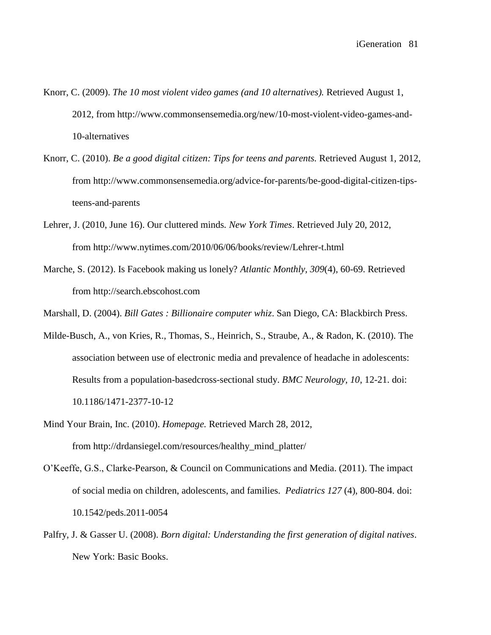- Knorr, C. (2009). *The 10 most violent video games (and 10 alternatives).* Retrieved August 1, 2012, from http://www.commonsensemedia.org/new/10-most-violent-video-games-and-10-alternatives
- Knorr, C. (2010). *Be a good digital citizen: Tips for teens and parents.* Retrieved August 1, 2012, from http://www.commonsensemedia.org/advice-for-parents/be-good-digital-citizen-tipsteens-and-parents
- Lehrer, J. (2010, June 16). Our cluttered minds*. New York Times*. Retrieved July 20, 2012, from http://www.nytimes.com/2010/06/06/books/review/Lehrer-t.html
- Marche, S. (2012). Is Facebook making us lonely? *Atlantic Monthly, 309*(4), 60-69. Retrieved from http://search.ebscohost.com

Marshall, D. (2004). *Bill Gates : Billionaire computer whiz*. San Diego, CA: Blackbirch Press.

- Milde-Busch, A., von Kries, R., Thomas, S., Heinrich, S., Straube, A., & Radon, K. (2010). The association between use of electronic media and prevalence of headache in adolescents: Results from a population-basedcross-sectional study. *BMC Neurology, 10*, 12-21. doi: 10.1186/1471-2377-10-12
- Mind Your Brain, Inc. (2010). *Homepage.* Retrieved March 28, 2012, from http://drdansiegel.com/resources/healthy\_mind\_platter/
- O'Keeffe, G.S., Clarke-Pearson, & Council on Communications and Media. (2011). The impact of social media on children, adolescents, and families. *Pediatrics 127* (4), 800-804. doi: 10.1542/peds.2011-0054
- Palfry, J. & Gasser U. (2008). *Born digital: Understanding the first generation of digital natives*. New York: Basic Books.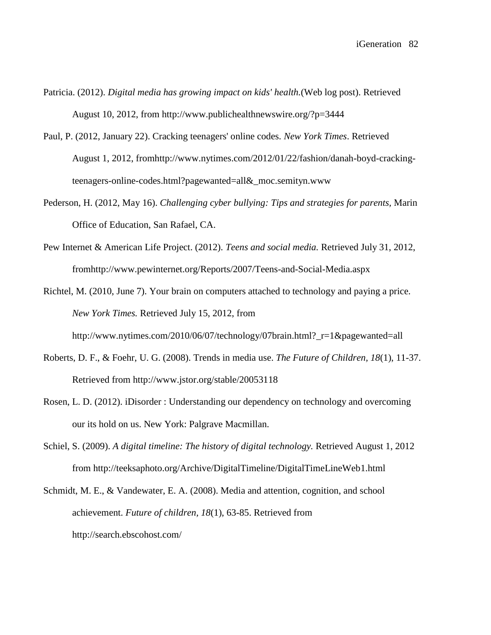- Patricia. (2012). *Digital media has growing impact on kids' health.*(Web log post). Retrieved August 10, 2012, from http://www.publichealthnewswire.org/?p=3444
- Paul, P. (2012, January 22). Cracking teenagers' online codes. *New York Times*. Retrieved August 1, 2012, fromhttp://www.nytimes.com/2012/01/22/fashion/danah-boyd-crackingteenagers-online-codes.html?pagewanted=all&\_moc.semityn.www
- Pederson, H. (2012, May 16). *Challenging cyber bullying: Tips and strategies for parents,* Marin Office of Education, San Rafael, CA.
- Pew Internet & American Life Project. (2012). *Teens and social media.* Retrieved July 31, 2012, fromhttp://www.pewinternet.org/Reports/2007/Teens-and-Social-Media.aspx
- Richtel, M. (2010, June 7). Your brain on computers attached to technology and paying a price*. New York Times.* Retrieved July 15, 2012, from http://www.nytimes.com/2010/06/07/technology/07brain.html?\_r=1&pagewanted=all
- Roberts, D. F., & Foehr, U. G. (2008). Trends in media use. *The Future of Children, 18*(1), 11-37. Retrieved from http://www.jstor.org/stable/20053118
- Rosen, L. D. (2012). iDisorder : Understanding our dependency on technology and overcoming our its hold on us. New York: Palgrave Macmillan.
- Schiel, S. (2009). *A digital timeline: The history of digital technology.* Retrieved August 1, 2012 from http://teeksaphoto.org/Archive/DigitalTimeline/DigitalTimeLineWeb1.html
- Schmidt, M. E., & Vandewater, E. A. (2008). Media and attention, cognition, and school achievement. *Future of children, 18*(1), 63-85. Retrieved from http://search.ebscohost.com/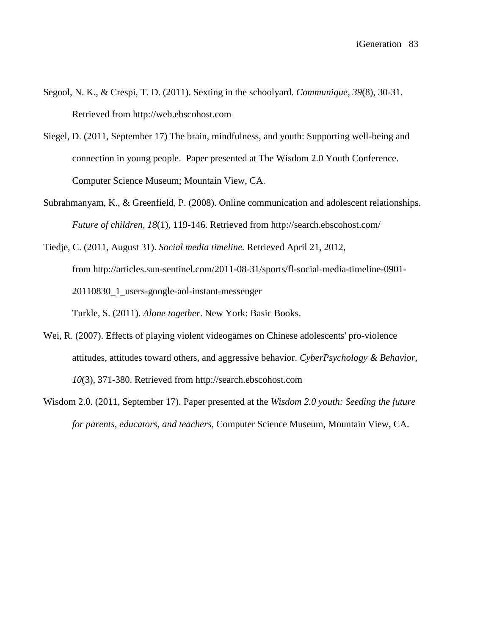- Segool, N. K., & Crespi, T. D. (2011). Sexting in the schoolyard. *Communique*, *39*(8), 30-31. Retrieved from http://web.ebscohost.com
- Siegel, D. (2011, September 17) The brain, mindfulness, and youth: Supporting well-being and connection in young people. Paper presented at The Wisdom 2.0 Youth Conference. Computer Science Museum; Mountain View, CA.
- Subrahmanyam, K., & Greenfield, P. (2008). Online communication and adolescent relationships. *Future of children, 18*(1), 119-146. Retrieved from http://search.ebscohost.com/

Tiedje, C. (2011, August 31). *Social media timeline.* Retrieved April 21, 2012, from http://articles.sun-sentinel.com/2011-08-31/sports/fl-social-media-timeline-0901- 20110830\_1\_users-google-aol-instant-messenger Turkle, S. (2011). *Alone together*. New York: Basic Books.

- Wei, R. (2007). Effects of playing violent videogames on Chinese adolescents' pro-violence attitudes, attitudes toward others, and aggressive behavior. *CyberPsychology & Behavior, 10*(3), 371-380. Retrieved from http://search.ebscohost.com
- Wisdom 2.0. (2011, September 17). Paper presented at the *Wisdom 2.0 youth: Seeding the future for parents, educators, and teachers,* Computer Science Museum, Mountain View, CA.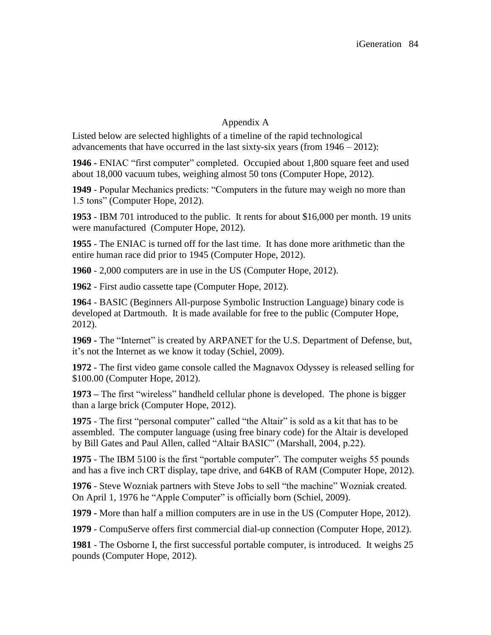## Appendix A

Listed below are selected highlights of a timeline of the rapid technological advancements that have occurred in the last sixty-six years (from 1946 – 2012):

**1946 -** ENIAC "first computer" completed. Occupied about 1,800 square feet and used about 18,000 vacuum tubes, weighing almost 50 tons (Computer Hope, 2012).

**1949** - Popular Mechanics predicts: "Computers in the future may weigh no more than 1.5 tons" (Computer Hope, 2012).

**1953** - IBM 701 introduced to the public. It rents for about \$16,000 per month. 19 units were manufactured (Computer Hope, 2012).

**1955** - The ENIAC is turned off for the last time. It has done more arithmetic than the entire human race did prior to 1945 (Computer Hope, 2012).

**1960** - 2,000 computers are in use in the US (Computer Hope, 2012).

**1962** - First audio cassette tape (Computer Hope, 2012).

**196**4 - BASIC (Beginners All-purpose Symbolic Instruction Language) binary code is developed at Dartmouth. It is made available for free to the public (Computer Hope, 2012).

**1969 -** The "Internet" is created by ARPANET for the U.S. Department of Defense, but, it's not the Internet as we know it today (Schiel, 2009).

**1972** - The first video game console called the Magnavox Odyssey is released selling for \$100.00 (Computer Hope, 2012).

**1973 –** The first "wireless" handheld cellular phone is developed. The phone is bigger than a large brick (Computer Hope, 2012).

**1975** - The first "personal computer" called "the Altair" is sold as a kit that has to be assembled. The computer language (using free binary code) for the Altair is developed by Bill Gates and Paul Allen, called "Altair BASIC" (Marshall, 2004, p.22).

**1975** - The [IBM 5100](http://www.computerhope.com/jargon/i/ibm5100.htm) is the first "portable computer". The computer weighs 55 pounds and has a five inch CRT display, tape drive, and 64KB of RAM (Computer Hope, 2012).

**1976** - Steve Wozniak partners with Steve Jobs to sell "the machine" Wozniak created. On April 1, 1976 he "Apple Computer" is officially born (Schiel, 2009).

**1979 -** More than half a million computers are in use in the US (Computer Hope, 2012).

**1979** - CompuServe offers first commercial dial-up connection (Computer Hope, 2012).

**1981** - The Osborne I, the first successful portable computer, is introduced. It weighs 25 pounds (Computer Hope, 2012).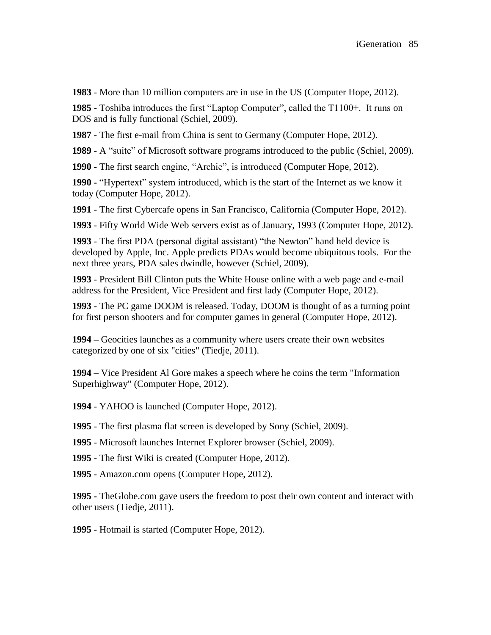**1983** - More than 10 million computers are in use in the US (Computer Hope, 2012).

**1985** - Toshiba introduces the first "Laptop Computer", called the T1100+. It runs on DOS and is fully functional (Schiel, 2009).

**1987 -** The first [e-mail](http://www.computerhope.com/jargon/e/email.htm) from China is sent to Germany (Computer Hope, 2012).

**1989** - A "suite" of Microsoft software programs introduced to the public (Schiel, 2009).

**1990** - The first search engine, "Archie", is introduced (Computer Hope, 2012).

**1990 -** "Hypertext" system introduced, which is the start of the Internet as we know it today (Computer Hope, 2012).

**1991** - The first [Cybercafe](http://www.computerhope.com/jargon/c/cybercafe.htm) opens in San Francisco, California (Computer Hope, 2012).

**1993** - Fifty World Wide Web servers exist as of January, 1993 (Computer Hope, 2012).

**1993** - The first PDA (personal digital assistant) "the Newton" hand held device is developed by Apple, Inc. Apple predicts PDAs would become ubiquitous tools. For the next three years, PDA sales dwindle, however (Schiel, 2009).

**1993** - President Bill Clinton puts the White House online with a web page and e-mail address for the President, Vice President and first lady (Computer Hope, 2012).

**1993** - The PC game [DOOM](http://www.computerhope.com/doomx.htm) is released. Today, DOOM is thought of as a turning point for [first person shooters](http://www.computerhope.com/jargon/f/fps.htm) and for computer games in general (Computer Hope, 2012).

**1994 –** Geocities launches as a community where users create their own websites categorized by one of six "cities" (Tiedje, 2011).

**1994** – Vice President Al Gore makes a speech where he coins the term ["Information](http://www.computerhope.com/jargon/i/infosupe.htm)  [Superhighway"](http://www.computerhope.com/jargon/i/infosupe.htm) (Computer Hope, 2012).

**1994** - [YAHOO](http://www.computerhope.com/jargon/y/yahoo.htm) is launched (Computer Hope, 2012).

**1995** - The first plasma flat screen is developed by Sony (Schiel, 2009).

**1995** - Microsoft launches Internet Explorer browser (Schiel, 2009).

**1995** - The first [Wiki](http://www.computerhope.com/jargon/w/wiki.htm) is created (Computer Hope, 2012).

**1995** - [Amazon.com](http://www.computerhope.com/comp/amazon.htm) opens (Computer Hope, 2012).

**1995 -** TheGlobe.com gave users the freedom to post their own content and interact with other users (Tiedje, 2011).

**1995** - [Hotmail](http://www.computerhope.com/jargon/h/hotmail.htm) is started (Computer Hope, 2012).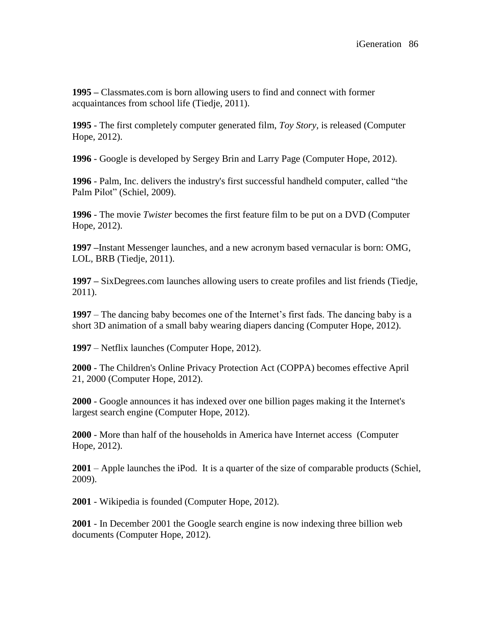**1995 –** Classmates.com is born allowing users to find and connect with former acquaintances from school life (Tiedje, 2011).

**1995** - The first completely computer generated film, *Toy Story,* is released (Computer Hope, 2012).

**1996** - [Google](http://www.computerhope.com/jargon/g/google.htm) is developed by Sergey Brin and Larry Page (Computer Hope, 2012).

**1996** - Palm, Inc. delivers the industry's first successful handheld computer, called "the Palm Pilot" (Schiel, 2009).

**1996** - The movie *Twister* becomes the first feature film to be put on a [DVD](http://www.computerhope.com/jargon/d/dvd.htm) (Computer Hope, 2012).

**1997 –**Instant Messenger launches, and a new acronym based vernacular is born: OMG, LOL, BRB (Tiedje, 2011).

**1997 –** SixDegrees.com launches allowing users to create profiles and list friends (Tiedje, 2011).

**1997** – The dancing baby becomes one of the Internet's first fads. The dancing baby is a short 3D animation of a small baby wearing diapers dancing (Computer Hope, 2012).

**1997** – Netflix launches (Computer Hope, 2012).

**2000** - The [Children's Online Privacy Protection Act](http://www.computerhope.com/jargon/c/coppa.htm) (COPPA) becomes effective April 21, 2000 (Computer Hope, 2012).

**2000** - [Google](http://www.computerhope.com/jargon/g/google.htm) announces it has indexed over one billion pages making it the Internet's largest search engine (Computer Hope, 2012).

**2000** - More than half of the households in America have Internet access (Computer Hope, 2012).

**2001** – Apple launches the iPod. It is a quarter of the size of comparable products (Schiel, 2009).

**2001** - Wikipedia is founded (Computer Hope, 2012).

**2001** - In December 2001 the [Google](http://www.computerhope.com/jargon/g/google.htm) search engine is now indexing three billion web documents (Computer Hope, 2012).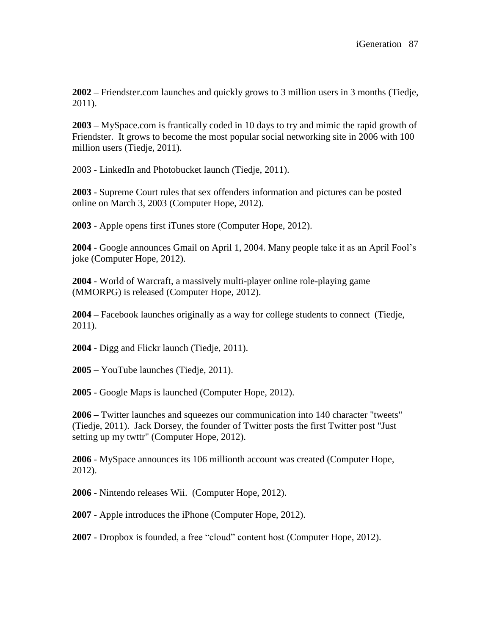**2002 –** Friendster.com launches and quickly grows to 3 million users in 3 months (Tiedje, 2011).

**2003 –** MySpace.com is frantically coded in 10 days to try and mimic the rapid growth of Friendster. It grows to become the most popular social networking site in 2006 with 100 million users (Tiedje, 2011).

2003 - LinkedIn and Photobucket launch (Tiedje, 2011).

**2003** - Supreme Court rules that sex offenders information and pictures can be [posted](http://www.computerhope.com/issues/ch000884.htm)  [online](http://www.computerhope.com/issues/ch000884.htm) on March 3, 2003 (Computer Hope, 2012).

**2003** - [Apple](http://www.computerhope.com/comp/apple.htm) opens first [iTunes](http://www.computerhope.com/jargon/i/itunes.htm) store (Computer Hope, 2012).

**2004** - [Google](http://www.computerhope.com/jargon/g/google.htm) announces [Gmail](http://www.computerhope.com/jargon/g/gmail.htm) on April 1, 2004. Many people take it as an April Fool's joke (Computer Hope, 2012).

**2004** - [World of Warcraft,](http://www.computerhope.com/jargon/w/wow.htm) a massively multi-player online role-playing game [\(MMORPG\)](http://www.computerhope.com/jargon/m/mmorpg.htm) is released (Computer Hope, 2012).

**2004 –** Facebook launches originally as a way for college students to connect (Tiedje, 2011).

**2004** - Digg and Flickr launch (Tiedje, 2011).

**2005 –** YouTube launches (Tiedje, 2011).

**2005** - [Google](http://www.computerhope.com/jargon/g/google.htm) Maps is launched (Computer Hope, 2012).

**2006 –** Twitter launches and squeezes our communication into 140 character "tweets" (Tiedje, 2011). Jack Dorsey, the founder of [Twitter](http://www.computerhope.com/jargon/t/twitter.htm) posts the first Twitter post "Just setting up my twttr" (Computer Hope, 2012).

**2006** - [MySpace](http://www.computerhope.com/jargon/m/myspace.htm) announces its 106 millionth account was created (Computer Hope, 2012).

**2006** - Nintendo releases [Wii.](http://www.computerhope.com/jargon/w/wii.htm) (Computer Hope, 2012).

**2007** - [Apple](http://www.computerhope.com/comp/apple.htm) introduces the [iPhone](http://www.computerhope.com/jargon/i/iphone.htm) (Computer Hope, 2012).

**2007** - [Dropbox](http://www.computerhope.com/jargon/d/dropbox.htm) is founded, a free "cloud" content host (Computer Hope, 2012).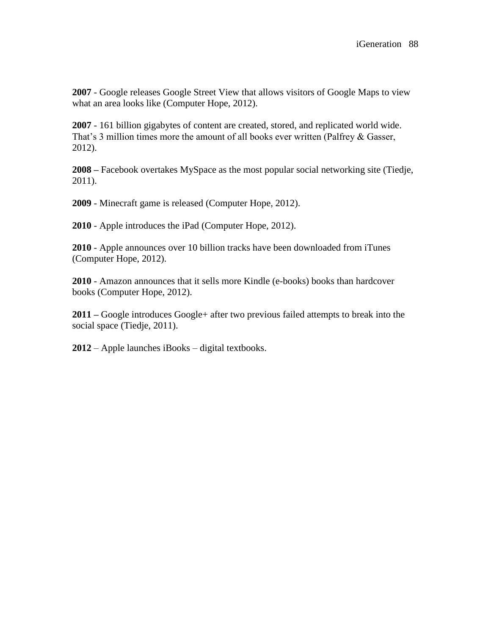**2007** - [Google](http://www.computerhope.com/jargon/g/google.htm) releases Google Street View that allows visitors of Google Maps to view what an area looks like (Computer Hope, 2012).

**2007** - 161 billion gigabytes of content are created, stored, and replicated world wide. That's 3 million times more the amount of all books ever written (Palfrey & Gasser, 2012).

**2008 –** Facebook overtakes MySpace as the most popular social networking site (Tiedje, 2011).

**2009** - [Minecraft](http://www.computerhope.com/jargon/m/minecraft.htm) game is released (Computer Hope, 2012).

**2010** - [Apple](http://www.computerhope.com/comp/apple.htm) introduces the [iPad](http://www.computerhope.com/jargon/i/ipad.htm) (Computer Hope, 2012).

**2010** - Apple announces over 10 billion tracks have been downloaded from iTunes (Computer Hope, 2012).

**2010** - [Amazon](http://www.computerhope.com/comp/amazon.htm) announces that it sells more [Kindle](http://www.computerhope.com/jargon/k/kindle.htm) (e-books) books than hardcover books (Computer Hope, 2012).

**2011 –** Google introduces Google+ after two previous failed attempts to break into the social space (Tiedje, 2011).

**2012** – Apple launches iBooks – digital textbooks.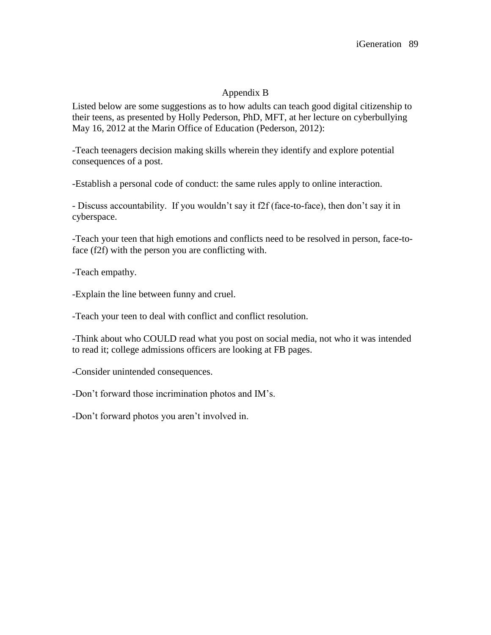## Appendix B

Listed below are some suggestions as to how adults can teach good digital citizenship to their teens, as presented by Holly Pederson, PhD, MFT, at her lecture on cyberbullying May 16, 2012 at the Marin Office of Education (Pederson, 2012):

-Teach teenagers decision making skills wherein they identify and explore potential consequences of a post.

-Establish a personal code of conduct: the same rules apply to online interaction.

- Discuss accountability. If you wouldn't say it f2f (face-to-face), then don't say it in cyberspace.

-Teach your teen that high emotions and conflicts need to be resolved in person, face-toface (f2f) with the person you are conflicting with.

-Teach empathy.

-Explain the line between funny and cruel.

-Teach your teen to deal with conflict and conflict resolution.

-Think about who COULD read what you post on social media, not who it was intended to read it; college admissions officers are looking at FB pages.

-Consider unintended consequences.

-Don't forward those incrimination photos and IM's.

-Don't forward photos you aren't involved in.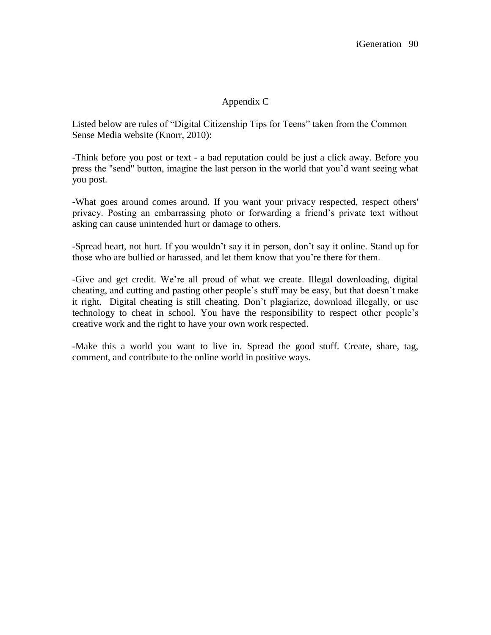## Appendix C

Listed below are rules of "Digital Citizenship Tips for Teens" taken from the Common Sense Media website (Knorr, 2010):

-Think before you post or text - a bad reputation could be just a click away. Before you press the "send" button, imagine the last person in the world that you'd want seeing what you post.

-What goes around comes around. If you want your privacy respected, respect others' privacy. Posting an embarrassing photo or forwarding a friend's private text without asking can cause unintended hurt or damage to others.

-Spread heart, not hurt. If you wouldn't say it in person, don't say it online. Stand up for those who are bullied or harassed, and let them know that you're there for them.

-Give and get credit. We're all proud of what we create. Illegal downloading, digital cheating, and cutting and pasting other people's stuff may be easy, but that doesn't make it right. Digital cheating is still cheating. Don't plagiarize, download illegally, or use technology to cheat in school. You have the responsibility to respect other people's creative work and the right to have your own work respected.

-Make this a world you want to live in. Spread the good stuff. Create, share, tag, comment, and contribute to the online world in positive ways.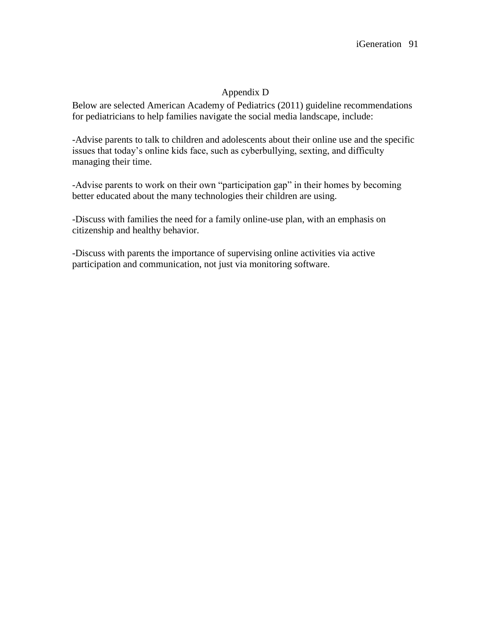## Appendix D

Below are selected American Academy of Pediatrics (2011) guideline recommendations for pediatricians to help families navigate the social media landscape, include:

-Advise parents to talk to children and adolescents about their online use and the specific issues that today's online kids face, such as cyberbullying, sexting, and difficulty managing their time.

-Advise parents to work on their own "participation gap" in their homes by becoming better educated about the many technologies their children are using.

-Discuss with families the need for a family online-use plan, with an emphasis on citizenship and healthy behavior.

-Discuss with parents the importance of supervising online activities via active participation and communication, not just via monitoring software.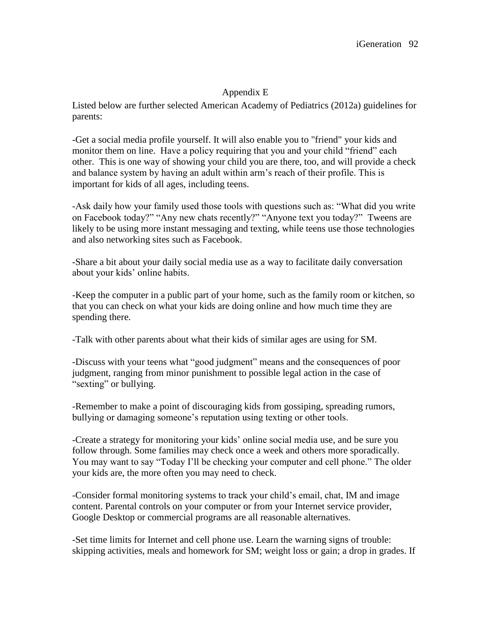## Appendix E

Listed below are further selected American Academy of Pediatrics (2012a) guidelines for parents:

-Get a social media profile yourself. It will also enable you to "friend" your kids and monitor them on line. Have a policy requiring that you and your child "friend" each other. This is one way of showing your child you are there, too, and will provide a check and balance system by having an adult within arm's reach of their profile. This is important for kids of all ages, including teens.

-Ask daily how your family used those tools with questions such as: "What did you write on Facebook today?" "Any new chats recently?" "Anyone text you today?" Tweens are likely to be using more instant messaging and texting, while teens use those technologies and also networking sites such as Facebook.

-Share a bit about your daily social media use as a way to facilitate daily conversation about your kids' online habits.

-Keep the computer in a public part of your home, such as the family room or kitchen, so that you can check on what your kids are doing online and how much time they are spending there.

-Talk with other parents about what their kids of similar ages are using for SM.

-Discuss with your teens what "good judgment" means and the consequences of poor judgment, ranging from minor punishment to possible legal action in the case of "sexting" or bullying.

-Remember to make a point of discouraging kids from gossiping, spreading rumors, bullying or damaging someone's reputation using texting or other tools.

-Create a strategy for monitoring your kids' online social media use, and be sure you follow through. Some families may check once a week and others more sporadically. You may want to say "Today I'll be checking your computer and cell phone." The older your kids are, the more often you may need to check.

-Consider formal monitoring systems to track your child's email, chat, IM and image content. Parental controls on your computer or from your Internet service provider, Google Desktop or commercial programs are all reasonable alternatives.

-Set time limits for Internet and cell phone use. Learn the warning signs of trouble: skipping activities, meals and homework for SM; weight loss or gain; a drop in grades. If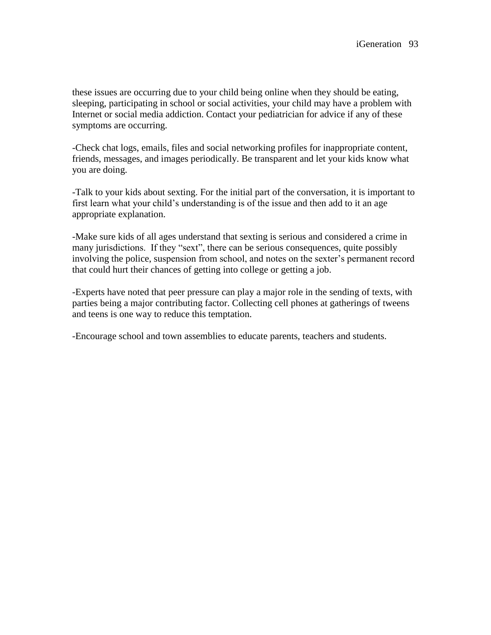these issues are occurring due to your child being online when they should be eating, sleeping, participating in school or social activities, your child may have a problem with Internet or social media addiction. Contact your pediatrician for advice if any of these symptoms are occurring.

-Check chat logs, emails, files and social networking profiles for inappropriate content, friends, messages, and images periodically. Be transparent and let your kids know what you are doing.

-Talk to your kids about sexting. For the initial part of the conversation, it is important to first learn what your child's understanding is of the issue and then add to it an age appropriate explanation.

-Make sure kids of all ages understand that sexting is serious and considered a crime in many jurisdictions. If they "sext", there can be serious consequences, quite possibly involving the police, suspension from school, and notes on the sexter's permanent record that could hurt their chances of getting into college or getting a job.

-Experts have noted that peer pressure can play a major role in the sending of texts, with parties being a major contributing factor. Collecting cell phones at gatherings of tweens and teens is one way to reduce this temptation.

-Encourage school and town assemblies to educate parents, teachers and students.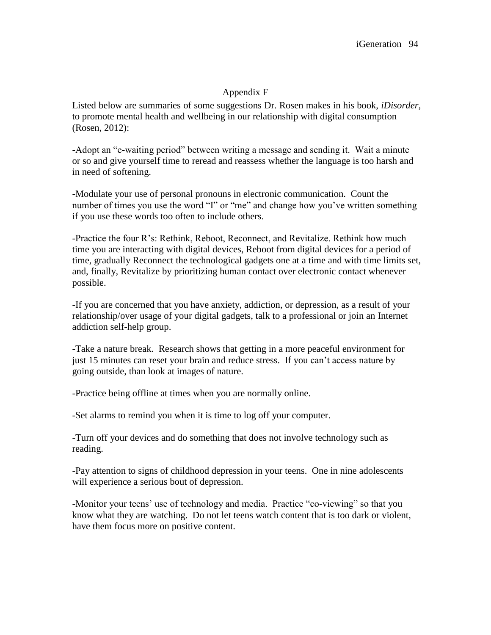### Appendix F

Listed below are summaries of some suggestions Dr. Rosen makes in his book, *iDisorder*, to promote mental health and wellbeing in our relationship with digital consumption (Rosen, 2012):

-Adopt an "e-waiting period" between writing a message and sending it. Wait a minute or so and give yourself time to reread and reassess whether the language is too harsh and in need of softening.

-Modulate your use of personal pronouns in electronic communication. Count the number of times you use the word "I" or "me" and change how you've written something if you use these words too often to include others.

-Practice the four R's: Rethink, Reboot, Reconnect, and Revitalize. Rethink how much time you are interacting with digital devices, Reboot from digital devices for a period of time, gradually Reconnect the technological gadgets one at a time and with time limits set, and, finally, Revitalize by prioritizing human contact over electronic contact whenever possible.

-If you are concerned that you have anxiety, addiction, or depression, as a result of your relationship/over usage of your digital gadgets, talk to a professional or join an Internet addiction self-help group.

-Take a nature break. Research shows that getting in a more peaceful environment for just 15 minutes can reset your brain and reduce stress. If you can't access nature by going outside, than look at images of nature.

-Practice being offline at times when you are normally online.

-Set alarms to remind you when it is time to log off your computer.

-Turn off your devices and do something that does not involve technology such as reading.

-Pay attention to signs of childhood depression in your teens. One in nine adolescents will experience a serious bout of depression.

-Monitor your teens' use of technology and media. Practice "co-viewing" so that you know what they are watching. Do not let teens watch content that is too dark or violent, have them focus more on positive content.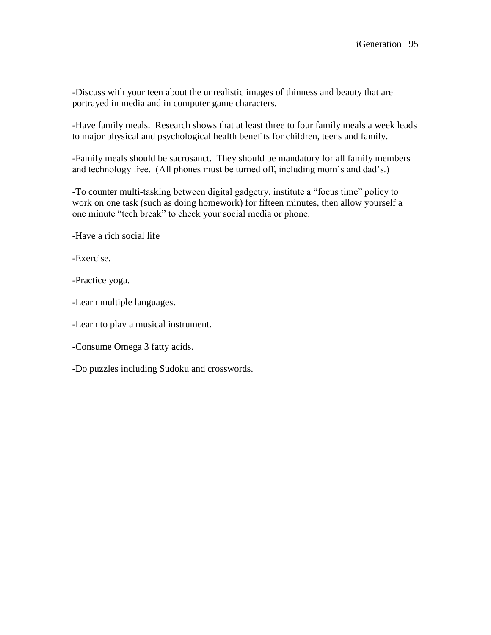-Discuss with your teen about the unrealistic images of thinness and beauty that are portrayed in media and in computer game characters.

-Have family meals. Research shows that at least three to four family meals a week leads to major physical and psychological health benefits for children, teens and family.

-Family meals should be sacrosanct. They should be mandatory for all family members and technology free. (All phones must be turned off, including mom's and dad's.)

-To counter multi-tasking between digital gadgetry, institute a "focus time" policy to work on one task (such as doing homework) for fifteen minutes, then allow yourself a one minute "tech break" to check your social media or phone.

-Have a rich social life

-Exercise.

-Practice yoga.

-Learn multiple languages.

-Learn to play a musical instrument.

-Consume Omega 3 fatty acids.

-Do puzzles including Sudoku and crosswords.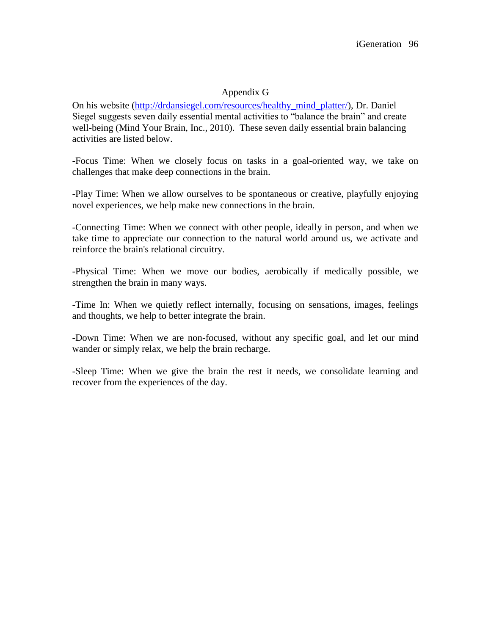### Appendix G

On his website [\(http://drdansiegel.com/resources/healthy\\_mind\\_platter/\)](http://drdansiegel.com/resources/healthy_mind_platter/), Dr. Daniel Siegel suggests seven daily essential mental activities to "balance the brain" and create well-being (Mind Your Brain, Inc., 2010). These seven daily essential brain balancing activities are listed below.

-Focus Time: When we closely focus on tasks in a goal-oriented way, we take on challenges that make deep connections in the brain.

-Play Time: When we allow ourselves to be spontaneous or creative, playfully enjoying novel experiences, we help make new connections in the brain.

-Connecting Time: When we connect with other people, ideally in person, and when we take time to appreciate our connection to the natural world around us, we activate and reinforce the brain's relational circuitry.

-Physical Time: When we move our bodies, aerobically if medically possible, we strengthen the brain in many ways.

-Time In: When we quietly reflect internally, focusing on sensations, images, feelings and thoughts, we help to better integrate the brain.

-Down Time: When we are non-focused, without any specific goal, and let our mind wander or simply relax, we help the brain recharge.

-Sleep Time: When we give the brain the rest it needs, we consolidate learning and recover from the experiences of the day.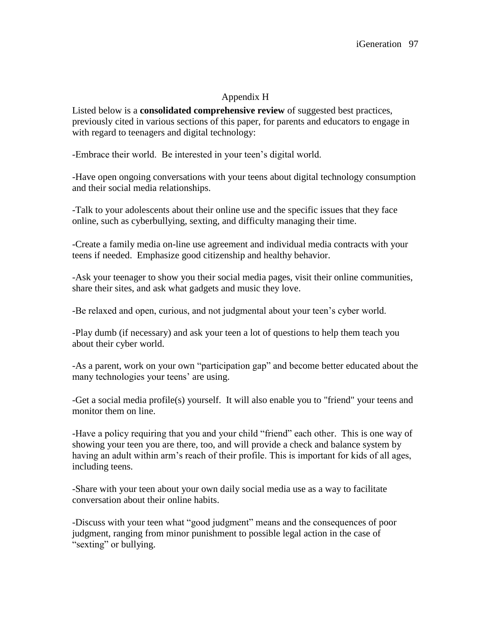## Appendix H

Listed below is a **consolidated comprehensive review** of suggested best practices, previously cited in various sections of this paper, for parents and educators to engage in with regard to teenagers and digital technology:

-Embrace their world. Be interested in your teen's digital world.

-Have open ongoing conversations with your teens about digital technology consumption and their social media relationships.

-Talk to your adolescents about their online use and the specific issues that they face online, such as cyberbullying, sexting, and difficulty managing their time.

-Create a family media on-line use agreement and individual media contracts with your teens if needed. Emphasize good citizenship and healthy behavior.

-Ask your teenager to show you their social media pages, visit their online communities, share their sites, and ask what gadgets and music they love.

-Be relaxed and open, curious, and not judgmental about your teen's cyber world.

-Play dumb (if necessary) and ask your teen a lot of questions to help them teach you about their cyber world.

-As a parent, work on your own "participation gap" and become better educated about the many technologies your teens' are using.

-Get a social media profile(s) yourself. It will also enable you to "friend" your teens and monitor them on line.

-Have a policy requiring that you and your child "friend" each other. This is one way of showing your teen you are there, too, and will provide a check and balance system by having an adult within arm's reach of their profile. This is important for kids of all ages, including teens.

-Share with your teen about your own daily social media use as a way to facilitate conversation about their online habits.

-Discuss with your teen what "good judgment" means and the consequences of poor judgment, ranging from minor punishment to possible legal action in the case of "sexting" or bullying.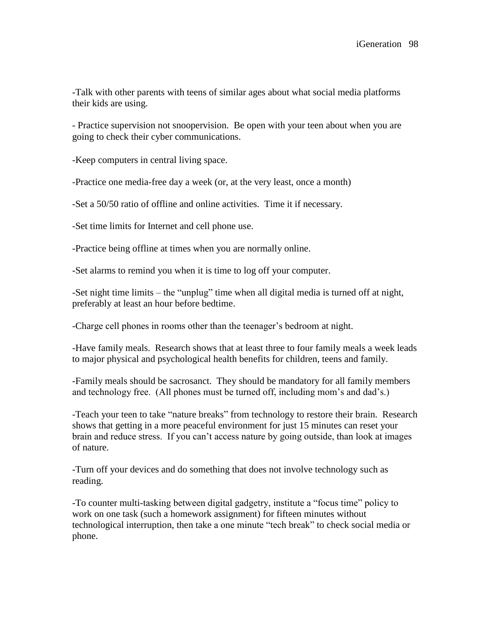-Talk with other parents with teens of similar ages about what social media platforms their kids are using.

- Practice supervision not snoopervision. Be open with your teen about when you are going to check their cyber communications.

-Keep computers in central living space.

-Practice one media-free day a week (or, at the very least, once a month)

-Set a 50/50 ratio of offline and online activities. Time it if necessary.

-Set time limits for Internet and cell phone use.

-Practice being offline at times when you are normally online.

-Set alarms to remind you when it is time to log off your computer.

-Set night time limits – the "unplug" time when all digital media is turned off at night, preferably at least an hour before bedtime.

-Charge cell phones in rooms other than the teenager's bedroom at night.

-Have family meals. Research shows that at least three to four family meals a week leads to major physical and psychological health benefits for children, teens and family.

-Family meals should be sacrosanct. They should be mandatory for all family members and technology free. (All phones must be turned off, including mom's and dad's.)

-Teach your teen to take "nature breaks" from technology to restore their brain. Research shows that getting in a more peaceful environment for just 15 minutes can reset your brain and reduce stress. If you can't access nature by going outside, than look at images of nature.

-Turn off your devices and do something that does not involve technology such as reading.

-To counter multi-tasking between digital gadgetry, institute a "focus time" policy to work on one task (such a homework assignment) for fifteen minutes without technological interruption, then take a one minute "tech break" to check social media or phone.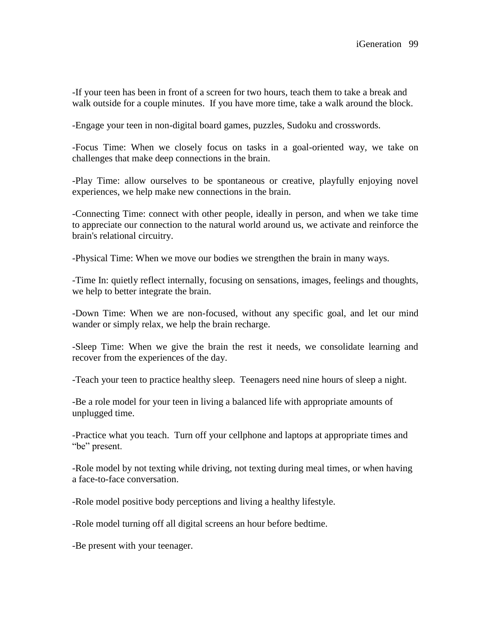-If your teen has been in front of a screen for two hours, teach them to take a break and walk outside for a couple minutes. If you have more time, take a walk around the block.

-Engage your teen in non-digital board games, puzzles, Sudoku and crosswords.

-Focus Time: When we closely focus on tasks in a goal-oriented way, we take on challenges that make deep connections in the brain.

-Play Time: allow ourselves to be spontaneous or creative, playfully enjoying novel experiences, we help make new connections in the brain.

-Connecting Time: connect with other people, ideally in person, and when we take time to appreciate our connection to the natural world around us, we activate and reinforce the brain's relational circuitry.

-Physical Time: When we move our bodies we strengthen the brain in many ways.

-Time In: quietly reflect internally, focusing on sensations, images, feelings and thoughts, we help to better integrate the brain.

-Down Time: When we are non-focused, without any specific goal, and let our mind wander or simply relax, we help the brain recharge.

-Sleep Time: When we give the brain the rest it needs, we consolidate learning and recover from the experiences of the day.

-Teach your teen to practice healthy sleep. Teenagers need nine hours of sleep a night.

-Be a role model for your teen in living a balanced life with appropriate amounts of unplugged time.

-Practice what you teach. Turn off your cellphone and laptops at appropriate times and "be" present.

-Role model by not texting while driving, not texting during meal times, or when having a face-to-face conversation.

-Role model positive body perceptions and living a healthy lifestyle.

-Role model turning off all digital screens an hour before bedtime.

-Be present with your teenager.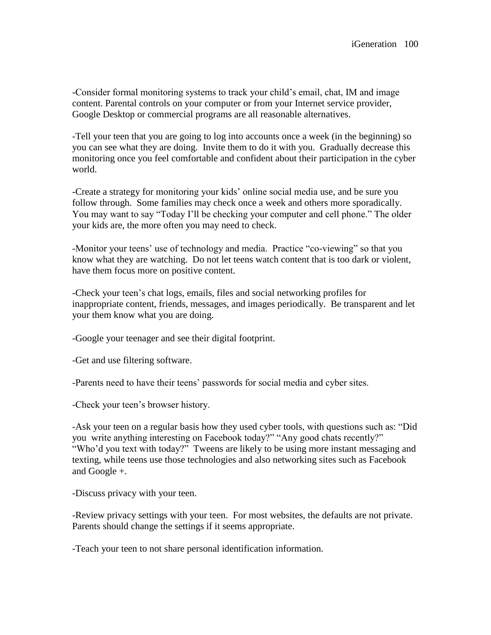*-*Consider formal monitoring systems to track your child's email, chat, IM and image content. Parental controls on your computer or from your Internet service provider, Google Desktop or commercial programs are all reasonable alternatives.

-Tell your teen that you are going to log into accounts once a week (in the beginning) so you can see what they are doing. Invite them to do it with you. Gradually decrease this monitoring once you feel comfortable and confident about their participation in the cyber world.

-Create a strategy for monitoring your kids' online social media use, and be sure you follow through. Some families may check once a week and others more sporadically. You may want to say "Today I'll be checking your computer and cell phone." The older your kids are, the more often you may need to check.

-Monitor your teens' use of technology and media. Practice "co-viewing" so that you know what they are watching. Do not let teens watch content that is too dark or violent, have them focus more on positive content.

-Check your teen's chat logs, emails, files and social networking profiles for inappropriate content, friends, messages, and images periodically. Be transparent and let your them know what you are doing.

-Google your teenager and see their digital footprint.

-Get and use filtering software.

-Parents need to have their teens' passwords for social media and cyber sites.

-Check your teen's browser history.

-Ask your teen on a regular basis how they used cyber tools, with questions such as: "Did you write anything interesting on Facebook today?" "Any good chats recently?" "Who'd you text with today?" Tweens are likely to be using more instant messaging and texting, while teens use those technologies and also networking sites such as Facebook and Google +.

-Discuss privacy with your teen.

-Review privacy settings with your teen. For most websites, the defaults are not private. Parents should change the settings if it seems appropriate.

-Teach your teen to not share personal identification information.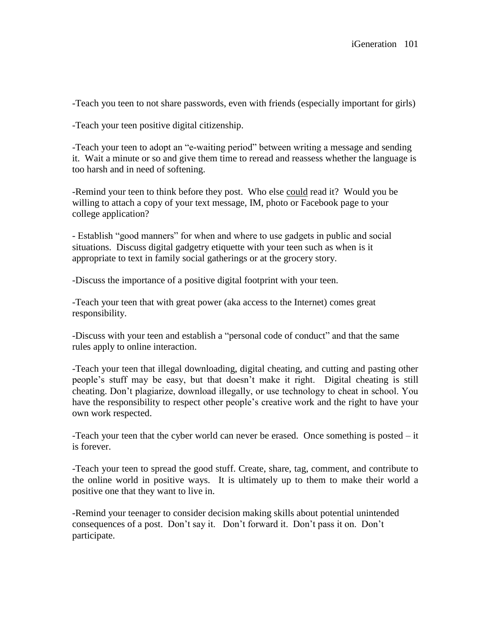-Teach you teen to not share passwords, even with friends (especially important for girls)

-Teach your teen positive digital citizenship.

-Teach your teen to adopt an "e-waiting period" between writing a message and sending it. Wait a minute or so and give them time to reread and reassess whether the language is too harsh and in need of softening.

-Remind your teen to think before they post. Who else could read it? Would you be willing to attach a copy of your text message, IM, photo or Facebook page to your college application?

- Establish "good manners" for when and where to use gadgets in public and social situations. Discuss digital gadgetry etiquette with your teen such as when is it appropriate to text in family social gatherings or at the grocery story.

-Discuss the importance of a positive digital footprint with your teen.

-Teach your teen that with great power (aka access to the Internet) comes great responsibility.

-Discuss with your teen and establish a "personal code of conduct" and that the same rules apply to online interaction.

-Teach your teen that illegal downloading, digital cheating, and cutting and pasting other people's stuff may be easy, but that doesn't make it right. Digital cheating is still cheating. Don't plagiarize, download illegally, or use technology to cheat in school. You have the responsibility to respect other people's creative work and the right to have your own work respected.

-Teach your teen that the cyber world can never be erased. Once something is posted – it is forever.

-Teach your teen to spread the good stuff. Create, share, tag, comment, and contribute to the online world in positive ways. It is ultimately up to them to make their world a positive one that they want to live in.

-Remind your teenager to consider decision making skills about potential unintended consequences of a post. Don't say it. Don't forward it. Don't pass it on. Don't participate.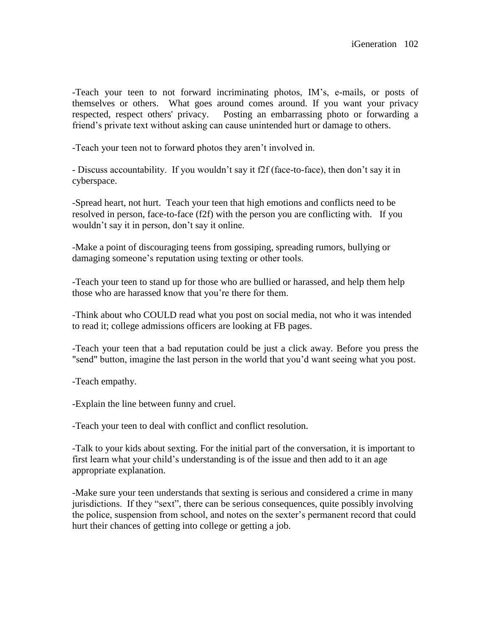-Teach your teen to not forward incriminating photos, IM's, e-mails, or posts of themselves or others. What goes around comes around. If you want your privacy respected, respect others' privacy. Posting an embarrassing photo or forwarding a friend's private text without asking can cause unintended hurt or damage to others.

-Teach your teen not to forward photos they aren't involved in.

- Discuss accountability. If you wouldn't say it f2f (face-to-face), then don't say it in cyberspace.

-Spread heart, not hurt. Teach your teen that high emotions and conflicts need to be resolved in person, face-to-face (f2f) with the person you are conflicting with. If you wouldn't say it in person, don't say it online.

-Make a point of discouraging teens from gossiping, spreading rumors, bullying or damaging someone's reputation using texting or other tools.

-Teach your teen to stand up for those who are bullied or harassed, and help them help those who are harassed know that you're there for them.

-Think about who COULD read what you post on social media, not who it was intended to read it; college admissions officers are looking at FB pages.

-Teach your teen that a bad reputation could be just a click away. Before you press the "send" button, imagine the last person in the world that you'd want seeing what you post.

-Teach empathy.

-Explain the line between funny and cruel.

-Teach your teen to deal with conflict and conflict resolution.

-Talk to your kids about sexting. For the initial part of the conversation, it is important to first learn what your child's understanding is of the issue and then add to it an age appropriate explanation.

-Make sure your teen understands that sexting is serious and considered a crime in many jurisdictions. If they "sext", there can be serious consequences, quite possibly involving the police, suspension from school, and notes on the sexter's permanent record that could hurt their chances of getting into college or getting a job.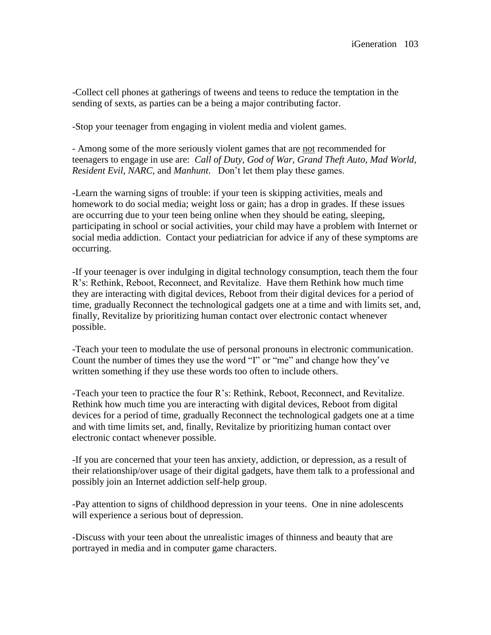-Collect cell phones at gatherings of tweens and teens to reduce the temptation in the sending of sexts, as parties can be a being a major contributing factor.

-Stop your teenager from engaging in violent media and violent games.

- Among some of the more seriously violent games that are not recommended for teenagers to engage in use are: *Call of Duty, God of War, Grand Theft Auto, Mad World, Resident Evil, NARC,* and *Manhunt*. Don't let them play these games.

-Learn the warning signs of trouble: if your teen is skipping activities, meals and homework to do social media; weight loss or gain; has a drop in grades. If these issues are occurring due to your teen being online when they should be eating, sleeping, participating in school or social activities, your child may have a problem with Internet or social media addiction. Contact your pediatrician for advice if any of these symptoms are occurring.

-If your teenager is over indulging in digital technology consumption, teach them the four R's: Rethink, Reboot, Reconnect, and Revitalize. Have them Rethink how much time they are interacting with digital devices, Reboot from their digital devices for a period of time, gradually Reconnect the technological gadgets one at a time and with limits set, and, finally, Revitalize by prioritizing human contact over electronic contact whenever possible.

-Teach your teen to modulate the use of personal pronouns in electronic communication. Count the number of times they use the word "I" or "me" and change how they've written something if they use these words too often to include others.

-Teach your teen to practice the four R's: Rethink, Reboot, Reconnect, and Revitalize. Rethink how much time you are interacting with digital devices, Reboot from digital devices for a period of time, gradually Reconnect the technological gadgets one at a time and with time limits set, and, finally, Revitalize by prioritizing human contact over electronic contact whenever possible.

-If you are concerned that your teen has anxiety, addiction, or depression, as a result of their relationship/over usage of their digital gadgets, have them talk to a professional and possibly join an Internet addiction self-help group.

-Pay attention to signs of childhood depression in your teens. One in nine adolescents will experience a serious bout of depression.

-Discuss with your teen about the unrealistic images of thinness and beauty that are portrayed in media and in computer game characters.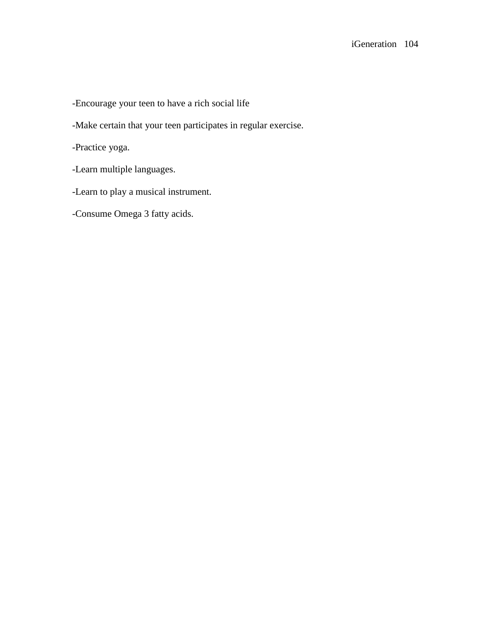-Encourage your teen to have a rich social life

-Make certain that your teen participates in regular exercise.

-Practice yoga.

- -Learn multiple languages.
- -Learn to play a musical instrument.
- -Consume Omega 3 fatty acids.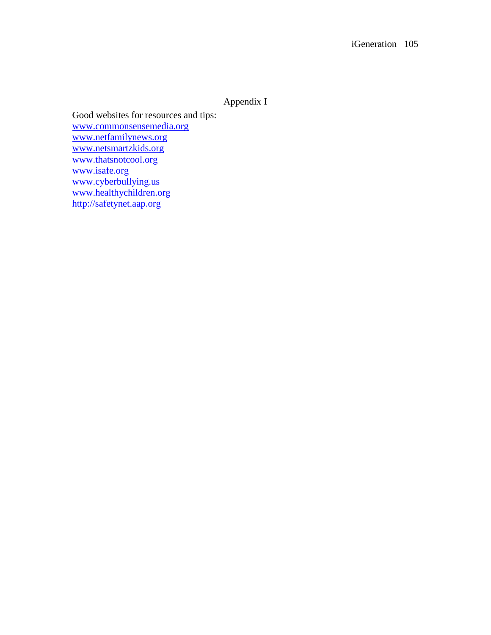# Appendix I

Good websites for resources and tips: [www.commonsensemedia.org](http://www.commonsensemedia.org/) [www.netfamilynews.org](http://www.netfamilynews.org/) [www.netsmartzkids.org](http://www.netsmartzkids.org/) [www.thatsnotcool.org](http://www.thatsnotcool.org/) [www.isafe.org](http://www.isafe.org/) [www.cyberbullying.us](http://www.cyberbullying.us/) [www.healthychildren.org](http://www.healthychildren.org/) [http://safetynet.aap.org](http://safetynet.aap.org/)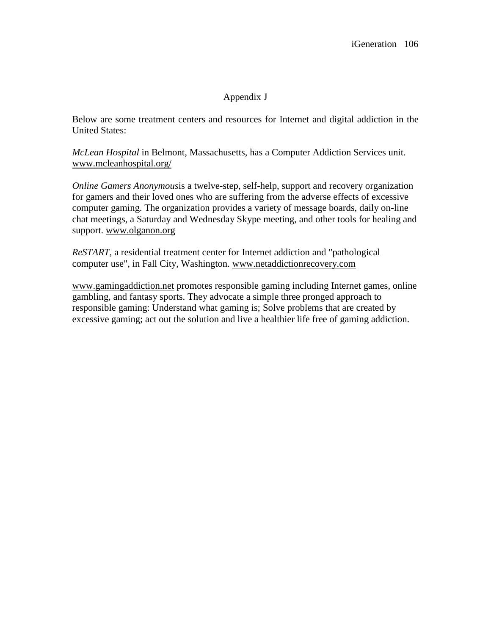## Appendix J

Below are some treatment centers and resources for Internet and digital addiction in the United States:

*[McLean Hospital](http://en.wikipedia.org/wiki/McLean_Hospital)* in [Belmont,](http://en.wikipedia.org/wiki/Belmont,_Massachusetts) [Massachusetts,](http://en.wikipedia.org/wiki/Massachusetts) has a Computer Addiction Services unit. [www.mcleanhospital.org/](http://www.mcleanhospital.org/)

*[Online Gamers Anonymous](http://en.wikipedia.org/wiki/Online_Gamers_Anonymous)*is a [twelve-step,](http://en.wikipedia.org/wiki/Twelve-step_program) self-help, support and recovery organization for gamers and their loved ones who are suffering from the adverse effects of excessive computer gaming. The organization provides a variety of message boards, daily on-line chat meetings, a Saturday and Wednesday Skype meeting, and other tools for healing and support. [www.olganon.org](http://www.olganon.org/)

*ReSTART*, a [residential treatment center](http://en.wikipedia.org/wiki/Residential_treatment_center) for Internet addiction and "pathological computer use", in Fall City, Washington. [www.netaddictionrecovery.com](http://www.netaddictionrecovery.com/)

[www.gamingaddiction.net](http://www.gamingaddiction.net/) promotes responsible gaming including Internet games, online gambling, and fantasy sports. They advocate a simple three pronged approach to responsible gaming: Understand what gaming is; Solve problems that are created by excessive gaming; act out the solution and live a healthier life free of gaming addiction.